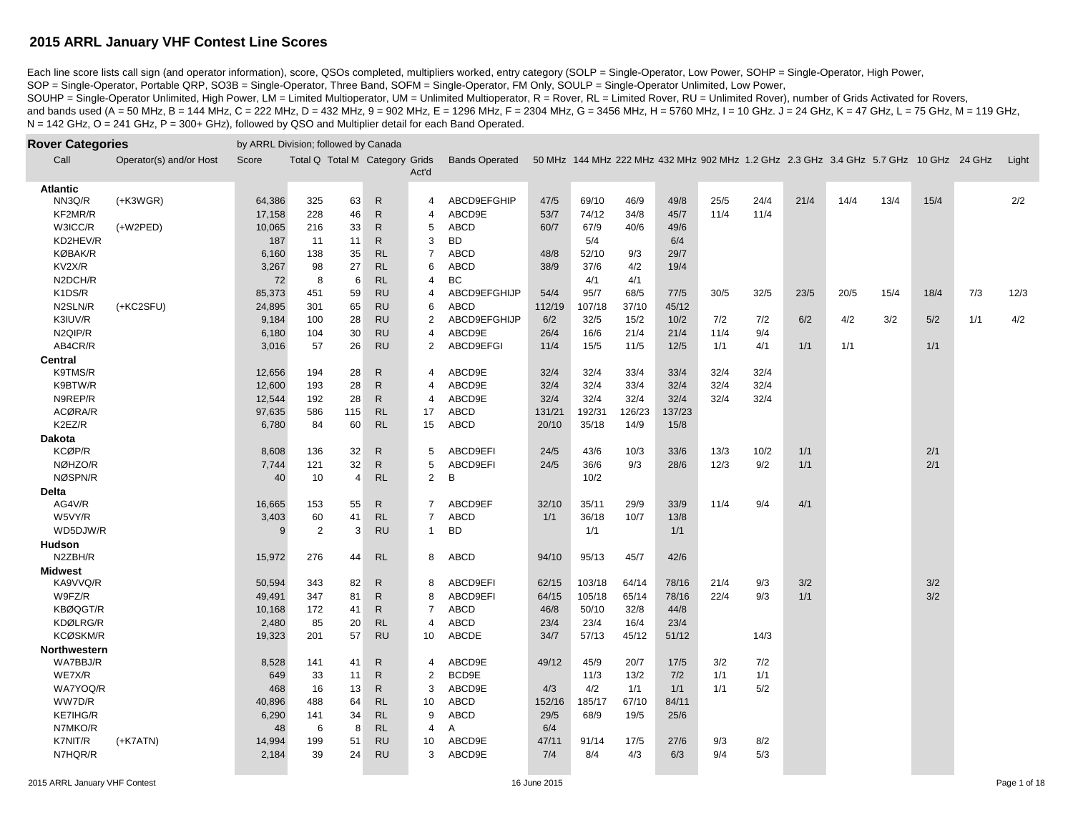Each line score lists call sign (and operator information), score, QSOs completed, multipliers worked, entry category (SOLP = Single-Operator, Low Power, SOHP = Single-Operator, High Power, SOP = Single-Operator, Portable QRP, SO3B = Single-Operator, Three Band, SOFM = Single-Operator, FM Only, SOULP = Single-Operator Unlimited, Low Power,

SOUHP = Single-Operator Unlimited, High Power, LM = Limited Multioperator, UM = Unlimited Multioperator, R = Rover, RL = Limited Rover, RU = Unlimited Rover), number of Grids Activated for Rovers, and bands used (A = 50 MHz, B = 144 MHz, C = 222 MHz, D = 432 MHz, 9 = 902 MHz, E = 1296 MHz, F = 2304 MHz, G = 3456 MHz, H = 5760 MHz, I = 10 GHz. J = 24 GHz, K = 47 GHz, L = 75 GHz, M = 119 GHz, N = 142 GHz, O = 241 GHz, P = 300+ GHz), followed by QSO and Multiplier detail for each Band Operated.

| <b>Rover Categories</b> |                         | by ARRL Division; followed by Canada |                          |                |              |                          |                       |        |        |        |        |      |      |      |                                                                                      |      |      |     |       |
|-------------------------|-------------------------|--------------------------------------|--------------------------|----------------|--------------|--------------------------|-----------------------|--------|--------|--------|--------|------|------|------|--------------------------------------------------------------------------------------|------|------|-----|-------|
| Call                    | Operator(s) and/or Host | Score                                | Total Q Total M Category |                |              | Grids<br>Act'd           | <b>Bands Operated</b> |        |        |        |        |      |      |      | 50 MHz 144 MHz 222 MHz 432 MHz 902 MHz 1.2 GHz 2.3 GHz 3.4 GHz 5.7 GHz 10 GHz 24 GHz |      |      |     | Light |
| <b>Atlantic</b>         |                         |                                      |                          |                |              |                          |                       |        |        |        |        |      |      |      |                                                                                      |      |      |     |       |
| NN3Q/R                  | $(+K3WGR)$              | 64,386                               | 325                      | 63             | $\mathsf{R}$ | 4                        | ABCD9EFGHIP           | 47/5   | 69/10  | 46/9   | 49/8   | 25/5 | 24/4 | 21/4 | 14/4                                                                                 | 13/4 | 15/4 |     | 2/2   |
| KF2MR/R                 |                         | 17,158                               | 228                      | 46             | ${\sf R}$    | $\overline{\mathcal{A}}$ | ABCD9E                | 53/7   | 74/12  | 34/8   | 45/7   | 11/4 | 11/4 |      |                                                                                      |      |      |     |       |
| W3ICC/R                 | $(+W2PED)$              | 10,065                               | 216                      | 33             | ${\sf R}$    | 5                        | ABCD                  | 60/7   | 67/9   | 40/6   | 49/6   |      |      |      |                                                                                      |      |      |     |       |
| KD2HEV/R                |                         | 187                                  | 11                       | 11             | ${\sf R}$    | 3                        | <b>BD</b>             |        | 5/4    |        | 6/4    |      |      |      |                                                                                      |      |      |     |       |
| <b>KØBAK/R</b>          |                         | 6,160                                | 138                      | 35             | RL           | $\overline{7}$           | <b>ABCD</b>           | 48/8   | 52/10  | 9/3    | 29/7   |      |      |      |                                                                                      |      |      |     |       |
| KV2X/R                  |                         | 3,267                                | 98                       | 27             | RL           | 6                        | <b>ABCD</b>           | 38/9   | 37/6   | 4/2    | 19/4   |      |      |      |                                                                                      |      |      |     |       |
| N2DCH/R                 |                         | 72                                   | 8                        | 6              | <b>RL</b>    | 4                        | BC                    |        | 4/1    | 4/1    |        |      |      |      |                                                                                      |      |      |     |       |
| K1DS/R                  |                         | 85,373                               | 451                      | 59             | <b>RU</b>    | 4                        | ABCD9EFGHIJP          | 54/4   | 95/7   | 68/5   | 77/5   | 30/5 | 32/5 | 23/5 | 20/5                                                                                 | 15/4 | 18/4 | 7/3 | 12/3  |
| N2SLN/R                 | (+KC2SFU)               | 24,895                               | 301                      | 65             | <b>RU</b>    | 6                        | <b>ABCD</b>           | 112/19 | 107/18 | 37/10  | 45/12  |      |      |      |                                                                                      |      |      |     |       |
| K3IUV/R                 |                         | 9,184                                | 100                      | 28             | <b>RU</b>    | 2                        | ABCD9EFGHIJP          | 6/2    | 32/5   | 15/2   | 10/2   | 7/2  | 7/2  | 6/2  | 4/2                                                                                  | 3/2  | 5/2  | 1/1 | 4/2   |
| N2QIP/R                 |                         | 6,180                                | 104                      | 30             | <b>RU</b>    | $\overline{4}$           | ABCD9E                | 26/4   | 16/6   | 21/4   | 21/4   | 11/4 | 9/4  |      |                                                                                      |      |      |     |       |
| AB4CR/R                 |                         | 3,016                                | 57                       | 26             | <b>RU</b>    | $\overline{2}$           | ABCD9EFGI             | 11/4   | 15/5   | 11/5   | 12/5   | 1/1  | 4/1  | 1/1  | 1/1                                                                                  |      | 1/1  |     |       |
| <b>Central</b>          |                         |                                      |                          |                |              |                          |                       |        |        |        |        |      |      |      |                                                                                      |      |      |     |       |
| K9TMS/R                 |                         | 12,656                               | 194                      | 28             | ${\sf R}$    | 4                        | ABCD9E                | 32/4   | 32/4   | 33/4   | 33/4   | 32/4 | 32/4 |      |                                                                                      |      |      |     |       |
| K9BTW/R                 |                         | 12,600                               | 193                      | 28             | $\mathsf{R}$ | 4                        | ABCD9E                | 32/4   | 32/4   | 33/4   | 32/4   | 32/4 | 32/4 |      |                                                                                      |      |      |     |       |
| N9REP/R                 |                         | 12,544                               | 192                      | 28             | $\mathsf{R}$ | $\overline{4}$           | ABCD9E                | 32/4   | 32/4   | 32/4   | 32/4   | 32/4 | 32/4 |      |                                                                                      |      |      |     |       |
| ACØRA/R                 |                         | 97,635                               | 586                      | 115            | <b>RL</b>    | 17                       | ABCD                  | 131/21 | 192/31 | 126/23 | 137/23 |      |      |      |                                                                                      |      |      |     |       |
| K2EZ/R                  |                         | 6,780                                | 84                       | 60             | RL           | 15                       | ABCD                  | 20/10  | 35/18  | 14/9   | 15/8   |      |      |      |                                                                                      |      |      |     |       |
| <b>Dakota</b>           |                         |                                      |                          |                |              |                          |                       |        |        |        |        |      |      |      |                                                                                      |      |      |     |       |
| KCØP/R                  |                         | 8,608                                | 136                      | 32             | $\mathsf{R}$ | 5                        | ABCD9EFI              | 24/5   | 43/6   | 10/3   | 33/6   | 13/3 | 10/2 | 1/1  |                                                                                      |      | 2/1  |     |       |
| NØHZO/R                 |                         | 7,744                                | 121                      | 32             | ${\sf R}$    | 5                        | ABCD9EFI              | 24/5   | 36/6   | 9/3    | 28/6   | 12/3 | 9/2  | 1/1  |                                                                                      |      | 2/1  |     |       |
| NØSPN/R                 |                         | 40                                   | 10                       | $\overline{4}$ | RL           | $\overline{2}$           | В                     |        | 10/2   |        |        |      |      |      |                                                                                      |      |      |     |       |
| <b>Delta</b>            |                         |                                      |                          |                |              |                          |                       |        |        |        |        |      |      |      |                                                                                      |      |      |     |       |
| AG4V/R                  |                         | 16,665                               | 153                      | 55             | ${\sf R}$    | 7                        | ABCD9EF               | 32/10  | 35/11  | 29/9   | 33/9   | 11/4 | 9/4  | 4/1  |                                                                                      |      |      |     |       |
| W5VY/R                  |                         | 3,403                                | 60                       | 41             | RL           | $\overline{7}$           | <b>ABCD</b>           | 1/1    | 36/18  | 10/7   | 13/8   |      |      |      |                                                                                      |      |      |     |       |
| WD5DJW/R                |                         | 9                                    | $\overline{2}$           | 3              | <b>RU</b>    | 1                        | <b>BD</b>             |        | 1/1    |        | 1/1    |      |      |      |                                                                                      |      |      |     |       |
| Hudson                  |                         |                                      |                          |                |              |                          |                       |        |        |        |        |      |      |      |                                                                                      |      |      |     |       |
| N2ZBH/R                 |                         | 15,972                               | 276                      | 44             | RL           | 8                        | ABCD                  | 94/10  | 95/13  | 45/7   | 42/6   |      |      |      |                                                                                      |      |      |     |       |
| <b>Midwest</b>          |                         |                                      |                          |                |              |                          |                       |        |        |        |        |      |      |      |                                                                                      |      |      |     |       |
| KA9VVQ/R                |                         | 50,594                               | 343                      | 82             | $\mathsf{R}$ | 8                        | ABCD9EFI              | 62/15  | 103/18 | 64/14  | 78/16  | 21/4 | 9/3  | 3/2  |                                                                                      |      | 3/2  |     |       |
| W9FZ/R                  |                         | 49,491                               | 347                      | 81             | ${\sf R}$    | 8                        | ABCD9EFI              | 64/15  | 105/18 | 65/14  | 78/16  | 22/4 | 9/3  | 1/1  |                                                                                      |      | 3/2  |     |       |
| KBØQGT/R                |                         | 10,168                               | 172                      | 41             | ${\sf R}$    | $\overline{7}$           | ABCD                  | 46/8   | 50/10  | 32/8   | 44/8   |      |      |      |                                                                                      |      |      |     |       |
| KDØLRG/R                |                         | 2,480                                | 85                       | 20             | <b>RL</b>    | $\overline{4}$           | <b>ABCD</b>           | 23/4   | 23/4   | 16/4   | 23/4   |      |      |      |                                                                                      |      |      |     |       |
| KCØSKM/R                |                         | 19,323                               | 201                      | 57             | <b>RU</b>    | 10                       | ABCDE                 | 34/7   | 57/13  | 45/12  | 51/12  |      | 14/3 |      |                                                                                      |      |      |     |       |
| Northwestern            |                         |                                      |                          |                |              |                          |                       |        |        |        |        |      |      |      |                                                                                      |      |      |     |       |
| WA7BBJ/R                |                         | 8,528                                | 141                      | 41             | ${\sf R}$    | 4                        | ABCD9E                | 49/12  | 45/9   | 20/7   | 17/5   | 3/2  | 7/2  |      |                                                                                      |      |      |     |       |
| WE7X/R                  |                         | 649                                  | 33                       | 11             | $\mathsf{R}$ | 2                        | BCD9E                 |        | 11/3   | 13/2   | 7/2    | 1/1  | 1/1  |      |                                                                                      |      |      |     |       |
| WA7YOQ/R                |                         | 468                                  | 16                       | 13             | $\mathsf{R}$ | 3                        | ABCD9E                | 4/3    | 4/2    | 1/1    | 1/1    | 1/1  | 5/2  |      |                                                                                      |      |      |     |       |
| WW7D/R                  |                         | 40,896                               | 488                      | 64             | <b>RL</b>    | 10                       | ABCD                  | 152/16 | 185/17 | 67/10  | 84/11  |      |      |      |                                                                                      |      |      |     |       |
| KE7IHG/R                |                         | 6,290                                | 141                      | 34             | <b>RL</b>    | 9                        | ABCD                  | 29/5   | 68/9   | 19/5   | 25/6   |      |      |      |                                                                                      |      |      |     |       |
| N7MKO/R                 |                         | 48                                   | 6                        | 8              | <b>RL</b>    | 4                        | A                     | 6/4    |        |        |        |      |      |      |                                                                                      |      |      |     |       |
| K7NIT/R                 | $(+K7ATN)$              | 14,994                               | 199                      | 51             | <b>RU</b>    | 10                       | ABCD9E                | 47/11  | 91/14  | 17/5   | 27/6   | 9/3  | 8/2  |      |                                                                                      |      |      |     |       |
| N7HQR/R                 |                         | 2,184                                | 39                       | 24             | <b>RU</b>    | 3                        | ABCD9E                | 7/4    | 8/4    | 4/3    | 6/3    | 9/4  | 5/3  |      |                                                                                      |      |      |     |       |
|                         |                         |                                      |                          |                |              |                          |                       |        |        |        |        |      |      |      |                                                                                      |      |      |     |       |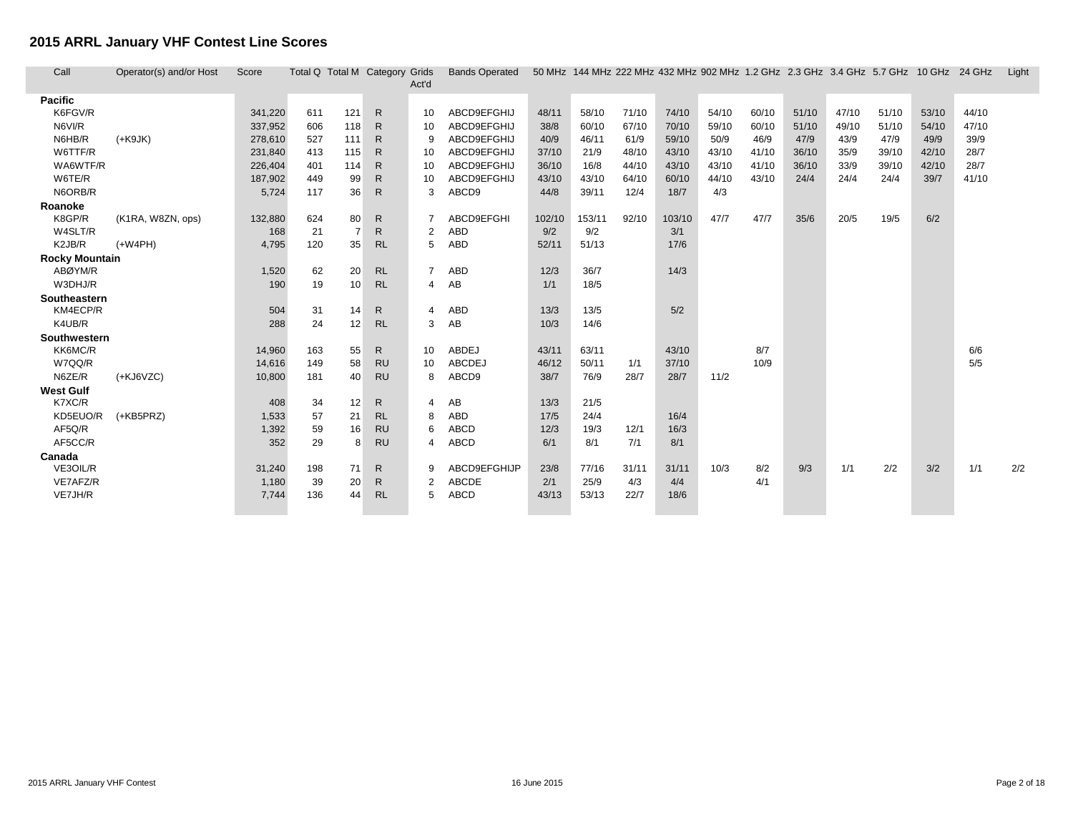г L

| Call                  | Operator(s) and/or Host | Score   |     |                | Total Q Total M Category Grids | Act'd | <b>Bands Operated</b> |        |        |       |        | 50 MHz 144 MHz 222 MHz 432 MHz 902 MHz 1.2 GHz 2.3 GHz 3.4 GHz 5.7 GHz 10 GHz 24 GHz |       |       |       |       |       |       | Light |
|-----------------------|-------------------------|---------|-----|----------------|--------------------------------|-------|-----------------------|--------|--------|-------|--------|--------------------------------------------------------------------------------------|-------|-------|-------|-------|-------|-------|-------|
| Pacific               |                         |         |     |                |                                |       |                       |        |        |       |        |                                                                                      |       |       |       |       |       |       |       |
| K6FGV/R               |                         | 341,220 | 611 | 121            | $\mathsf{R}$                   | 10    | ABCD9EFGHIJ           | 48/11  | 58/10  | 71/10 | 74/10  | 54/10                                                                                | 60/10 | 51/10 | 47/10 | 51/10 | 53/10 | 44/10 |       |
| N6VI/R                |                         | 337,952 | 606 | 118            | $\mathsf{R}$                   | 10    | ABCD9EFGHIJ           | 38/8   | 60/10  | 67/10 | 70/10  | 59/10                                                                                | 60/10 | 51/10 | 49/10 | 51/10 | 54/10 | 47/10 |       |
| N6HB/R                | $(+K9JK)$               | 278,610 | 527 | 111            | R                              | 9     | ABCD9EFGHIJ           | 40/9   | 46/11  | 61/9  | 59/10  | 50/9                                                                                 | 46/9  | 47/9  | 43/9  | 47/9  | 49/9  | 39/9  |       |
| W6TTF/R               |                         | 231,840 | 413 | 115            | R                              | 10    | ABCD9EFGHIJ           | 37/10  | 21/9   | 48/10 | 43/10  | 43/10                                                                                | 41/10 | 36/10 | 35/9  | 39/10 | 42/10 | 28/7  |       |
| WA6WTF/R              |                         | 226,404 | 401 | 114            | $\mathsf{R}$                   | 10    | ABCD9EFGHIJ           | 36/10  | 16/8   | 44/10 | 43/10  | 43/10                                                                                | 41/10 | 36/10 | 33/9  | 39/10 | 42/10 | 28/7  |       |
| W6TE/R                |                         | 187,902 | 449 | 99             | R                              | 10    | ABCD9EFGHIJ           | 43/10  | 43/10  | 64/10 | 60/10  | 44/10                                                                                | 43/10 | 24/4  | 24/4  | 24/4  | 39/7  | 41/10 |       |
| N6ORB/R               |                         | 5,724   | 117 | 36             | $\mathsf{R}$                   | 3     | ABCD9                 | 44/8   | 39/11  | 12/4  | 18/7   | 4/3                                                                                  |       |       |       |       |       |       |       |
| Roanoke               |                         |         |     |                |                                |       |                       |        |        |       |        |                                                                                      |       |       |       |       |       |       |       |
| K8GP/R                | (K1RA, W8ZN, ops)       | 132,880 | 624 | 80             | R                              |       | ABCD9EFGHI            | 102/10 | 153/11 | 92/10 | 103/10 | 47/7                                                                                 | 47/7  | 35/6  | 20/5  | 19/5  | 6/2   |       |       |
| W4SLT/R               |                         | 168     | 21  | $\overline{7}$ | R                              |       | <b>ABD</b>            | 9/2    | 9/2    |       | 3/1    |                                                                                      |       |       |       |       |       |       |       |
| K2JB/R                | $(+W4PH)$               | 4,795   | 120 | 35             | <b>RL</b>                      | 5     | <b>ABD</b>            | 52/11  | 51/13  |       | 17/6   |                                                                                      |       |       |       |       |       |       |       |
| <b>Rocky Mountain</b> |                         |         |     |                |                                |       |                       |        |        |       |        |                                                                                      |       |       |       |       |       |       |       |
| ABØYM/R               |                         | 1,520   | 62  | 20             | <b>RL</b>                      |       | ABD                   | 12/3   | 36/7   |       | 14/3   |                                                                                      |       |       |       |       |       |       |       |
| W3DHJ/R               |                         | 190     | 19  | 10             | <b>RL</b>                      | 4     | AВ                    | 1/1    | 18/5   |       |        |                                                                                      |       |       |       |       |       |       |       |
| Southeastern          |                         |         |     |                |                                |       |                       |        |        |       |        |                                                                                      |       |       |       |       |       |       |       |
| KM4ECP/R              |                         | 504     | 31  | 14             | R.                             |       | <b>ABD</b>            | 13/3   | 13/5   |       | 5/2    |                                                                                      |       |       |       |       |       |       |       |
| K4UB/R                |                         | 288     | 24  | 12             | <b>RL</b>                      | 3     | AB                    | 10/3   | 14/6   |       |        |                                                                                      |       |       |       |       |       |       |       |
| Southwestern          |                         |         |     |                |                                |       |                       |        |        |       |        |                                                                                      |       |       |       |       |       |       |       |
| KK6MC/R               |                         | 14,960  | 163 | 55             | $\mathsf{R}$                   | 10    | <b>ABDEJ</b>          | 43/11  | 63/11  |       | 43/10  |                                                                                      | 8/7   |       |       |       |       | 6/6   |       |
| W7QQ/R                |                         | 14,616  | 149 | 58             | <b>RU</b>                      | 10    | <b>ABCDEJ</b>         | 46/12  | 50/11  | 1/1   | 37/10  |                                                                                      | 10/9  |       |       |       |       | 5/5   |       |
| N6ZE/R                | $(+KJ6VZC)$             | 10,800  | 181 | 40             | <b>RU</b>                      | 8     | ABCD9                 | 38/7   | 76/9   | 28/7  | 28/7   | 11/2                                                                                 |       |       |       |       |       |       |       |
| <b>West Gulf</b>      |                         |         |     |                |                                |       |                       |        |        |       |        |                                                                                      |       |       |       |       |       |       |       |
| K7XC/R                |                         | 408     | 34  | 12             | R.                             |       | AB                    | 13/3   | 21/5   |       |        |                                                                                      |       |       |       |       |       |       |       |
| KD5EUO/R              | $(+KB5PRZ)$             | 1,533   | 57  | 21             | <b>RL</b>                      | 8     | ABD                   | 17/5   | 24/4   |       | 16/4   |                                                                                      |       |       |       |       |       |       |       |
| AF5Q/R                |                         | 1,392   | 59  | 16             | <b>RU</b>                      | 6     | <b>ABCD</b>           | 12/3   | 19/3   | 12/1  | 16/3   |                                                                                      |       |       |       |       |       |       |       |
| AF5CC/R               |                         | 352     | 29  | 8              | <b>RU</b>                      | 4     | <b>ABCD</b>           | 6/1    | 8/1    | 7/1   | 8/1    |                                                                                      |       |       |       |       |       |       |       |
| Canada                |                         |         |     |                |                                |       |                       |        |        |       |        |                                                                                      |       |       |       |       |       |       |       |
| VE3OIL/R              |                         | 31,240  | 198 | 71             | R                              | 9     | ABCD9EFGHIJP          | 23/8   | 77/16  | 31/11 | 31/11  | 10/3                                                                                 | 8/2   | 9/3   | 1/1   | 2/2   | 3/2   | 1/1   | 2/2   |
| VE7AFZ/R              |                         | 1,180   | 39  | 20             | R                              |       | <b>ABCDE</b>          | 2/1    | 25/9   | 4/3   | 4/4    |                                                                                      | 4/1   |       |       |       |       |       |       |
| VE7JH/R               |                         | 7,744   | 136 | 44             | <b>RL</b>                      | 5     | <b>ABCD</b>           | 43/13  | 53/13  | 22/7  | 18/6   |                                                                                      |       |       |       |       |       |       |       |
|                       |                         |         |     |                |                                |       |                       |        |        |       |        |                                                                                      |       |       |       |       |       |       |       |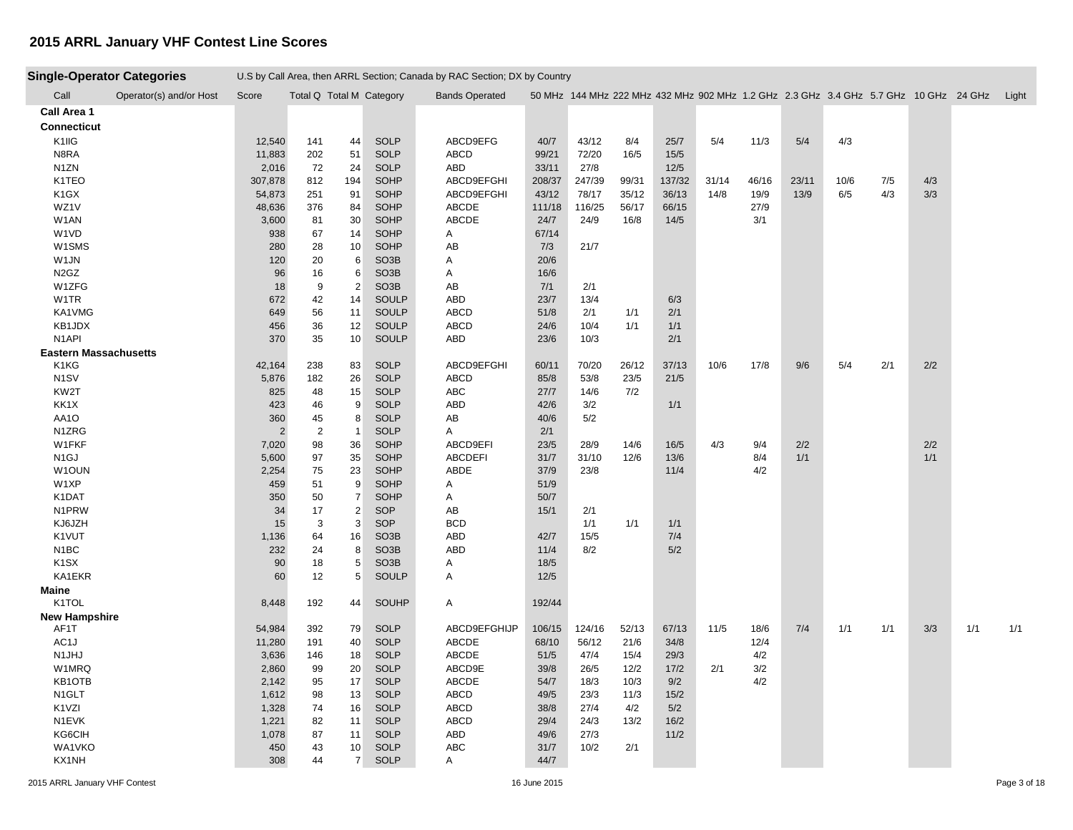| <b>Single-Operator Categories</b> |                         |                |                          |                     |                    | U.S by Call Area, then ARRL Section; Canada by RAC Section; DX by Country |              |        |       |        |       |       |       |                                                                                            |     |     |     |     |
|-----------------------------------|-------------------------|----------------|--------------------------|---------------------|--------------------|---------------------------------------------------------------------------|--------------|--------|-------|--------|-------|-------|-------|--------------------------------------------------------------------------------------------|-----|-----|-----|-----|
| Call                              | Operator(s) and/or Host | Score          | Total Q Total M Category |                     |                    | <b>Bands Operated</b>                                                     |              |        |       |        |       |       |       | 50 MHz 144 MHz 222 MHz 432 MHz 902 MHz 1.2 GHz 2.3 GHz 3.4 GHz 5.7 GHz 10 GHz 24 GHz Light |     |     |     |     |
| Call Area 1                       |                         |                |                          |                     |                    |                                                                           |              |        |       |        |       |       |       |                                                                                            |     |     |     |     |
| <b>Connecticut</b>                |                         |                |                          |                     |                    |                                                                           |              |        |       |        |       |       |       |                                                                                            |     |     |     |     |
| K1IIG                             |                         | 12,540         | 141                      | 44                  | <b>SOLP</b>        | ABCD9EFG                                                                  | 40/7         | 43/12  | 8/4   | 25/7   | 5/4   | 11/3  | 5/4   | 4/3                                                                                        |     |     |     |     |
| N8RA                              |                         | 11,883         | 202                      | 51                  | <b>SOLP</b>        | ABCD                                                                      | 99/21        | 72/20  | 16/5  | 15/5   |       |       |       |                                                                                            |     |     |     |     |
| N1ZN                              |                         | 2,016          | 72                       | 24                  | <b>SOLP</b>        | ABD                                                                       | 33/11        | 27/8   |       | 12/5   |       |       |       |                                                                                            |     |     |     |     |
| K1TEO                             |                         | 307,878        | 812                      | 194                 | <b>SOHP</b>        | ABCD9EFGHI                                                                | 208/37       | 247/39 | 99/31 | 137/32 | 31/14 | 46/16 | 23/11 | 10/6                                                                                       | 7/5 | 4/3 |     |     |
| K <sub>1</sub> GX                 |                         | 54,873         | 251                      | 91                  | SOHP               | ABCD9EFGHI                                                                | 43/12        | 78/17  | 35/12 | 36/13  | 14/8  | 19/9  | 13/9  | 6/5                                                                                        | 4/3 | 3/3 |     |     |
| WZ1V                              |                         | 48,636         | 376                      | 84                  | SOHP               | ABCDE                                                                     | 111/18       | 116/25 | 56/17 | 66/15  |       | 27/9  |       |                                                                                            |     |     |     |     |
| W1AN                              |                         | 3,600          | 81                       | 30                  | SOHP               | ABCDE                                                                     | 24/7         | 24/9   | 16/8  | 14/5   |       | 3/1   |       |                                                                                            |     |     |     |     |
| W1VD                              |                         | 938            | 67                       | 14                  | <b>SOHP</b>        | A                                                                         | 67/14        |        |       |        |       |       |       |                                                                                            |     |     |     |     |
| W1SMS                             |                         | 280            | 28                       | 10                  | SOHP               | AB                                                                        | 7/3          | 21/7   |       |        |       |       |       |                                                                                            |     |     |     |     |
| W1JN                              |                         | 120            | 20                       | 6                   | SO <sub>3</sub> B  | A                                                                         | 20/6         |        |       |        |       |       |       |                                                                                            |     |     |     |     |
| N <sub>2</sub> G <sub>Z</sub>     |                         | 96             | 16                       | 6                   | SO <sub>3</sub> B  | A                                                                         | 16/6         |        |       |        |       |       |       |                                                                                            |     |     |     |     |
| W1ZFG                             |                         | 18             | 9                        | $\overline{2}$      | SO <sub>3</sub> B  | AB                                                                        | 7/1          | 2/1    |       |        |       |       |       |                                                                                            |     |     |     |     |
| W1TR                              |                         | 672            | 42                       | 14                  | SOULP              | <b>ABD</b>                                                                | 23/7         | 13/4   |       | 6/3    |       |       |       |                                                                                            |     |     |     |     |
| KA1VMG                            |                         | 649            | 56                       | 11                  | SOULP              | <b>ABCD</b>                                                               | 51/8         | 2/1    | 1/1   | 2/1    |       |       |       |                                                                                            |     |     |     |     |
| KB1JDX                            |                         | 456            | 36                       | 12                  | SOULP              | <b>ABCD</b>                                                               | 24/6         | 10/4   | 1/1   | 1/1    |       |       |       |                                                                                            |     |     |     |     |
| N <sub>1</sub> API                |                         | 370            | 35                       | 10 <sup>1</sup>     | <b>SOULP</b>       | ABD                                                                       | 23/6         | 10/3   |       | 2/1    |       |       |       |                                                                                            |     |     |     |     |
| <b>Eastern Massachusetts</b>      |                         |                |                          |                     |                    |                                                                           |              |        |       |        |       |       |       |                                                                                            |     |     |     |     |
| K1KG                              |                         | 42,164         | 238                      | 83                  | <b>SOLP</b>        | ABCD9EFGHI                                                                | 60/11        | 70/20  | 26/12 | 37/13  | 10/6  | 17/8  | 9/6   | 5/4                                                                                        | 2/1 | 2/2 |     |     |
| N <sub>1</sub> SV                 |                         | 5,876          | 182                      | 26                  | <b>SOLP</b>        | <b>ABCD</b>                                                               | 85/8         | 53/8   | 23/5  | 21/5   |       |       |       |                                                                                            |     |     |     |     |
| KW2T                              |                         | 825            | 48                       | 15                  | <b>SOLP</b>        | ABC                                                                       | 27/7         | 14/6   | 7/2   |        |       |       |       |                                                                                            |     |     |     |     |
| KK1X                              |                         | 423            | 46                       | 9                   | <b>SOLP</b>        | <b>ABD</b>                                                                | 42/6         | 3/2    |       | 1/1    |       |       |       |                                                                                            |     |     |     |     |
| AA1O                              |                         | 360            | 45                       | 8                   | <b>SOLP</b>        | AB                                                                        | 40/6         | 5/2    |       |        |       |       |       |                                                                                            |     |     |     |     |
| N1ZRG                             |                         | $\overline{2}$ | $\overline{2}$           | $\overline{1}$      | <b>SOLP</b>        | Α                                                                         | 2/1          |        |       |        |       |       |       |                                                                                            |     |     |     |     |
| W1FKF                             |                         | 7,020          | 98                       | 36                  | SOHP               | ABCD9EFI                                                                  | 23/5         | 28/9   | 14/6  | 16/5   | 4/3   | 9/4   | 2/2   |                                                                                            |     | 2/2 |     |     |
| N <sub>1</sub> GJ                 |                         | 5,600          | 97                       | 35                  | SOHP               | <b>ABCDEFI</b>                                                            | 31/7         | 31/10  | 12/6  | 13/6   |       | 8/4   | 1/1   |                                                                                            |     | 1/1 |     |     |
| W1OUN                             |                         | 2,254          | 75                       | 23                  | SOHP               | ABDE                                                                      | 37/9         | 23/8   |       | 11/4   |       | 4/2   |       |                                                                                            |     |     |     |     |
| W1XP                              |                         | 459            | 51                       | 9<br>$\overline{7}$ | SOHP               | A                                                                         | 51/9         |        |       |        |       |       |       |                                                                                            |     |     |     |     |
| K1DAT<br>N <sub>1</sub> PRW       |                         | 350<br>34      | 50<br>17                 | $\overline{2}$      | <b>SOHP</b><br>SOP | A<br>AB                                                                   | 50/7<br>15/1 | 2/1    |       |        |       |       |       |                                                                                            |     |     |     |     |
| KJ6JZH                            |                         | 15             | 3                        | 3                   | SOP                | <b>BCD</b>                                                                |              | 1/1    | 1/1   | 1/1    |       |       |       |                                                                                            |     |     |     |     |
| K1VUT                             |                         | 1,136          | 64                       | 16                  | SO <sub>3</sub> B  | <b>ABD</b>                                                                | 42/7         | 15/5   |       | 7/4    |       |       |       |                                                                                            |     |     |     |     |
| N <sub>1</sub> BC                 |                         | 232            | 24                       | 8                   | SO <sub>3</sub> B  | <b>ABD</b>                                                                | 11/4         | 8/2    |       | 5/2    |       |       |       |                                                                                            |     |     |     |     |
| K <sub>1</sub> SX                 |                         | 90             | 18                       | 5                   | SO <sub>3</sub> B  | A                                                                         | 18/5         |        |       |        |       |       |       |                                                                                            |     |     |     |     |
| KA1EKR                            |                         | 60             | 12                       | 5                   | SOULP              | A                                                                         | 12/5         |        |       |        |       |       |       |                                                                                            |     |     |     |     |
| <b>Maine</b>                      |                         |                |                          |                     |                    |                                                                           |              |        |       |        |       |       |       |                                                                                            |     |     |     |     |
| K1TOL                             |                         | 8,448          | 192                      | 44                  | SOUHP              | Α                                                                         | 192/44       |        |       |        |       |       |       |                                                                                            |     |     |     |     |
| <b>New Hampshire</b>              |                         |                |                          |                     |                    |                                                                           |              |        |       |        |       |       |       |                                                                                            |     |     |     |     |
| AF1T                              |                         | 54,984         | 392                      | 79                  | <b>SOLP</b>        | ABCD9EFGHIJP                                                              | 106/15       | 124/16 | 52/13 | 67/13  | 11/5  | 18/6  | 7/4   | 1/1                                                                                        | 1/1 | 3/3 | 1/1 | 1/1 |
| AC1J                              |                         | 11,280         | 191                      | 40                  | <b>SOLP</b>        | ABCDE                                                                     | 68/10        | 56/12  | 21/6  | 34/8   |       | 12/4  |       |                                                                                            |     |     |     |     |
| N1JHJ                             |                         | 3,636          | 146                      | 18                  | <b>SOLP</b>        | ABCDE                                                                     | $51/5$       | 47/4   | 15/4  | 29/3   |       | 4/2   |       |                                                                                            |     |     |     |     |
| W1MRQ                             |                         | 2,860          | 99                       | 20                  | <b>SOLP</b>        | ABCD9E                                                                    | 39/8         | 26/5   | 12/2  | 17/2   | 2/1   | 3/2   |       |                                                                                            |     |     |     |     |
| KB1OTB                            |                         | 2,142          | 95                       | 17                  | <b>SOLP</b>        | ABCDE                                                                     | 54/7         | 18/3   | 10/3  | 9/2    |       | 4/2   |       |                                                                                            |     |     |     |     |
| N1GLT                             |                         | 1,612          | 98                       | 13                  | <b>SOLP</b>        | ABCD                                                                      | 49/5         | 23/3   | 11/3  | 15/2   |       |       |       |                                                                                            |     |     |     |     |
| K1VZI                             |                         | 1,328          | 74                       | 16                  | <b>SOLP</b>        | <b>ABCD</b>                                                               | 38/8         | 27/4   | 4/2   | 5/2    |       |       |       |                                                                                            |     |     |     |     |
| N1EVK                             |                         | 1,221          | 82                       | 11                  | <b>SOLP</b>        | <b>ABCD</b>                                                               | 29/4         | 24/3   | 13/2  | 16/2   |       |       |       |                                                                                            |     |     |     |     |
| KG6CIH                            |                         | 1,078          | 87                       | 11                  | <b>SOLP</b>        | ABD                                                                       | 49/6         | 27/3   |       | 11/2   |       |       |       |                                                                                            |     |     |     |     |
| WA1VKO                            |                         | 450            | 43                       | 10 <sup>1</sup>     | <b>SOLP</b>        | ABC                                                                       | 31/7         | 10/2   | 2/1   |        |       |       |       |                                                                                            |     |     |     |     |
| KX1NH                             |                         | 308            | 44                       | $\overline{7}$      | <b>SOLP</b>        | A                                                                         | 44/7         |        |       |        |       |       |       |                                                                                            |     |     |     |     |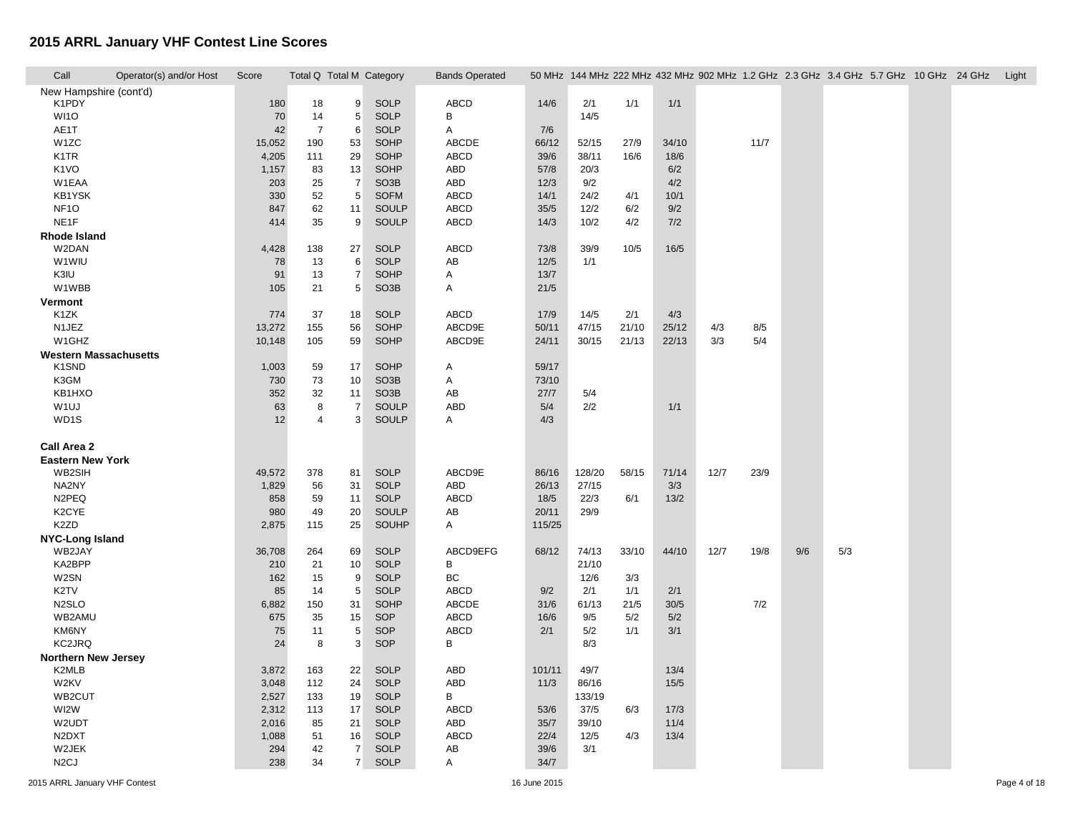F

| New Hampshire (cont'd)<br>K1PDY<br><b>SOLP</b><br>ABCD<br>180<br>18<br>9<br>14/6<br>2/1<br>1/1<br>1/1<br>5<br>B<br>WI1O<br>70<br><b>SOLP</b><br>14/5<br>14<br>AE1T<br>42<br>$\overline{7}$<br>6<br><b>SOLP</b><br>Α<br>7/6<br>W <sub>1</sub> ZC<br>53<br><b>SOHP</b><br>ABCDE<br>15,052<br>190<br>66/12<br>52/15<br>27/9<br>34/10<br>11/7<br>K <sub>1</sub> TR<br>29<br>SOHP<br><b>ABCD</b><br>38/11<br>4,205<br>111<br>39/6<br>16/6<br>18/6<br>K <sub>1</sub> VO<br>13<br><b>SOHP</b><br>ABD<br>57/8<br>20/3<br>1,157<br>83<br>6/2<br>$\overline{7}$<br>W1EAA<br>SO <sub>3</sub> B<br><b>ABD</b><br>12/3<br>9/2<br>4/2<br>203<br>25<br>KB1YSK<br>5<br><b>SOFM</b><br>330<br>52<br><b>ABCD</b><br>14/1<br>24/2<br>4/1<br>10/1<br>NF <sub>10</sub><br>11<br><b>SOULP</b><br><b>ABCD</b><br>35/5<br>12/2<br>847<br>62<br>6/2<br>9/2<br>NE <sub>1</sub> F<br>9<br>SOULP<br><b>ABCD</b><br>10/2<br>414<br>35<br>14/3<br>4/2<br>7/2<br><b>Rhode Island</b><br><b>ABCD</b><br>W2DAN<br>27<br><b>SOLP</b><br>73/8<br>39/9<br>4,428<br>138<br>10/5<br>16/5<br>W1WIU<br><b>SOLP</b><br>78<br>13<br>6<br>AB<br>$12/5$<br>1/1<br>$\overline{7}$<br>K3IU<br>SOHP<br>91<br>13<br>Α<br>13/7<br>W1WBB<br>SO <sub>3</sub> B<br>105<br>21<br>5<br>Α<br>21/5<br>Vermont<br>K1ZK<br>37<br><b>SOLP</b><br><b>ABCD</b><br>2/1<br>774<br>18<br>17/9<br>14/5<br>4/3<br>N1JEZ<br>13,272<br>155<br>56<br><b>SOHP</b><br>ABCD9E<br>50/11<br>47/15<br>21/10<br>25/12<br>4/3<br>8/5<br>5/4<br>W1GHZ<br>59<br>SOHP<br>ABCD9E<br>22/13<br>3/3<br>10,148<br>105<br>30/15<br>21/13<br>24/11<br><b>Western Massachusetts</b><br>K1SND<br>59/17<br>1,003<br>59<br>17<br><b>SOHP</b><br>Α<br>K3GM<br>SO <sub>3</sub> B<br>A<br>730<br>73<br>10<br>73/10<br>KB1HXO<br>352<br>32<br>11<br>SO <sub>3</sub> B<br>AB<br>5/4<br>27/7<br>2/2<br>W <sub>1UJ</sub><br>8<br>$\overline{7}$<br>SOULP<br><b>ABD</b><br>1/1<br>63<br>5/4<br>WD1S<br>12<br>3<br><b>SOULP</b><br>Α<br>4/3<br>4<br>Call Area 2<br><b>Eastern New York</b><br><b>SOLP</b><br>ABCD9E<br>12/7<br>WB2SIH<br>49,572<br>378<br>81<br>86/16<br>128/20<br>58/15<br>71/14<br>23/9<br>NA2NY<br>1,829<br>31<br><b>SOLP</b><br>ABD<br>26/13<br>27/15<br>3/3<br>56<br>N2PEQ<br><b>SOLP</b><br><b>ABCD</b><br>22/3<br>858<br>59<br>11<br>18/5<br>13/2<br>6/1<br>K2CYE<br>980<br>49<br>20<br><b>SOULP</b><br>AB<br>20/11<br>29/9<br>K <sub>2</sub> ZD<br><b>SOUHP</b><br>2,875<br>115<br>25<br>Α<br>115/25<br><b>NYC-Long Island</b><br>ABCD9EFG<br>WB2JAY<br>36,708<br>264<br><b>SOLP</b><br>68/12<br>74/13<br>33/10<br>44/10<br>12/7<br>19/8<br>9/6<br>5/3<br>69<br>KA2BPP<br>В<br><b>SOLP</b><br>210<br>21<br>10<br>21/10<br>W2SN<br>9<br><b>SOLP</b><br>ВC<br>12/6<br>3/3<br>162<br>15<br>$\mathbf 5$<br>K2TV<br><b>SOLP</b><br>85<br>14<br><b>ABCD</b><br>9/2<br>2/1<br>1/1<br>2/1<br>N <sub>2</sub> SLO<br>SOHP<br>ABCDE<br>7/2<br>150<br>31<br>31/6<br>61/13<br>21/5<br>30/5<br>6,882<br>WB2AMU<br>15<br>SOP<br>ABCD<br>16/6<br>5/2<br>675<br>35<br>9/5<br>5/2<br>KM6NY<br>5<br><b>ABCD</b><br>SOP<br>2/1<br>5/2<br>3/1<br>75<br>11<br>1/1<br>3<br>KC2JRQ<br>24<br>8<br>SOP<br>В<br>8/3<br><b>Northern New Jersey</b><br>K2MLB<br>163<br>22<br><b>SOLP</b><br>ABD<br>101/11<br>49/7<br>13/4<br>3,872<br>W2KV<br><b>SOLP</b><br><b>ABD</b><br>3,048<br>112<br>24<br>11/3<br>86/16<br>15/5<br>WB2CUT<br><b>SOLP</b><br>В<br>133/19<br>2,527<br>133<br>19<br>WI2W<br>17<br><b>SOLP</b><br><b>ABCD</b><br>2,312<br>113<br>53/6<br>37/5<br>6/3<br>17/3<br>W2UDT<br>2,016<br>21<br><b>SOLP</b><br>ABD<br>35/7<br>11/4<br>85<br>39/10<br>N <sub>2</sub> D <sub>X</sub> T<br><b>SOLP</b><br><b>ABCD</b><br>22/4<br>12/5<br>4/3<br>13/4<br>1,088<br>51<br>16<br>W2JEK<br>$\overline{7}$<br><b>SOLP</b><br>39/6<br>294<br>42<br>AB<br>3/1<br>N <sub>2</sub> CJ<br>7 <sup>1</sup><br><b>SOLP</b><br>34/7<br>238<br>34<br>Α | Call | Operator(s) and/or Host | Score |  | Total Q Total M Category | <b>Bands Operated</b> |  |  |  | 50 MHz 144 MHz 222 MHz 432 MHz 902 MHz 1.2 GHz 2.3 GHz 3.4 GHz 5.7 GHz 10 GHz 24 GHz Light |  |  |
|--------------------------------------------------------------------------------------------------------------------------------------------------------------------------------------------------------------------------------------------------------------------------------------------------------------------------------------------------------------------------------------------------------------------------------------------------------------------------------------------------------------------------------------------------------------------------------------------------------------------------------------------------------------------------------------------------------------------------------------------------------------------------------------------------------------------------------------------------------------------------------------------------------------------------------------------------------------------------------------------------------------------------------------------------------------------------------------------------------------------------------------------------------------------------------------------------------------------------------------------------------------------------------------------------------------------------------------------------------------------------------------------------------------------------------------------------------------------------------------------------------------------------------------------------------------------------------------------------------------------------------------------------------------------------------------------------------------------------------------------------------------------------------------------------------------------------------------------------------------------------------------------------------------------------------------------------------------------------------------------------------------------------------------------------------------------------------------------------------------------------------------------------------------------------------------------------------------------------------------------------------------------------------------------------------------------------------------------------------------------------------------------------------------------------------------------------------------------------------------------------------------------------------------------------------------------------------------------------------------------------------------------------------------------------------------------------------------------------------------------------------------------------------------------------------------------------------------------------------------------------------------------------------------------------------------------------------------------------------------------------------------------------------------------------------------------------------------------------------------------------------------------------------------------------------------------------------------------------------------------------------------------------------------------------------------------------------------------------------------------------------------------------------------------------------------------------------------------------------------------------------------------------------------------------------------------------------------------------------------------------------------------------------------------------------------------------------------------------------------------------------------------------------------------------------------------------------------|------|-------------------------|-------|--|--------------------------|-----------------------|--|--|--|--------------------------------------------------------------------------------------------|--|--|
|                                                                                                                                                                                                                                                                                                                                                                                                                                                                                                                                                                                                                                                                                                                                                                                                                                                                                                                                                                                                                                                                                                                                                                                                                                                                                                                                                                                                                                                                                                                                                                                                                                                                                                                                                                                                                                                                                                                                                                                                                                                                                                                                                                                                                                                                                                                                                                                                                                                                                                                                                                                                                                                                                                                                                                                                                                                                                                                                                                                                                                                                                                                                                                                                                                                                                                                                                                                                                                                                                                                                                                                                                                                                                                                                                                                                                                      |      |                         |       |  |                          |                       |  |  |  |                                                                                            |  |  |
|                                                                                                                                                                                                                                                                                                                                                                                                                                                                                                                                                                                                                                                                                                                                                                                                                                                                                                                                                                                                                                                                                                                                                                                                                                                                                                                                                                                                                                                                                                                                                                                                                                                                                                                                                                                                                                                                                                                                                                                                                                                                                                                                                                                                                                                                                                                                                                                                                                                                                                                                                                                                                                                                                                                                                                                                                                                                                                                                                                                                                                                                                                                                                                                                                                                                                                                                                                                                                                                                                                                                                                                                                                                                                                                                                                                                                                      |      |                         |       |  |                          |                       |  |  |  |                                                                                            |  |  |
|                                                                                                                                                                                                                                                                                                                                                                                                                                                                                                                                                                                                                                                                                                                                                                                                                                                                                                                                                                                                                                                                                                                                                                                                                                                                                                                                                                                                                                                                                                                                                                                                                                                                                                                                                                                                                                                                                                                                                                                                                                                                                                                                                                                                                                                                                                                                                                                                                                                                                                                                                                                                                                                                                                                                                                                                                                                                                                                                                                                                                                                                                                                                                                                                                                                                                                                                                                                                                                                                                                                                                                                                                                                                                                                                                                                                                                      |      |                         |       |  |                          |                       |  |  |  |                                                                                            |  |  |
|                                                                                                                                                                                                                                                                                                                                                                                                                                                                                                                                                                                                                                                                                                                                                                                                                                                                                                                                                                                                                                                                                                                                                                                                                                                                                                                                                                                                                                                                                                                                                                                                                                                                                                                                                                                                                                                                                                                                                                                                                                                                                                                                                                                                                                                                                                                                                                                                                                                                                                                                                                                                                                                                                                                                                                                                                                                                                                                                                                                                                                                                                                                                                                                                                                                                                                                                                                                                                                                                                                                                                                                                                                                                                                                                                                                                                                      |      |                         |       |  |                          |                       |  |  |  |                                                                                            |  |  |
|                                                                                                                                                                                                                                                                                                                                                                                                                                                                                                                                                                                                                                                                                                                                                                                                                                                                                                                                                                                                                                                                                                                                                                                                                                                                                                                                                                                                                                                                                                                                                                                                                                                                                                                                                                                                                                                                                                                                                                                                                                                                                                                                                                                                                                                                                                                                                                                                                                                                                                                                                                                                                                                                                                                                                                                                                                                                                                                                                                                                                                                                                                                                                                                                                                                                                                                                                                                                                                                                                                                                                                                                                                                                                                                                                                                                                                      |      |                         |       |  |                          |                       |  |  |  |                                                                                            |  |  |
|                                                                                                                                                                                                                                                                                                                                                                                                                                                                                                                                                                                                                                                                                                                                                                                                                                                                                                                                                                                                                                                                                                                                                                                                                                                                                                                                                                                                                                                                                                                                                                                                                                                                                                                                                                                                                                                                                                                                                                                                                                                                                                                                                                                                                                                                                                                                                                                                                                                                                                                                                                                                                                                                                                                                                                                                                                                                                                                                                                                                                                                                                                                                                                                                                                                                                                                                                                                                                                                                                                                                                                                                                                                                                                                                                                                                                                      |      |                         |       |  |                          |                       |  |  |  |                                                                                            |  |  |
|                                                                                                                                                                                                                                                                                                                                                                                                                                                                                                                                                                                                                                                                                                                                                                                                                                                                                                                                                                                                                                                                                                                                                                                                                                                                                                                                                                                                                                                                                                                                                                                                                                                                                                                                                                                                                                                                                                                                                                                                                                                                                                                                                                                                                                                                                                                                                                                                                                                                                                                                                                                                                                                                                                                                                                                                                                                                                                                                                                                                                                                                                                                                                                                                                                                                                                                                                                                                                                                                                                                                                                                                                                                                                                                                                                                                                                      |      |                         |       |  |                          |                       |  |  |  |                                                                                            |  |  |
|                                                                                                                                                                                                                                                                                                                                                                                                                                                                                                                                                                                                                                                                                                                                                                                                                                                                                                                                                                                                                                                                                                                                                                                                                                                                                                                                                                                                                                                                                                                                                                                                                                                                                                                                                                                                                                                                                                                                                                                                                                                                                                                                                                                                                                                                                                                                                                                                                                                                                                                                                                                                                                                                                                                                                                                                                                                                                                                                                                                                                                                                                                                                                                                                                                                                                                                                                                                                                                                                                                                                                                                                                                                                                                                                                                                                                                      |      |                         |       |  |                          |                       |  |  |  |                                                                                            |  |  |
|                                                                                                                                                                                                                                                                                                                                                                                                                                                                                                                                                                                                                                                                                                                                                                                                                                                                                                                                                                                                                                                                                                                                                                                                                                                                                                                                                                                                                                                                                                                                                                                                                                                                                                                                                                                                                                                                                                                                                                                                                                                                                                                                                                                                                                                                                                                                                                                                                                                                                                                                                                                                                                                                                                                                                                                                                                                                                                                                                                                                                                                                                                                                                                                                                                                                                                                                                                                                                                                                                                                                                                                                                                                                                                                                                                                                                                      |      |                         |       |  |                          |                       |  |  |  |                                                                                            |  |  |
|                                                                                                                                                                                                                                                                                                                                                                                                                                                                                                                                                                                                                                                                                                                                                                                                                                                                                                                                                                                                                                                                                                                                                                                                                                                                                                                                                                                                                                                                                                                                                                                                                                                                                                                                                                                                                                                                                                                                                                                                                                                                                                                                                                                                                                                                                                                                                                                                                                                                                                                                                                                                                                                                                                                                                                                                                                                                                                                                                                                                                                                                                                                                                                                                                                                                                                                                                                                                                                                                                                                                                                                                                                                                                                                                                                                                                                      |      |                         |       |  |                          |                       |  |  |  |                                                                                            |  |  |
|                                                                                                                                                                                                                                                                                                                                                                                                                                                                                                                                                                                                                                                                                                                                                                                                                                                                                                                                                                                                                                                                                                                                                                                                                                                                                                                                                                                                                                                                                                                                                                                                                                                                                                                                                                                                                                                                                                                                                                                                                                                                                                                                                                                                                                                                                                                                                                                                                                                                                                                                                                                                                                                                                                                                                                                                                                                                                                                                                                                                                                                                                                                                                                                                                                                                                                                                                                                                                                                                                                                                                                                                                                                                                                                                                                                                                                      |      |                         |       |  |                          |                       |  |  |  |                                                                                            |  |  |
|                                                                                                                                                                                                                                                                                                                                                                                                                                                                                                                                                                                                                                                                                                                                                                                                                                                                                                                                                                                                                                                                                                                                                                                                                                                                                                                                                                                                                                                                                                                                                                                                                                                                                                                                                                                                                                                                                                                                                                                                                                                                                                                                                                                                                                                                                                                                                                                                                                                                                                                                                                                                                                                                                                                                                                                                                                                                                                                                                                                                                                                                                                                                                                                                                                                                                                                                                                                                                                                                                                                                                                                                                                                                                                                                                                                                                                      |      |                         |       |  |                          |                       |  |  |  |                                                                                            |  |  |
|                                                                                                                                                                                                                                                                                                                                                                                                                                                                                                                                                                                                                                                                                                                                                                                                                                                                                                                                                                                                                                                                                                                                                                                                                                                                                                                                                                                                                                                                                                                                                                                                                                                                                                                                                                                                                                                                                                                                                                                                                                                                                                                                                                                                                                                                                                                                                                                                                                                                                                                                                                                                                                                                                                                                                                                                                                                                                                                                                                                                                                                                                                                                                                                                                                                                                                                                                                                                                                                                                                                                                                                                                                                                                                                                                                                                                                      |      |                         |       |  |                          |                       |  |  |  |                                                                                            |  |  |
|                                                                                                                                                                                                                                                                                                                                                                                                                                                                                                                                                                                                                                                                                                                                                                                                                                                                                                                                                                                                                                                                                                                                                                                                                                                                                                                                                                                                                                                                                                                                                                                                                                                                                                                                                                                                                                                                                                                                                                                                                                                                                                                                                                                                                                                                                                                                                                                                                                                                                                                                                                                                                                                                                                                                                                                                                                                                                                                                                                                                                                                                                                                                                                                                                                                                                                                                                                                                                                                                                                                                                                                                                                                                                                                                                                                                                                      |      |                         |       |  |                          |                       |  |  |  |                                                                                            |  |  |
|                                                                                                                                                                                                                                                                                                                                                                                                                                                                                                                                                                                                                                                                                                                                                                                                                                                                                                                                                                                                                                                                                                                                                                                                                                                                                                                                                                                                                                                                                                                                                                                                                                                                                                                                                                                                                                                                                                                                                                                                                                                                                                                                                                                                                                                                                                                                                                                                                                                                                                                                                                                                                                                                                                                                                                                                                                                                                                                                                                                                                                                                                                                                                                                                                                                                                                                                                                                                                                                                                                                                                                                                                                                                                                                                                                                                                                      |      |                         |       |  |                          |                       |  |  |  |                                                                                            |  |  |
|                                                                                                                                                                                                                                                                                                                                                                                                                                                                                                                                                                                                                                                                                                                                                                                                                                                                                                                                                                                                                                                                                                                                                                                                                                                                                                                                                                                                                                                                                                                                                                                                                                                                                                                                                                                                                                                                                                                                                                                                                                                                                                                                                                                                                                                                                                                                                                                                                                                                                                                                                                                                                                                                                                                                                                                                                                                                                                                                                                                                                                                                                                                                                                                                                                                                                                                                                                                                                                                                                                                                                                                                                                                                                                                                                                                                                                      |      |                         |       |  |                          |                       |  |  |  |                                                                                            |  |  |
|                                                                                                                                                                                                                                                                                                                                                                                                                                                                                                                                                                                                                                                                                                                                                                                                                                                                                                                                                                                                                                                                                                                                                                                                                                                                                                                                                                                                                                                                                                                                                                                                                                                                                                                                                                                                                                                                                                                                                                                                                                                                                                                                                                                                                                                                                                                                                                                                                                                                                                                                                                                                                                                                                                                                                                                                                                                                                                                                                                                                                                                                                                                                                                                                                                                                                                                                                                                                                                                                                                                                                                                                                                                                                                                                                                                                                                      |      |                         |       |  |                          |                       |  |  |  |                                                                                            |  |  |
|                                                                                                                                                                                                                                                                                                                                                                                                                                                                                                                                                                                                                                                                                                                                                                                                                                                                                                                                                                                                                                                                                                                                                                                                                                                                                                                                                                                                                                                                                                                                                                                                                                                                                                                                                                                                                                                                                                                                                                                                                                                                                                                                                                                                                                                                                                                                                                                                                                                                                                                                                                                                                                                                                                                                                                                                                                                                                                                                                                                                                                                                                                                                                                                                                                                                                                                                                                                                                                                                                                                                                                                                                                                                                                                                                                                                                                      |      |                         |       |  |                          |                       |  |  |  |                                                                                            |  |  |
|                                                                                                                                                                                                                                                                                                                                                                                                                                                                                                                                                                                                                                                                                                                                                                                                                                                                                                                                                                                                                                                                                                                                                                                                                                                                                                                                                                                                                                                                                                                                                                                                                                                                                                                                                                                                                                                                                                                                                                                                                                                                                                                                                                                                                                                                                                                                                                                                                                                                                                                                                                                                                                                                                                                                                                                                                                                                                                                                                                                                                                                                                                                                                                                                                                                                                                                                                                                                                                                                                                                                                                                                                                                                                                                                                                                                                                      |      |                         |       |  |                          |                       |  |  |  |                                                                                            |  |  |
|                                                                                                                                                                                                                                                                                                                                                                                                                                                                                                                                                                                                                                                                                                                                                                                                                                                                                                                                                                                                                                                                                                                                                                                                                                                                                                                                                                                                                                                                                                                                                                                                                                                                                                                                                                                                                                                                                                                                                                                                                                                                                                                                                                                                                                                                                                                                                                                                                                                                                                                                                                                                                                                                                                                                                                                                                                                                                                                                                                                                                                                                                                                                                                                                                                                                                                                                                                                                                                                                                                                                                                                                                                                                                                                                                                                                                                      |      |                         |       |  |                          |                       |  |  |  |                                                                                            |  |  |
|                                                                                                                                                                                                                                                                                                                                                                                                                                                                                                                                                                                                                                                                                                                                                                                                                                                                                                                                                                                                                                                                                                                                                                                                                                                                                                                                                                                                                                                                                                                                                                                                                                                                                                                                                                                                                                                                                                                                                                                                                                                                                                                                                                                                                                                                                                                                                                                                                                                                                                                                                                                                                                                                                                                                                                                                                                                                                                                                                                                                                                                                                                                                                                                                                                                                                                                                                                                                                                                                                                                                                                                                                                                                                                                                                                                                                                      |      |                         |       |  |                          |                       |  |  |  |                                                                                            |  |  |
|                                                                                                                                                                                                                                                                                                                                                                                                                                                                                                                                                                                                                                                                                                                                                                                                                                                                                                                                                                                                                                                                                                                                                                                                                                                                                                                                                                                                                                                                                                                                                                                                                                                                                                                                                                                                                                                                                                                                                                                                                                                                                                                                                                                                                                                                                                                                                                                                                                                                                                                                                                                                                                                                                                                                                                                                                                                                                                                                                                                                                                                                                                                                                                                                                                                                                                                                                                                                                                                                                                                                                                                                                                                                                                                                                                                                                                      |      |                         |       |  |                          |                       |  |  |  |                                                                                            |  |  |
|                                                                                                                                                                                                                                                                                                                                                                                                                                                                                                                                                                                                                                                                                                                                                                                                                                                                                                                                                                                                                                                                                                                                                                                                                                                                                                                                                                                                                                                                                                                                                                                                                                                                                                                                                                                                                                                                                                                                                                                                                                                                                                                                                                                                                                                                                                                                                                                                                                                                                                                                                                                                                                                                                                                                                                                                                                                                                                                                                                                                                                                                                                                                                                                                                                                                                                                                                                                                                                                                                                                                                                                                                                                                                                                                                                                                                                      |      |                         |       |  |                          |                       |  |  |  |                                                                                            |  |  |
|                                                                                                                                                                                                                                                                                                                                                                                                                                                                                                                                                                                                                                                                                                                                                                                                                                                                                                                                                                                                                                                                                                                                                                                                                                                                                                                                                                                                                                                                                                                                                                                                                                                                                                                                                                                                                                                                                                                                                                                                                                                                                                                                                                                                                                                                                                                                                                                                                                                                                                                                                                                                                                                                                                                                                                                                                                                                                                                                                                                                                                                                                                                                                                                                                                                                                                                                                                                                                                                                                                                                                                                                                                                                                                                                                                                                                                      |      |                         |       |  |                          |                       |  |  |  |                                                                                            |  |  |
|                                                                                                                                                                                                                                                                                                                                                                                                                                                                                                                                                                                                                                                                                                                                                                                                                                                                                                                                                                                                                                                                                                                                                                                                                                                                                                                                                                                                                                                                                                                                                                                                                                                                                                                                                                                                                                                                                                                                                                                                                                                                                                                                                                                                                                                                                                                                                                                                                                                                                                                                                                                                                                                                                                                                                                                                                                                                                                                                                                                                                                                                                                                                                                                                                                                                                                                                                                                                                                                                                                                                                                                                                                                                                                                                                                                                                                      |      |                         |       |  |                          |                       |  |  |  |                                                                                            |  |  |
|                                                                                                                                                                                                                                                                                                                                                                                                                                                                                                                                                                                                                                                                                                                                                                                                                                                                                                                                                                                                                                                                                                                                                                                                                                                                                                                                                                                                                                                                                                                                                                                                                                                                                                                                                                                                                                                                                                                                                                                                                                                                                                                                                                                                                                                                                                                                                                                                                                                                                                                                                                                                                                                                                                                                                                                                                                                                                                                                                                                                                                                                                                                                                                                                                                                                                                                                                                                                                                                                                                                                                                                                                                                                                                                                                                                                                                      |      |                         |       |  |                          |                       |  |  |  |                                                                                            |  |  |
|                                                                                                                                                                                                                                                                                                                                                                                                                                                                                                                                                                                                                                                                                                                                                                                                                                                                                                                                                                                                                                                                                                                                                                                                                                                                                                                                                                                                                                                                                                                                                                                                                                                                                                                                                                                                                                                                                                                                                                                                                                                                                                                                                                                                                                                                                                                                                                                                                                                                                                                                                                                                                                                                                                                                                                                                                                                                                                                                                                                                                                                                                                                                                                                                                                                                                                                                                                                                                                                                                                                                                                                                                                                                                                                                                                                                                                      |      |                         |       |  |                          |                       |  |  |  |                                                                                            |  |  |
|                                                                                                                                                                                                                                                                                                                                                                                                                                                                                                                                                                                                                                                                                                                                                                                                                                                                                                                                                                                                                                                                                                                                                                                                                                                                                                                                                                                                                                                                                                                                                                                                                                                                                                                                                                                                                                                                                                                                                                                                                                                                                                                                                                                                                                                                                                                                                                                                                                                                                                                                                                                                                                                                                                                                                                                                                                                                                                                                                                                                                                                                                                                                                                                                                                                                                                                                                                                                                                                                                                                                                                                                                                                                                                                                                                                                                                      |      |                         |       |  |                          |                       |  |  |  |                                                                                            |  |  |
|                                                                                                                                                                                                                                                                                                                                                                                                                                                                                                                                                                                                                                                                                                                                                                                                                                                                                                                                                                                                                                                                                                                                                                                                                                                                                                                                                                                                                                                                                                                                                                                                                                                                                                                                                                                                                                                                                                                                                                                                                                                                                                                                                                                                                                                                                                                                                                                                                                                                                                                                                                                                                                                                                                                                                                                                                                                                                                                                                                                                                                                                                                                                                                                                                                                                                                                                                                                                                                                                                                                                                                                                                                                                                                                                                                                                                                      |      |                         |       |  |                          |                       |  |  |  |                                                                                            |  |  |
|                                                                                                                                                                                                                                                                                                                                                                                                                                                                                                                                                                                                                                                                                                                                                                                                                                                                                                                                                                                                                                                                                                                                                                                                                                                                                                                                                                                                                                                                                                                                                                                                                                                                                                                                                                                                                                                                                                                                                                                                                                                                                                                                                                                                                                                                                                                                                                                                                                                                                                                                                                                                                                                                                                                                                                                                                                                                                                                                                                                                                                                                                                                                                                                                                                                                                                                                                                                                                                                                                                                                                                                                                                                                                                                                                                                                                                      |      |                         |       |  |                          |                       |  |  |  |                                                                                            |  |  |
|                                                                                                                                                                                                                                                                                                                                                                                                                                                                                                                                                                                                                                                                                                                                                                                                                                                                                                                                                                                                                                                                                                                                                                                                                                                                                                                                                                                                                                                                                                                                                                                                                                                                                                                                                                                                                                                                                                                                                                                                                                                                                                                                                                                                                                                                                                                                                                                                                                                                                                                                                                                                                                                                                                                                                                                                                                                                                                                                                                                                                                                                                                                                                                                                                                                                                                                                                                                                                                                                                                                                                                                                                                                                                                                                                                                                                                      |      |                         |       |  |                          |                       |  |  |  |                                                                                            |  |  |
|                                                                                                                                                                                                                                                                                                                                                                                                                                                                                                                                                                                                                                                                                                                                                                                                                                                                                                                                                                                                                                                                                                                                                                                                                                                                                                                                                                                                                                                                                                                                                                                                                                                                                                                                                                                                                                                                                                                                                                                                                                                                                                                                                                                                                                                                                                                                                                                                                                                                                                                                                                                                                                                                                                                                                                                                                                                                                                                                                                                                                                                                                                                                                                                                                                                                                                                                                                                                                                                                                                                                                                                                                                                                                                                                                                                                                                      |      |                         |       |  |                          |                       |  |  |  |                                                                                            |  |  |
|                                                                                                                                                                                                                                                                                                                                                                                                                                                                                                                                                                                                                                                                                                                                                                                                                                                                                                                                                                                                                                                                                                                                                                                                                                                                                                                                                                                                                                                                                                                                                                                                                                                                                                                                                                                                                                                                                                                                                                                                                                                                                                                                                                                                                                                                                                                                                                                                                                                                                                                                                                                                                                                                                                                                                                                                                                                                                                                                                                                                                                                                                                                                                                                                                                                                                                                                                                                                                                                                                                                                                                                                                                                                                                                                                                                                                                      |      |                         |       |  |                          |                       |  |  |  |                                                                                            |  |  |
|                                                                                                                                                                                                                                                                                                                                                                                                                                                                                                                                                                                                                                                                                                                                                                                                                                                                                                                                                                                                                                                                                                                                                                                                                                                                                                                                                                                                                                                                                                                                                                                                                                                                                                                                                                                                                                                                                                                                                                                                                                                                                                                                                                                                                                                                                                                                                                                                                                                                                                                                                                                                                                                                                                                                                                                                                                                                                                                                                                                                                                                                                                                                                                                                                                                                                                                                                                                                                                                                                                                                                                                                                                                                                                                                                                                                                                      |      |                         |       |  |                          |                       |  |  |  |                                                                                            |  |  |
|                                                                                                                                                                                                                                                                                                                                                                                                                                                                                                                                                                                                                                                                                                                                                                                                                                                                                                                                                                                                                                                                                                                                                                                                                                                                                                                                                                                                                                                                                                                                                                                                                                                                                                                                                                                                                                                                                                                                                                                                                                                                                                                                                                                                                                                                                                                                                                                                                                                                                                                                                                                                                                                                                                                                                                                                                                                                                                                                                                                                                                                                                                                                                                                                                                                                                                                                                                                                                                                                                                                                                                                                                                                                                                                                                                                                                                      |      |                         |       |  |                          |                       |  |  |  |                                                                                            |  |  |
|                                                                                                                                                                                                                                                                                                                                                                                                                                                                                                                                                                                                                                                                                                                                                                                                                                                                                                                                                                                                                                                                                                                                                                                                                                                                                                                                                                                                                                                                                                                                                                                                                                                                                                                                                                                                                                                                                                                                                                                                                                                                                                                                                                                                                                                                                                                                                                                                                                                                                                                                                                                                                                                                                                                                                                                                                                                                                                                                                                                                                                                                                                                                                                                                                                                                                                                                                                                                                                                                                                                                                                                                                                                                                                                                                                                                                                      |      |                         |       |  |                          |                       |  |  |  |                                                                                            |  |  |
|                                                                                                                                                                                                                                                                                                                                                                                                                                                                                                                                                                                                                                                                                                                                                                                                                                                                                                                                                                                                                                                                                                                                                                                                                                                                                                                                                                                                                                                                                                                                                                                                                                                                                                                                                                                                                                                                                                                                                                                                                                                                                                                                                                                                                                                                                                                                                                                                                                                                                                                                                                                                                                                                                                                                                                                                                                                                                                                                                                                                                                                                                                                                                                                                                                                                                                                                                                                                                                                                                                                                                                                                                                                                                                                                                                                                                                      |      |                         |       |  |                          |                       |  |  |  |                                                                                            |  |  |
|                                                                                                                                                                                                                                                                                                                                                                                                                                                                                                                                                                                                                                                                                                                                                                                                                                                                                                                                                                                                                                                                                                                                                                                                                                                                                                                                                                                                                                                                                                                                                                                                                                                                                                                                                                                                                                                                                                                                                                                                                                                                                                                                                                                                                                                                                                                                                                                                                                                                                                                                                                                                                                                                                                                                                                                                                                                                                                                                                                                                                                                                                                                                                                                                                                                                                                                                                                                                                                                                                                                                                                                                                                                                                                                                                                                                                                      |      |                         |       |  |                          |                       |  |  |  |                                                                                            |  |  |
|                                                                                                                                                                                                                                                                                                                                                                                                                                                                                                                                                                                                                                                                                                                                                                                                                                                                                                                                                                                                                                                                                                                                                                                                                                                                                                                                                                                                                                                                                                                                                                                                                                                                                                                                                                                                                                                                                                                                                                                                                                                                                                                                                                                                                                                                                                                                                                                                                                                                                                                                                                                                                                                                                                                                                                                                                                                                                                                                                                                                                                                                                                                                                                                                                                                                                                                                                                                                                                                                                                                                                                                                                                                                                                                                                                                                                                      |      |                         |       |  |                          |                       |  |  |  |                                                                                            |  |  |
|                                                                                                                                                                                                                                                                                                                                                                                                                                                                                                                                                                                                                                                                                                                                                                                                                                                                                                                                                                                                                                                                                                                                                                                                                                                                                                                                                                                                                                                                                                                                                                                                                                                                                                                                                                                                                                                                                                                                                                                                                                                                                                                                                                                                                                                                                                                                                                                                                                                                                                                                                                                                                                                                                                                                                                                                                                                                                                                                                                                                                                                                                                                                                                                                                                                                                                                                                                                                                                                                                                                                                                                                                                                                                                                                                                                                                                      |      |                         |       |  |                          |                       |  |  |  |                                                                                            |  |  |
|                                                                                                                                                                                                                                                                                                                                                                                                                                                                                                                                                                                                                                                                                                                                                                                                                                                                                                                                                                                                                                                                                                                                                                                                                                                                                                                                                                                                                                                                                                                                                                                                                                                                                                                                                                                                                                                                                                                                                                                                                                                                                                                                                                                                                                                                                                                                                                                                                                                                                                                                                                                                                                                                                                                                                                                                                                                                                                                                                                                                                                                                                                                                                                                                                                                                                                                                                                                                                                                                                                                                                                                                                                                                                                                                                                                                                                      |      |                         |       |  |                          |                       |  |  |  |                                                                                            |  |  |
|                                                                                                                                                                                                                                                                                                                                                                                                                                                                                                                                                                                                                                                                                                                                                                                                                                                                                                                                                                                                                                                                                                                                                                                                                                                                                                                                                                                                                                                                                                                                                                                                                                                                                                                                                                                                                                                                                                                                                                                                                                                                                                                                                                                                                                                                                                                                                                                                                                                                                                                                                                                                                                                                                                                                                                                                                                                                                                                                                                                                                                                                                                                                                                                                                                                                                                                                                                                                                                                                                                                                                                                                                                                                                                                                                                                                                                      |      |                         |       |  |                          |                       |  |  |  |                                                                                            |  |  |
|                                                                                                                                                                                                                                                                                                                                                                                                                                                                                                                                                                                                                                                                                                                                                                                                                                                                                                                                                                                                                                                                                                                                                                                                                                                                                                                                                                                                                                                                                                                                                                                                                                                                                                                                                                                                                                                                                                                                                                                                                                                                                                                                                                                                                                                                                                                                                                                                                                                                                                                                                                                                                                                                                                                                                                                                                                                                                                                                                                                                                                                                                                                                                                                                                                                                                                                                                                                                                                                                                                                                                                                                                                                                                                                                                                                                                                      |      |                         |       |  |                          |                       |  |  |  |                                                                                            |  |  |
|                                                                                                                                                                                                                                                                                                                                                                                                                                                                                                                                                                                                                                                                                                                                                                                                                                                                                                                                                                                                                                                                                                                                                                                                                                                                                                                                                                                                                                                                                                                                                                                                                                                                                                                                                                                                                                                                                                                                                                                                                                                                                                                                                                                                                                                                                                                                                                                                                                                                                                                                                                                                                                                                                                                                                                                                                                                                                                                                                                                                                                                                                                                                                                                                                                                                                                                                                                                                                                                                                                                                                                                                                                                                                                                                                                                                                                      |      |                         |       |  |                          |                       |  |  |  |                                                                                            |  |  |
|                                                                                                                                                                                                                                                                                                                                                                                                                                                                                                                                                                                                                                                                                                                                                                                                                                                                                                                                                                                                                                                                                                                                                                                                                                                                                                                                                                                                                                                                                                                                                                                                                                                                                                                                                                                                                                                                                                                                                                                                                                                                                                                                                                                                                                                                                                                                                                                                                                                                                                                                                                                                                                                                                                                                                                                                                                                                                                                                                                                                                                                                                                                                                                                                                                                                                                                                                                                                                                                                                                                                                                                                                                                                                                                                                                                                                                      |      |                         |       |  |                          |                       |  |  |  |                                                                                            |  |  |
|                                                                                                                                                                                                                                                                                                                                                                                                                                                                                                                                                                                                                                                                                                                                                                                                                                                                                                                                                                                                                                                                                                                                                                                                                                                                                                                                                                                                                                                                                                                                                                                                                                                                                                                                                                                                                                                                                                                                                                                                                                                                                                                                                                                                                                                                                                                                                                                                                                                                                                                                                                                                                                                                                                                                                                                                                                                                                                                                                                                                                                                                                                                                                                                                                                                                                                                                                                                                                                                                                                                                                                                                                                                                                                                                                                                                                                      |      |                         |       |  |                          |                       |  |  |  |                                                                                            |  |  |
|                                                                                                                                                                                                                                                                                                                                                                                                                                                                                                                                                                                                                                                                                                                                                                                                                                                                                                                                                                                                                                                                                                                                                                                                                                                                                                                                                                                                                                                                                                                                                                                                                                                                                                                                                                                                                                                                                                                                                                                                                                                                                                                                                                                                                                                                                                                                                                                                                                                                                                                                                                                                                                                                                                                                                                                                                                                                                                                                                                                                                                                                                                                                                                                                                                                                                                                                                                                                                                                                                                                                                                                                                                                                                                                                                                                                                                      |      |                         |       |  |                          |                       |  |  |  |                                                                                            |  |  |
|                                                                                                                                                                                                                                                                                                                                                                                                                                                                                                                                                                                                                                                                                                                                                                                                                                                                                                                                                                                                                                                                                                                                                                                                                                                                                                                                                                                                                                                                                                                                                                                                                                                                                                                                                                                                                                                                                                                                                                                                                                                                                                                                                                                                                                                                                                                                                                                                                                                                                                                                                                                                                                                                                                                                                                                                                                                                                                                                                                                                                                                                                                                                                                                                                                                                                                                                                                                                                                                                                                                                                                                                                                                                                                                                                                                                                                      |      |                         |       |  |                          |                       |  |  |  |                                                                                            |  |  |
|                                                                                                                                                                                                                                                                                                                                                                                                                                                                                                                                                                                                                                                                                                                                                                                                                                                                                                                                                                                                                                                                                                                                                                                                                                                                                                                                                                                                                                                                                                                                                                                                                                                                                                                                                                                                                                                                                                                                                                                                                                                                                                                                                                                                                                                                                                                                                                                                                                                                                                                                                                                                                                                                                                                                                                                                                                                                                                                                                                                                                                                                                                                                                                                                                                                                                                                                                                                                                                                                                                                                                                                                                                                                                                                                                                                                                                      |      |                         |       |  |                          |                       |  |  |  |                                                                                            |  |  |
|                                                                                                                                                                                                                                                                                                                                                                                                                                                                                                                                                                                                                                                                                                                                                                                                                                                                                                                                                                                                                                                                                                                                                                                                                                                                                                                                                                                                                                                                                                                                                                                                                                                                                                                                                                                                                                                                                                                                                                                                                                                                                                                                                                                                                                                                                                                                                                                                                                                                                                                                                                                                                                                                                                                                                                                                                                                                                                                                                                                                                                                                                                                                                                                                                                                                                                                                                                                                                                                                                                                                                                                                                                                                                                                                                                                                                                      |      |                         |       |  |                          |                       |  |  |  |                                                                                            |  |  |
|                                                                                                                                                                                                                                                                                                                                                                                                                                                                                                                                                                                                                                                                                                                                                                                                                                                                                                                                                                                                                                                                                                                                                                                                                                                                                                                                                                                                                                                                                                                                                                                                                                                                                                                                                                                                                                                                                                                                                                                                                                                                                                                                                                                                                                                                                                                                                                                                                                                                                                                                                                                                                                                                                                                                                                                                                                                                                                                                                                                                                                                                                                                                                                                                                                                                                                                                                                                                                                                                                                                                                                                                                                                                                                                                                                                                                                      |      |                         |       |  |                          |                       |  |  |  |                                                                                            |  |  |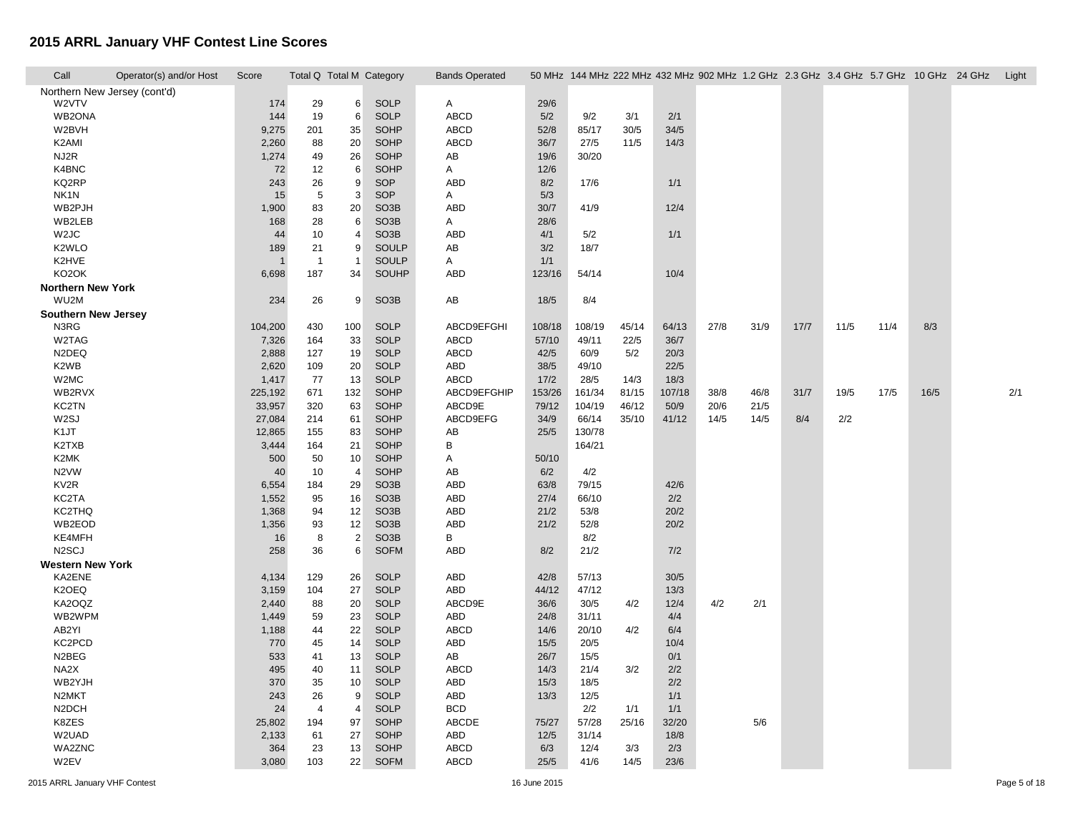| Call                         | Operator(s) and/or Host | Score   | Total Q Total M Category |                |                   | <b>Bands Operated</b> |        |        |       |        |      |      |      |      |      |      | 50 MHz 144 MHz 222 MHz 432 MHz 902 MHz 1.2 GHz 2.3 GHz 3.4 GHz 5.7 GHz 10 GHz 24 GHz Light |     |
|------------------------------|-------------------------|---------|--------------------------|----------------|-------------------|-----------------------|--------|--------|-------|--------|------|------|------|------|------|------|--------------------------------------------------------------------------------------------|-----|
| Northern New Jersey (cont'd) |                         |         |                          |                |                   |                       |        |        |       |        |      |      |      |      |      |      |                                                                                            |     |
| W2VTV                        |                         | 174     | 29                       | 6              | <b>SOLP</b>       | A                     | 29/6   |        |       |        |      |      |      |      |      |      |                                                                                            |     |
| WB2ONA                       |                         | 144     | 19                       | 6              | <b>SOLP</b>       | ABCD                  | 5/2    | 9/2    | 3/1   | 2/1    |      |      |      |      |      |      |                                                                                            |     |
| W2BVH                        |                         | 9,275   | 201                      | 35             | <b>SOHP</b>       | ABCD                  | 52/8   | 85/17  | 30/5  | 34/5   |      |      |      |      |      |      |                                                                                            |     |
| K2AMI                        |                         | 2,260   | 88                       | 20             | SOHP              | ABCD                  | 36/7   | 27/5   | 11/5  | 14/3   |      |      |      |      |      |      |                                                                                            |     |
| NJ2R                         |                         | 1,274   | 49                       | 26             | <b>SOHP</b>       | AB                    | 19/6   | 30/20  |       |        |      |      |      |      |      |      |                                                                                            |     |
| K4BNC                        |                         | 72      | 12                       | 6              | SOHP              | A                     | 12/6   |        |       |        |      |      |      |      |      |      |                                                                                            |     |
| KQ2RP                        |                         | 243     | 26                       | 9              | SOP               | ABD                   | 8/2    | 17/6   |       | 1/1    |      |      |      |      |      |      |                                                                                            |     |
| NK <sub>1</sub> N            |                         | 15      | 5                        | 3              | SOP               | A                     | 5/3    |        |       |        |      |      |      |      |      |      |                                                                                            |     |
| WB2PJH                       |                         | 1,900   | 83                       | 20             | SO <sub>3</sub> B | ABD                   | 30/7   | 41/9   |       | 12/4   |      |      |      |      |      |      |                                                                                            |     |
| WB2LEB                       |                         | 168     | 28                       | 6              | SO <sub>3</sub> B | Α                     | 28/6   |        |       |        |      |      |      |      |      |      |                                                                                            |     |
| W <sub>2J</sub> C            |                         | 44      | 10                       | $\overline{a}$ | SO <sub>3</sub> B | ABD                   | 4/1    | 5/2    |       | 1/1    |      |      |      |      |      |      |                                                                                            |     |
| K <sub>2</sub> WLO           |                         | 189     | 21                       | 9              | SOULP             | AB                    | 3/2    | 18/7   |       |        |      |      |      |      |      |      |                                                                                            |     |
| K2HVE                        |                         |         | $\overline{1}$           | $\overline{1}$ | SOULP             | A                     | 1/1    |        |       |        |      |      |      |      |      |      |                                                                                            |     |
| KO <sub>2</sub> OK           |                         | 6,698   | 187                      | 34             | SOUHP             | ABD                   | 123/16 | 54/14  |       | 10/4   |      |      |      |      |      |      |                                                                                            |     |
| <b>Northern New York</b>     |                         |         |                          |                |                   |                       |        |        |       |        |      |      |      |      |      |      |                                                                                            |     |
| WU2M                         |                         | 234     | 26                       | 9              | SO <sub>3</sub> B | AB                    | 18/5   | 8/4    |       |        |      |      |      |      |      |      |                                                                                            |     |
| <b>Southern New Jersey</b>   |                         |         |                          |                |                   |                       |        |        |       |        |      |      |      |      |      |      |                                                                                            |     |
| N3RG                         |                         | 104,200 | 430                      | 100            | <b>SOLP</b>       | ABCD9EFGHI            | 108/18 | 108/19 | 45/14 | 64/13  | 27/8 | 31/9 | 17/7 | 11/5 | 11/4 | 8/3  |                                                                                            |     |
| W2TAG                        |                         | 7,326   | 164                      | 33             | <b>SOLP</b>       | ABCD                  | 57/10  | 49/11  | 22/5  | 36/7   |      |      |      |      |      |      |                                                                                            |     |
| N <sub>2</sub> DEQ           |                         | 2,888   | 127                      | 19             | <b>SOLP</b>       | ABCD                  | 42/5   | 60/9   | 5/2   | 20/3   |      |      |      |      |      |      |                                                                                            |     |
| K2WB                         |                         | 2,620   | 109                      | 20             | <b>SOLP</b>       | ABD                   | 38/5   | 49/10  |       | 22/5   |      |      |      |      |      |      |                                                                                            |     |
| W2MC                         |                         | 1,417   | 77                       | 13             | <b>SOLP</b>       | ABCD                  | 17/2   | 28/5   | 14/3  | 18/3   |      |      |      |      |      |      |                                                                                            |     |
| WB2RVX                       |                         | 225,192 | 671                      | 132            | SOHP              | ABCD9EFGHIP           | 153/26 | 161/34 | 81/15 | 107/18 | 38/8 | 46/8 | 31/7 | 19/5 | 17/5 | 16/5 |                                                                                            | 2/1 |
| KC2TN                        |                         | 33,957  | 320                      | 63             | SOHP              | ABCD9E                | 79/12  | 104/19 | 46/12 | 50/9   | 20/6 | 21/5 |      |      |      |      |                                                                                            |     |
| W2SJ                         |                         | 27,084  | 214                      | 61             | SOHP              | ABCD9EFG              | 34/9   | 66/14  | 35/10 | 41/12  | 14/5 | 14/5 | 8/4  | 2/2  |      |      |                                                                                            |     |
| K1JT                         |                         | 12,865  | 155                      | 83             | SOHP              | AB                    | 25/5   | 130/78 |       |        |      |      |      |      |      |      |                                                                                            |     |
| K2TXB                        |                         | 3,444   | 164                      | 21             | SOHP              | В                     |        | 164/21 |       |        |      |      |      |      |      |      |                                                                                            |     |
| K2MK                         |                         | 500     | 50                       | 10             | <b>SOHP</b>       | Α                     | 50/10  |        |       |        |      |      |      |      |      |      |                                                                                            |     |
| N2VW                         |                         | 40      | 10                       | $\overline{4}$ | SOHP              | AB                    | 6/2    | 4/2    |       |        |      |      |      |      |      |      |                                                                                            |     |
| KV <sub>2R</sub>             |                         | 6,554   | 184                      | 29             | SO <sub>3</sub> B | ABD                   | 63/8   | 79/15  |       | 42/6   |      |      |      |      |      |      |                                                                                            |     |
| KC2TA                        |                         | 1,552   | 95                       | 16             | SO <sub>3</sub> B | ABD                   | 27/4   | 66/10  |       | 2/2    |      |      |      |      |      |      |                                                                                            |     |
| KC2THQ                       |                         | 1,368   | 94                       | 12             | SO <sub>3</sub> B | ABD                   | 21/2   | 53/8   |       | 20/2   |      |      |      |      |      |      |                                                                                            |     |
| WB2EOD                       |                         | 1,356   | 93                       | 12             | SO <sub>3</sub> B | ABD                   | 21/2   | 52/8   |       | 20/2   |      |      |      |      |      |      |                                                                                            |     |
| KE4MFH                       |                         | 16      | 8                        | $\overline{2}$ | SO <sub>3</sub> B | В                     |        | 8/2    |       |        |      |      |      |      |      |      |                                                                                            |     |
| N <sub>2</sub> SCJ           |                         | 258     | 36                       | 6              | <b>SOFM</b>       | ABD                   | 8/2    | 21/2   |       | 7/2    |      |      |      |      |      |      |                                                                                            |     |
| <b>Western New York</b>      |                         |         |                          |                |                   |                       |        |        |       |        |      |      |      |      |      |      |                                                                                            |     |
| KA2ENE                       |                         | 4,134   | 129                      | 26             | <b>SOLP</b>       | ABD                   | 42/8   | 57/13  |       | 30/5   |      |      |      |      |      |      |                                                                                            |     |
| K2OEQ                        |                         | 3,159   | 104                      | 27             | <b>SOLP</b>       | ABD                   | 44/12  | 47/12  |       | 13/3   |      |      |      |      |      |      |                                                                                            |     |
| KA2OQZ                       |                         | 2,440   | 88                       | 20             | <b>SOLP</b>       | ABCD9E                | 36/6   | 30/5   | 4/2   | 12/4   | 4/2  | 2/1  |      |      |      |      |                                                                                            |     |
| WB2WPM                       |                         | 1,449   | 59                       | 23             | <b>SOLP</b>       | ABD                   | 24/8   | 31/11  |       | 4/4    |      |      |      |      |      |      |                                                                                            |     |
| AB2YI                        |                         | 1,188   | 44                       | 22             | <b>SOLP</b>       | ABCD                  | 14/6   | 20/10  | 4/2   | 6/4    |      |      |      |      |      |      |                                                                                            |     |
| KC2PCD                       |                         | 770     | 45                       | 14             | <b>SOLP</b>       | ABD                   | 15/5   | 20/5   |       | 10/4   |      |      |      |      |      |      |                                                                                            |     |
| N2BEG                        |                         | 533     | 41                       | 13             | <b>SOLP</b>       | AB                    | 26/7   | 15/5   |       | 0/1    |      |      |      |      |      |      |                                                                                            |     |
| NA2X                         |                         | 495     | 40                       | 11             | <b>SOLP</b>       | ABCD                  | 14/3   | 21/4   | 3/2   | 2/2    |      |      |      |      |      |      |                                                                                            |     |
| WB2YJH                       |                         | 370     | 35                       | 10             | <b>SOLP</b>       | ABD                   | 15/3   | 18/5   |       | 2/2    |      |      |      |      |      |      |                                                                                            |     |
| N2MKT                        |                         | 243     | 26                       | 9              | <b>SOLP</b>       | ABD                   | 13/3   | 12/5   |       | 1/1    |      |      |      |      |      |      |                                                                                            |     |
| N <sub>2</sub> DCH           |                         | 24      | $\overline{4}$           | $\overline{4}$ | <b>SOLP</b>       | <b>BCD</b>            |        | 2/2    | 1/1   | 1/1    |      |      |      |      |      |      |                                                                                            |     |
| K8ZES                        |                         | 25,802  | 194                      | 97             | SOHP              | ABCDE                 | 75/27  | 57/28  | 25/16 | 32/20  |      | 5/6  |      |      |      |      |                                                                                            |     |
| W2UAD                        |                         | 2,133   | 61                       | 27             | <b>SOHP</b>       | ABD                   | 12/5   | 31/14  |       | 18/8   |      |      |      |      |      |      |                                                                                            |     |
| WA2ZNC                       |                         | 364     | 23                       | 13             | SOHP              | <b>ABCD</b>           | 6/3    | 12/4   | 3/3   | 2/3    |      |      |      |      |      |      |                                                                                            |     |
| W2EV                         |                         | 3,080   | 103                      | 22             | <b>SOFM</b>       | ABCD                  | 25/5   | 41/6   | 14/5  | 23/6   |      |      |      |      |      |      |                                                                                            |     |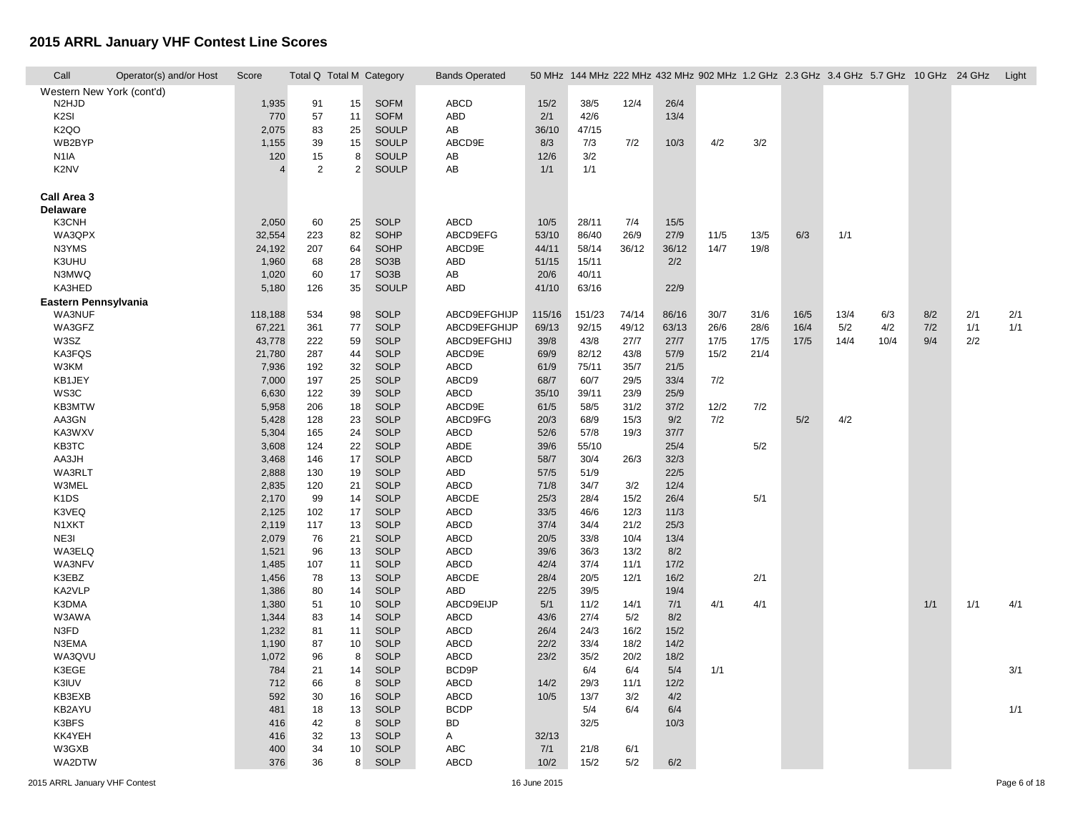| Call                          | Operator(s) and/or Host | Score                    | Total Q Total M Category |        |                   | <b>Bands Operated</b> |        |        |       | 50 MHz 144 MHz 222 MHz 432 MHz 902 MHz 1.2 GHz 2.3 GHz 3.4 GHz 5.7 GHz 10 GHz 24 GHz |      |      |      |      |      |     |     | Light |
|-------------------------------|-------------------------|--------------------------|--------------------------|--------|-------------------|-----------------------|--------|--------|-------|--------------------------------------------------------------------------------------|------|------|------|------|------|-----|-----|-------|
| Western New York (cont'd)     |                         |                          |                          |        |                   |                       |        |        |       |                                                                                      |      |      |      |      |      |     |     |       |
| N <sub>2</sub> HJD            |                         | 1,935                    | 91                       | 15     | <b>SOFM</b>       | ABCD                  | 15/2   | 38/5   | 12/4  | 26/4                                                                                 |      |      |      |      |      |     |     |       |
| K <sub>2</sub> SI             |                         | 770                      | 57                       | 11     | <b>SOFM</b>       | ABD                   | 2/1    | 42/6   |       | 13/4                                                                                 |      |      |      |      |      |     |     |       |
| K <sub>2</sub> QO             |                         | 2,075                    | 83                       | 25     | SOULP             | AB                    | 36/10  | 47/15  |       |                                                                                      |      |      |      |      |      |     |     |       |
| WB2BYP                        |                         | 1,155                    | 39                       | 15     | SOULP             | ABCD9E                | 8/3    | 7/3    | 7/2   | 10/3                                                                                 | 4/2  | 3/2  |      |      |      |     |     |       |
| N <sub>1</sub> IA             |                         | 120                      | 15                       | 8      | SOULP             | AB                    | 12/6   | 3/2    |       |                                                                                      |      |      |      |      |      |     |     |       |
| K2NV                          |                         | $\boldsymbol{\varDelta}$ | $\overline{2}$           | 2      | SOULP             | AB                    | 1/1    | 1/1    |       |                                                                                      |      |      |      |      |      |     |     |       |
| Call Area 3                   |                         |                          |                          |        |                   |                       |        |        |       |                                                                                      |      |      |      |      |      |     |     |       |
| <b>Delaware</b>               |                         |                          |                          |        |                   |                       |        |        |       |                                                                                      |      |      |      |      |      |     |     |       |
| K3CNH                         |                         | 2,050                    | 60                       | 25     | <b>SOLP</b>       | ABCD                  | 10/5   | 28/11  | 7/4   | 15/5                                                                                 |      |      |      |      |      |     |     |       |
| WA3QPX                        |                         | 32,554                   | 223                      | 82     | <b>SOHP</b>       | ABCD9EFG              | 53/10  | 86/40  | 26/9  | 27/9                                                                                 | 11/5 | 13/5 | 6/3  | 1/1  |      |     |     |       |
| N3YMS                         |                         | 24,192                   | 207                      | 64     | <b>SOHP</b>       | ABCD9E                | 44/11  | 58/14  | 36/12 | 36/12                                                                                | 14/7 | 19/8 |      |      |      |     |     |       |
| K3UHU                         |                         | 1,960                    | 68                       | 28     | SO <sub>3</sub> B | ABD                   | 51/15  | 15/11  |       | 2/2                                                                                  |      |      |      |      |      |     |     |       |
| N3MWQ                         |                         | 1,020                    | 60                       | 17     | SO <sub>3</sub> B | AB                    | 20/6   | 40/11  |       |                                                                                      |      |      |      |      |      |     |     |       |
| KA3HED                        |                         | 5,180                    | 126                      | 35     | SOULP             | ABD                   | 41/10  | 63/16  |       | 22/9                                                                                 |      |      |      |      |      |     |     |       |
| Eastern Pennsylvania          |                         |                          |                          |        |                   |                       |        |        |       |                                                                                      |      |      |      |      |      |     |     |       |
| <b>WA3NUF</b>                 |                         | 118,188                  | 534                      | 98     | <b>SOLP</b>       | ABCD9EFGHIJP          | 115/16 | 151/23 | 74/14 | 86/16                                                                                | 30/7 | 31/6 | 16/5 | 13/4 | 6/3  | 8/2 | 2/1 | 2/1   |
| WA3GFZ                        |                         | 67,221                   | 361                      | $77\,$ | <b>SOLP</b>       | ABCD9EFGHIJP          | 69/13  | 92/15  | 49/12 | 63/13                                                                                | 26/6 | 28/6 | 16/4 | 5/2  | 4/2  | 7/2 | 1/1 | 1/1   |
| W3SZ                          |                         | 43,778                   | 222                      | 59     | <b>SOLP</b>       | ABCD9EFGHIJ           | 39/8   | 43/8   | 27/7  | 27/7                                                                                 | 17/5 | 17/5 | 17/5 | 14/4 | 10/4 | 9/4 | 2/2 |       |
| KA3FQS                        |                         | 21,780                   | 287                      | 44     | <b>SOLP</b>       | ABCD9E                | 69/9   | 82/12  | 43/8  | 57/9                                                                                 | 15/2 | 21/4 |      |      |      |     |     |       |
| W3KM                          |                         | 7,936                    | 192                      | 32     | <b>SOLP</b>       | ABCD                  | 61/9   | 75/11  | 35/7  | 21/5                                                                                 |      |      |      |      |      |     |     |       |
| KB1JEY                        |                         | 7,000                    | 197                      | 25     | <b>SOLP</b>       | ABCD9                 | 68/7   | 60/7   | 29/5  | 33/4                                                                                 | 7/2  |      |      |      |      |     |     |       |
| WS3C                          |                         | 6,630                    | 122                      | 39     | <b>SOLP</b>       | ABCD                  | 35/10  | 39/11  | 23/9  | 25/9                                                                                 |      |      |      |      |      |     |     |       |
| KB3MTW                        |                         | 5,958                    | 206                      | 18     | <b>SOLP</b>       | ABCD9E                | 61/5   | 58/5   | 31/2  | 37/2                                                                                 | 12/2 | 7/2  |      |      |      |     |     |       |
| AA3GN                         |                         | 5,428                    | 128                      | 23     | <b>SOLP</b>       | ABCD9FG               | 20/3   | 68/9   | 15/3  | 9/2                                                                                  | 7/2  |      | 5/2  | 4/2  |      |     |     |       |
| KA3WXV                        |                         | 5,304                    | 165                      | 24     | <b>SOLP</b>       | ABCD                  | 52/6   | 57/8   | 19/3  | 37/7                                                                                 |      |      |      |      |      |     |     |       |
| KB3TC                         |                         | 3,608                    | 124                      | 22     | <b>SOLP</b>       | ABDE                  | 39/6   | 55/10  |       | 25/4                                                                                 |      | 5/2  |      |      |      |     |     |       |
| AA3JH                         |                         | 3,468                    | 146                      | 17     | <b>SOLP</b>       | ABCD                  | 58/7   | 30/4   | 26/3  | 32/3                                                                                 |      |      |      |      |      |     |     |       |
| WA3RLT                        |                         | 2,888                    | 130                      | 19     | <b>SOLP</b>       | ABD                   | 57/5   | 51/9   |       | 22/5                                                                                 |      |      |      |      |      |     |     |       |
| W3MEL                         |                         | 2,835                    | 120                      | 21     | <b>SOLP</b>       | ABCD                  | 71/8   | 34/7   | 3/2   | 12/4                                                                                 |      |      |      |      |      |     |     |       |
| K <sub>1</sub> D <sub>S</sub> |                         |                          | 99                       | 14     | <b>SOLP</b>       | ABCDE                 | 25/3   | 28/4   | 15/2  | 26/4                                                                                 |      | 5/1  |      |      |      |     |     |       |
| K3VEQ                         |                         | 2,170                    |                          | 17     |                   | ABCD                  | 33/5   |        |       |                                                                                      |      |      |      |      |      |     |     |       |
|                               |                         | 2,125                    | 102                      |        | <b>SOLP</b>       |                       |        | 46/6   | 12/3  | 11/3                                                                                 |      |      |      |      |      |     |     |       |
| N1XKT                         |                         | 2,119                    | 117                      | 13     | <b>SOLP</b>       | ABCD                  | 37/4   | 34/4   | 21/2  | 25/3                                                                                 |      |      |      |      |      |     |     |       |
| NE3I                          |                         | 2,079                    | 76                       | 21     | <b>SOLP</b>       | ABCD                  | 20/5   | 33/8   | 10/4  | 13/4                                                                                 |      |      |      |      |      |     |     |       |
| WA3ELQ                        |                         | 1,521                    | 96                       | 13     | <b>SOLP</b>       | ABCD                  | 39/6   | 36/3   | 13/2  | 8/2                                                                                  |      |      |      |      |      |     |     |       |
| WA3NFV                        |                         | 1,485                    | 107                      | 11     | <b>SOLP</b>       | ABCD                  | 42/4   | 37/4   | 11/1  | 17/2                                                                                 |      |      |      |      |      |     |     |       |
| K3EBZ                         |                         | 1,456                    | 78                       | 13     | <b>SOLP</b>       | ABCDE                 | 28/4   | 20/5   | 12/1  | 16/2                                                                                 |      | 2/1  |      |      |      |     |     |       |
| KA2VLP                        |                         | 1,386                    | 80                       | 14     | <b>SOLP</b>       | ABD                   | 22/5   | 39/5   |       | 19/4                                                                                 |      |      |      |      |      |     |     |       |
| K3DMA                         |                         | 1,380                    | 51                       | 10     | <b>SOLP</b>       | ABCD9EIJP             | 5/1    | 11/2   | 14/1  | 7/1                                                                                  | 4/1  | 4/1  |      |      |      | 1/1 | 1/1 | 4/1   |
| W3AWA                         |                         | 1,344                    | 83                       | 14     | <b>SOLP</b>       | <b>ABCD</b>           | 43/6   | 27/4   | 5/2   | 8/2                                                                                  |      |      |      |      |      |     |     |       |
| N3FD                          |                         | 1,232                    | 81                       | 11     | <b>SOLP</b>       | ABCD                  | 26/4   | 24/3   | 16/2  | 15/2                                                                                 |      |      |      |      |      |     |     |       |
| N3EMA                         |                         | 1,190                    | 87                       | 10     | <b>SOLP</b>       | <b>ABCD</b>           | 22/2   | 33/4   | 18/2  | 14/2                                                                                 |      |      |      |      |      |     |     |       |
| WA3QVU                        |                         | 1,072                    | 96                       | 8      | <b>SOLP</b>       | ABCD                  | 23/2   | 35/2   | 20/2  | 18/2                                                                                 |      |      |      |      |      |     |     |       |
| K3EGE                         |                         | 784                      | 21                       | 14     | <b>SOLP</b>       | BCD9P                 |        | 6/4    | 6/4   | 5/4                                                                                  | 1/1  |      |      |      |      |     |     | 3/1   |
| K3IUV                         |                         | 712                      | 66                       | 8      | <b>SOLP</b>       | ABCD                  | 14/2   | 29/3   | 11/1  | 12/2                                                                                 |      |      |      |      |      |     |     |       |
| KB3EXB                        |                         | 592                      | 30                       | 16     | <b>SOLP</b>       | ABCD                  | 10/5   | 13/7   | 3/2   | 4/2                                                                                  |      |      |      |      |      |     |     |       |
| KB2AYU                        |                         | 481                      | 18                       | 13     | <b>SOLP</b>       | <b>BCDP</b>           |        | 5/4    | 6/4   | 6/4                                                                                  |      |      |      |      |      |     |     | 1/1   |
| K3BFS                         |                         | 416                      | 42                       | 8      | <b>SOLP</b>       | <b>BD</b>             |        | 32/5   |       | 10/3                                                                                 |      |      |      |      |      |     |     |       |
| KK4YEH                        |                         | 416                      | 32                       | 13     | <b>SOLP</b>       | Α                     | 32/13  |        |       |                                                                                      |      |      |      |      |      |     |     |       |
| W3GXB                         |                         | 400                      | 34                       | 10     | <b>SOLP</b>       | ABC                   | 7/1    | 21/8   | 6/1   |                                                                                      |      |      |      |      |      |     |     |       |
| WA2DTW                        |                         | 376                      | 36                       | 8      | <b>SOLP</b>       | <b>ABCD</b>           | 10/2   | 15/2   | 5/2   | 6/2                                                                                  |      |      |      |      |      |     |     |       |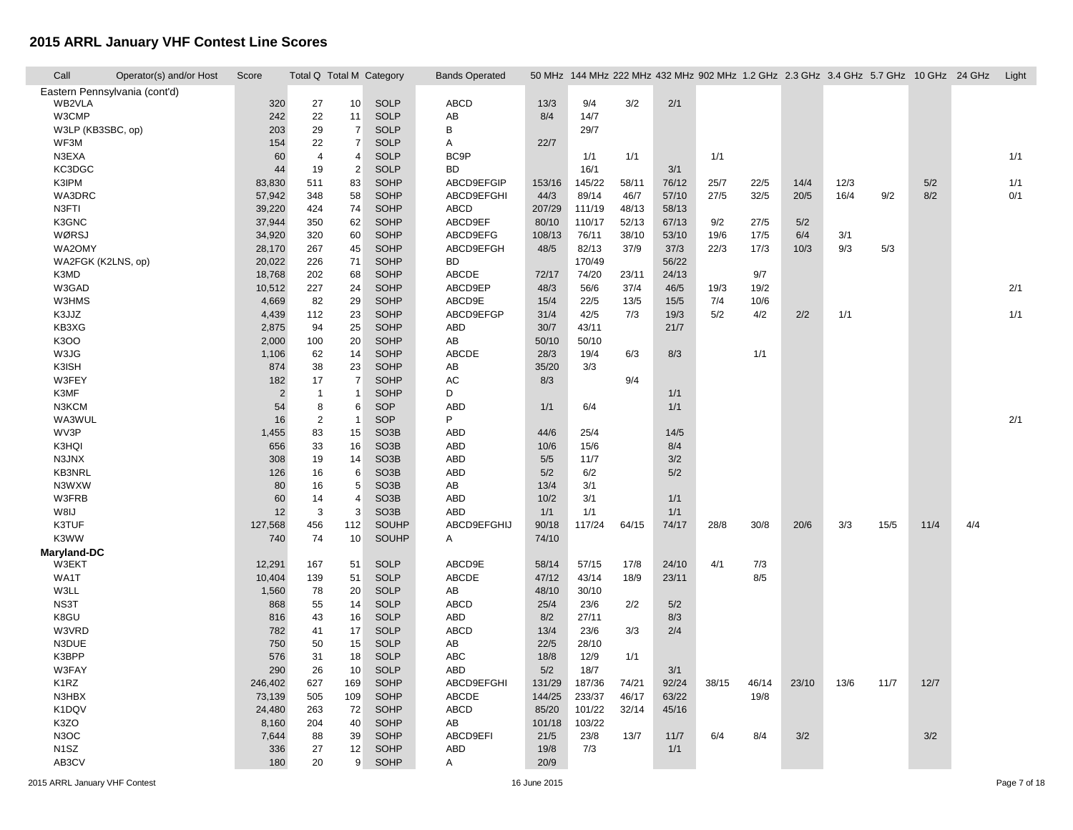| Call               | Operator(s) and/or Host       | Score          |                  |                 | Total Q Total M Category | <b>Bands Operated</b> |        |        |       |       |       |       |       |      | 50 MHz 144 MHz 222 MHz 432 MHz 902 MHz 1.2 GHz 2.3 GHz 3.4 GHz 5.7 GHz 10 GHz 24 GHz |      |     | Light |
|--------------------|-------------------------------|----------------|------------------|-----------------|--------------------------|-----------------------|--------|--------|-------|-------|-------|-------|-------|------|--------------------------------------------------------------------------------------|------|-----|-------|
|                    | Eastern Pennsylvania (cont'd) |                |                  |                 |                          |                       |        |        |       |       |       |       |       |      |                                                                                      |      |     |       |
| WB2VLA             |                               | 320            | 27               | 10              | <b>SOLP</b>              | ABCD                  | 13/3   | 9/4    | 3/2   | 2/1   |       |       |       |      |                                                                                      |      |     |       |
| W3CMP              |                               | 242            | 22               | 11              | <b>SOLP</b>              | AB                    | 8/4    | 14/7   |       |       |       |       |       |      |                                                                                      |      |     |       |
| W3LP (KB3SBC, op)  |                               | 203            | 29               | $\overline{7}$  | <b>SOLP</b>              | В                     |        | 29/7   |       |       |       |       |       |      |                                                                                      |      |     |       |
| WF3M               |                               | 154            | 22               | $\overline{7}$  | <b>SOLP</b>              | A                     | 22/7   |        |       |       |       |       |       |      |                                                                                      |      |     |       |
| N3EXA              |                               | 60             | $\overline{4}$   | $\overline{4}$  | <b>SOLP</b>              | BC <sub>9</sub> P     |        | 1/1    | 1/1   |       | 1/1   |       |       |      |                                                                                      |      |     | 1/1   |
| KC3DGC             |                               | 44             | 19               | $\overline{2}$  | <b>SOLP</b>              | <b>BD</b>             |        | 16/1   |       | 3/1   |       |       |       |      |                                                                                      |      |     |       |
| K3IPM              |                               | 83,830         | 511              | 83              | <b>SOHP</b>              | ABCD9EFGIP            | 153/16 | 145/22 | 58/11 | 76/12 | 25/7  | 22/5  | 14/4  | 12/3 |                                                                                      | 5/2  |     | 1/1   |
| WA3DRC             |                               | 57,942         | 348              | 58              | SOHP                     | ABCD9EFGHI            | 44/3   | 89/14  | 46/7  | 57/10 | 27/5  | 32/5  | 20/5  | 16/4 | 9/2                                                                                  | 8/2  |     | 0/1   |
| N3FTI              |                               | 39,220         | 424              | 74              | <b>SOHP</b>              | ABCD                  | 207/29 | 111/19 | 48/13 | 58/13 |       |       |       |      |                                                                                      |      |     |       |
| K3GNC              |                               | 37,944         | 350              | 62              | <b>SOHP</b>              | ABCD9EF               | 80/10  | 110/17 | 52/13 | 67/13 | 9/2   | 27/5  | 5/2   |      |                                                                                      |      |     |       |
| WØRSJ              |                               | 34,920         | 320              | 60              | <b>SOHP</b>              | ABCD9EFG              | 108/13 | 76/11  | 38/10 | 53/10 | 19/6  | 17/5  | 6/4   | 3/1  |                                                                                      |      |     |       |
| WA2OMY             |                               | 28,170         | 267              | 45              | <b>SOHP</b>              | ABCD9EFGH             | 48/5   | 82/13  | 37/9  | 37/3  | 22/3  | 17/3  | 10/3  | 9/3  | 5/3                                                                                  |      |     |       |
| WA2FGK (K2LNS, op) |                               | 20,022         | 226              | 71              | <b>SOHP</b>              | <b>BD</b>             |        | 170/49 |       | 56/22 |       |       |       |      |                                                                                      |      |     |       |
| K3MD               |                               | 18,768         | 202              | 68              | <b>SOHP</b>              | ABCDE                 | 72/17  | 74/20  | 23/11 | 24/13 |       | 9/7   |       |      |                                                                                      |      |     |       |
| W3GAD              |                               | 10,512         | 227              | 24              | <b>SOHP</b>              | ABCD9EP               | 48/3   | 56/6   | 37/4  | 46/5  | 19/3  | 19/2  |       |      |                                                                                      |      |     | 2/1   |
| <b>W3HMS</b>       |                               | 4,669          | 82               | 29              | <b>SOHP</b>              | ABCD9E                | 15/4   | 22/5   | 13/5  | 15/5  | 7/4   | 10/6  |       |      |                                                                                      |      |     |       |
| K3JJZ              |                               | 4,439          | 112              | 23              | SOHP                     | ABCD9EFGP             | 31/4   | 42/5   | 7/3   | 19/3  | 5/2   | 4/2   | 2/2   | 1/1  |                                                                                      |      |     | 1/1   |
| KB3XG              |                               | 2,875          | 94               | 25              | SOHP                     | ABD                   | 30/7   | 43/11  |       | 21/7  |       |       |       |      |                                                                                      |      |     |       |
| K3OO               |                               | 2,000          | 100              | 20              | SOHP                     | AB                    | 50/10  | 50/10  |       |       |       |       |       |      |                                                                                      |      |     |       |
| W3JG               |                               | 1,106          | 62               | 14              | <b>SOHP</b>              | ABCDE                 | 28/3   | 19/4   | 6/3   | 8/3   |       | 1/1   |       |      |                                                                                      |      |     |       |
| K3ISH              |                               | 874            | 38               | 23              | <b>SOHP</b>              | AB                    | 35/20  | 3/3    |       |       |       |       |       |      |                                                                                      |      |     |       |
| W3FEY              |                               | 182            | 17               | $\overline{7}$  | <b>SOHP</b>              | AC                    | 8/3    |        | 9/4   |       |       |       |       |      |                                                                                      |      |     |       |
| K3MF               |                               | $\overline{2}$ | $\overline{1}$   | $\mathbf{1}$    | <b>SOHP</b>              | D                     |        |        |       | 1/1   |       |       |       |      |                                                                                      |      |     |       |
| N3KCM              |                               | 54             | 8                | 6               | <b>SOP</b>               | ABD                   | 1/1    | 6/4    |       | 1/1   |       |       |       |      |                                                                                      |      |     |       |
| WA3WUL             |                               | 16             | $\boldsymbol{2}$ | $\mathbf{1}$    | <b>SOP</b>               | P                     |        |        |       |       |       |       |       |      |                                                                                      |      |     | 2/1   |
| WV3P               |                               | 1,455          | 83               | 15              | SO <sub>3</sub> B        | <b>ABD</b>            | 44/6   | 25/4   |       | 14/5  |       |       |       |      |                                                                                      |      |     |       |
| K3HQI              |                               | 656            | 33               | 16              | SO <sub>3</sub> B        | ABD                   | 10/6   | 15/6   |       | 8/4   |       |       |       |      |                                                                                      |      |     |       |
| N3JNX              |                               | 308            | 19               | 14              | SO <sub>3</sub> B        | ABD                   | 5/5    | 11/7   |       | 3/2   |       |       |       |      |                                                                                      |      |     |       |
| KB3NRL             |                               | 126            | 16               | $6\phantom{1}6$ | SO <sub>3</sub> B        | ABD                   | 5/2    | 6/2    |       | 5/2   |       |       |       |      |                                                                                      |      |     |       |
| N3WXW              |                               | 80             | 16               | 5               | SO <sub>3</sub> B        | AB                    | 13/4   | 3/1    |       |       |       |       |       |      |                                                                                      |      |     |       |
| W3FRB              |                               | 60             | 14               | $\overline{4}$  | SO <sub>3</sub> B        | ABD                   | 10/2   | 3/1    |       | 1/1   |       |       |       |      |                                                                                      |      |     |       |
| W8IJ               |                               | 12             | 3                | 3               | SO <sub>3</sub> B        | <b>ABD</b>            | 1/1    | 1/1    |       | 1/1   |       |       |       |      |                                                                                      |      |     |       |
| K3TUF              |                               | 127,568        | 456              | 112             | <b>SOUHP</b>             | ABCD9EFGHIJ           | 90/18  | 117/24 | 64/15 | 74/17 | 28/8  | 30/8  | 20/6  | 3/3  | 15/5                                                                                 | 11/4 | 4/4 |       |
| K3WW               |                               | 740            | 74               | 10              | SOUHP                    | A                     | 74/10  |        |       |       |       |       |       |      |                                                                                      |      |     |       |
| Maryland-DC        |                               |                |                  |                 |                          |                       |        |        |       |       |       |       |       |      |                                                                                      |      |     |       |
| W3EKT              |                               | 12,291         | 167              | 51              | <b>SOLP</b>              | ABCD9E                | 58/14  | 57/15  | 17/8  | 24/10 | 4/1   | 7/3   |       |      |                                                                                      |      |     |       |
| WA1T               |                               | 10,404         | 139              | 51              | <b>SOLP</b>              | ABCDE                 | 47/12  | 43/14  | 18/9  | 23/11 |       | 8/5   |       |      |                                                                                      |      |     |       |
| W3LL               |                               | 1,560          | 78               | 20              | <b>SOLP</b>              | AB                    | 48/10  | 30/10  |       |       |       |       |       |      |                                                                                      |      |     |       |
| NS3T               |                               | 868            | 55               | 14              | <b>SOLP</b>              | <b>ABCD</b>           | 25/4   | 23/6   | 2/2   | 5/2   |       |       |       |      |                                                                                      |      |     |       |
| K8GU               |                               | 816            | 43               | 16              | <b>SOLP</b>              | ABD                   | 8/2    | 27/11  |       | 8/3   |       |       |       |      |                                                                                      |      |     |       |
| W3VRD              |                               | 782            | 41               | 17              | <b>SOLP</b>              | <b>ABCD</b>           | 13/4   | 23/6   | 3/3   | 2/4   |       |       |       |      |                                                                                      |      |     |       |
| N3DUE              |                               | 750            | 50               | 15              | <b>SOLP</b>              | AB                    | 22/5   | 28/10  |       |       |       |       |       |      |                                                                                      |      |     |       |
| K3BPP              |                               | 576            | 31               | 18              | <b>SOLP</b>              | <b>ABC</b>            | 18/8   | 12/9   | 1/1   |       |       |       |       |      |                                                                                      |      |     |       |
| W3FAY              |                               | 290            | 26               | 10              | <b>SOLP</b>              | ABD                   | 5/2    | 18/7   |       | 3/1   |       |       |       |      |                                                                                      |      |     |       |
| K <sub>1</sub> RZ  |                               | 246,402        | 627              | 169             | SOHP                     | ABCD9EFGHI            | 131/29 | 187/36 | 74/21 | 92/24 | 38/15 | 46/14 | 23/10 | 13/6 | 11/7                                                                                 | 12/7 |     |       |
| N3HBX              |                               | 73,139         | 505              | 109             | <b>SOHP</b>              | <b>ABCDE</b>          | 144/25 | 233/37 | 46/17 | 63/22 |       | 19/8  |       |      |                                                                                      |      |     |       |
| K1DQV              |                               | 24,480         | 263              | 72              | SOHP                     | <b>ABCD</b>           | 85/20  | 101/22 | 32/14 | 45/16 |       |       |       |      |                                                                                      |      |     |       |
| K3ZO               |                               | 8,160          | 204              | 40              | <b>SOHP</b>              | AB                    | 101/18 | 103/22 |       |       |       |       |       |      |                                                                                      |      |     |       |
| N <sub>3</sub> OC  |                               | 7,644          | 88               | 39              | <b>SOHP</b>              | ABCD9EFI              | 21/5   | 23/8   | 13/7  | 11/7  | 6/4   | 8/4   | 3/2   |      |                                                                                      | 3/2  |     |       |
| N <sub>1</sub> SZ  |                               | 336            | 27               | 12              | <b>SOHP</b>              | ABD                   | 19/8   | 7/3    |       | 1/1   |       |       |       |      |                                                                                      |      |     |       |
| AB3CV              |                               | 180            | 20               | 9               | SOHP                     | A                     | 20/9   |        |       |       |       |       |       |      |                                                                                      |      |     |       |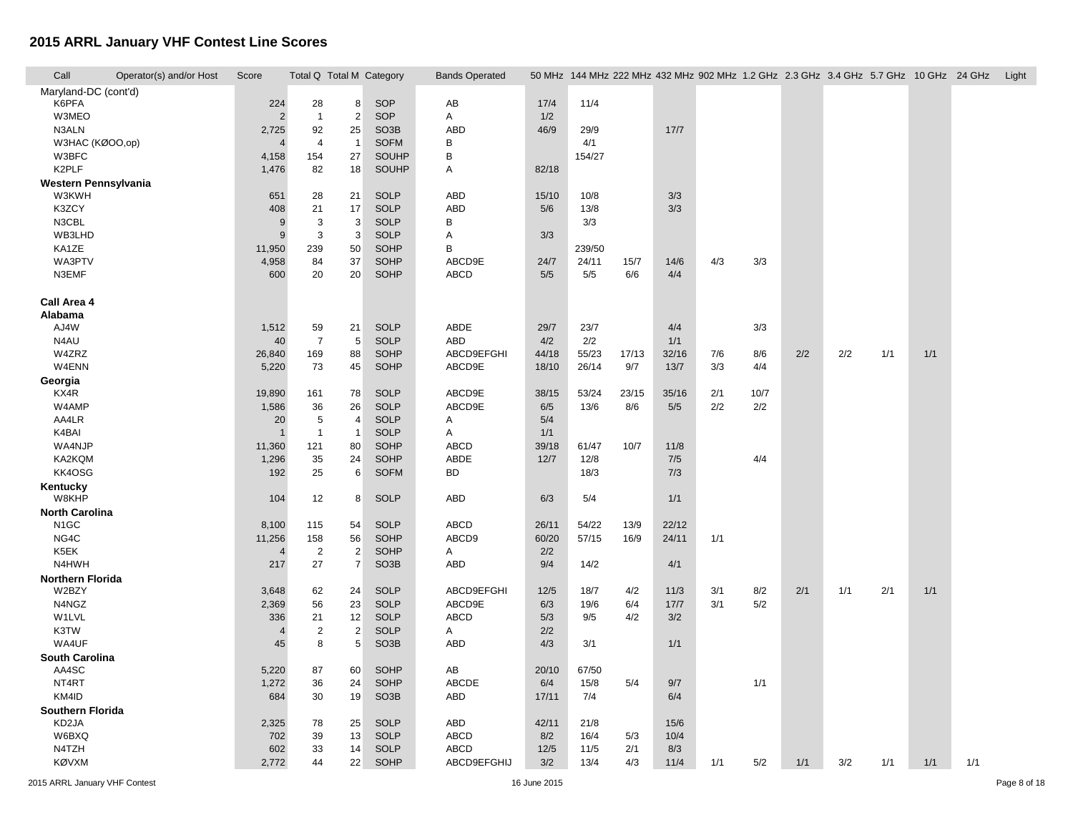| Call<br>Operator(s) and/or Host | Score            | Total Q Total M Category |                |                   | <b>Bands Operated</b> |       |        |       |       | 50 MHz 144 MHz 222 MHz 432 MHz 902 MHz 1.2 GHz 2.3 GHz 3.4 GHz 5.7 GHz 10 GHz 24 GHz |      |     |     |     |     |     | Light |
|---------------------------------|------------------|--------------------------|----------------|-------------------|-----------------------|-------|--------|-------|-------|--------------------------------------------------------------------------------------|------|-----|-----|-----|-----|-----|-------|
| Maryland-DC (cont'd)            |                  |                          |                |                   |                       |       |        |       |       |                                                                                      |      |     |     |     |     |     |       |
| K6PFA                           | 224              | 28                       | 8              | SOP               | AB                    | 17/4  | 11/4   |       |       |                                                                                      |      |     |     |     |     |     |       |
| W3MEO                           | $\overline{2}$   | $\mathbf{1}$             | $\overline{2}$ | SOP               | A                     | 1/2   |        |       |       |                                                                                      |      |     |     |     |     |     |       |
| N3ALN                           | 2,725            | 92                       | 25             | SO <sub>3</sub> B | <b>ABD</b>            | 46/9  | 29/9   |       | 17/7  |                                                                                      |      |     |     |     |     |     |       |
| W3HAC (KØOO,op)                 | 4                | $\overline{4}$           | $\overline{1}$ | <b>SOFM</b>       | B                     |       | 4/1    |       |       |                                                                                      |      |     |     |     |     |     |       |
| W3BFC                           | 4,158            | 154                      | 27             | SOUHP             | $\, {\sf B}$          |       | 154/27 |       |       |                                                                                      |      |     |     |     |     |     |       |
| K2PLF                           | 1,476            | 82                       | 18             | SOUHP             | A                     | 82/18 |        |       |       |                                                                                      |      |     |     |     |     |     |       |
| Western Pennsylvania            |                  |                          |                |                   |                       |       |        |       |       |                                                                                      |      |     |     |     |     |     |       |
| W3KWH                           | 651              | 28                       | 21             | <b>SOLP</b>       | <b>ABD</b>            | 15/10 | 10/8   |       | 3/3   |                                                                                      |      |     |     |     |     |     |       |
| K3ZCY                           | 408              | 21                       | 17             | <b>SOLP</b>       | <b>ABD</b>            | 5/6   | 13/8   |       | 3/3   |                                                                                      |      |     |     |     |     |     |       |
| N3CBL                           | 9                | 3                        | 3              | <b>SOLP</b>       | B                     |       | 3/3    |       |       |                                                                                      |      |     |     |     |     |     |       |
| WB3LHD                          | $\boldsymbol{9}$ | 3                        | 3              | <b>SOLP</b>       | A                     | 3/3   |        |       |       |                                                                                      |      |     |     |     |     |     |       |
| KA1ZE                           | 11,950           | 239                      | 50             | SOHP              | B                     |       | 239/50 |       |       |                                                                                      |      |     |     |     |     |     |       |
| WA3PTV                          | 4,958            | 84                       | 37             | SOHP              | ABCD9E                | 24/7  | 24/11  | 15/7  | 14/6  | 4/3                                                                                  | 3/3  |     |     |     |     |     |       |
| N3EMF                           | 600              | 20                       | 20             | SOHP              | ABCD                  | 5/5   | 5/5    | 6/6   | 4/4   |                                                                                      |      |     |     |     |     |     |       |
|                                 |                  |                          |                |                   |                       |       |        |       |       |                                                                                      |      |     |     |     |     |     |       |
| Call Area 4                     |                  |                          |                |                   |                       |       |        |       |       |                                                                                      |      |     |     |     |     |     |       |
| Alabama                         |                  |                          |                |                   |                       |       |        |       |       |                                                                                      |      |     |     |     |     |     |       |
| AJ4W                            | 1,512            | 59                       | 21             | <b>SOLP</b>       | ABDE                  | 29/7  | 23/7   |       | 4/4   |                                                                                      | 3/3  |     |     |     |     |     |       |
| N4AU                            | 40               | $\overline{7}$           | 5              | <b>SOLP</b>       | ABD                   | 4/2   | 2/2    |       | 1/1   |                                                                                      |      |     |     |     |     |     |       |
| W4ZRZ                           | 26,840           | 169                      | 88             | SOHP              | ABCD9EFGHI            | 44/18 | 55/23  | 17/13 | 32/16 | 7/6                                                                                  | 8/6  | 2/2 | 2/2 | 1/1 | 1/1 |     |       |
| W4ENN                           | 5,220            | 73                       | 45             | SOHP              | ABCD9E                | 18/10 | 26/14  | 9/7   | 13/7  | 3/3                                                                                  | 4/4  |     |     |     |     |     |       |
| Georgia                         |                  |                          |                |                   |                       |       |        |       |       |                                                                                      |      |     |     |     |     |     |       |
| KX4R                            | 19,890           | 161                      | 78             | <b>SOLP</b>       | ABCD9E                | 38/15 | 53/24  | 23/15 | 35/16 | 2/1                                                                                  | 10/7 |     |     |     |     |     |       |
| W4AMP                           | 1,586            | 36                       | 26             | <b>SOLP</b>       | ABCD9E                | 6/5   | 13/6   | 8/6   | 5/5   | 2/2                                                                                  | 2/2  |     |     |     |     |     |       |
| AA4LR                           | 20               | 5                        | $\overline{4}$ | <b>SOLP</b>       | Α                     | 5/4   |        |       |       |                                                                                      |      |     |     |     |     |     |       |
| K4BAI                           | $\mathbf{1}$     | $\mathbf{1}$             | $\overline{1}$ | <b>SOLP</b>       | Α                     | 1/1   |        |       |       |                                                                                      |      |     |     |     |     |     |       |
| WA4NJP                          | 11,360           | 121                      | 80             | SOHP              | ABCD                  | 39/18 | 61/47  | 10/7  | 11/8  |                                                                                      |      |     |     |     |     |     |       |
| KA2KQM                          | 1,296            | 35                       | 24             | <b>SOHP</b>       | ABDE                  | 12/7  | 12/8   |       | 7/5   |                                                                                      | 4/4  |     |     |     |     |     |       |
| KK4OSG                          | 192              | 25                       | 6              | <b>SOFM</b>       | <b>BD</b>             |       | 18/3   |       | 7/3   |                                                                                      |      |     |     |     |     |     |       |
| Kentucky                        |                  |                          |                |                   |                       |       |        |       |       |                                                                                      |      |     |     |     |     |     |       |
| W8KHP                           | 104              | 12                       | 8              | <b>SOLP</b>       | ABD                   | 6/3   | 5/4    |       | 1/1   |                                                                                      |      |     |     |     |     |     |       |
| <b>North Carolina</b>           |                  |                          |                |                   |                       |       |        |       |       |                                                                                      |      |     |     |     |     |     |       |
| N <sub>1</sub> GC               | 8,100            | 115                      | 54             | <b>SOLP</b>       | ABCD                  | 26/11 | 54/22  | 13/9  | 22/12 |                                                                                      |      |     |     |     |     |     |       |
| NG4C                            | 11,256           | 158                      | 56             | <b>SOHP</b>       | ABCD9                 | 60/20 | 57/15  | 16/9  | 24/11 | 1/1                                                                                  |      |     |     |     |     |     |       |
| K5EK                            | $\overline{4}$   | $\overline{2}$           | $\overline{2}$ | SOHP              | A                     | 2/2   |        |       |       |                                                                                      |      |     |     |     |     |     |       |
| N4HWH                           | 217              | 27                       | $\overline{7}$ | SO <sub>3</sub> B | ABD                   | 9/4   | 14/2   |       | 4/1   |                                                                                      |      |     |     |     |     |     |       |
| <b>Northern Florida</b>         |                  |                          |                |                   |                       |       |        |       |       |                                                                                      |      |     |     |     |     |     |       |
| W2BZY                           | 3,648            | 62                       | 24             | <b>SOLP</b>       | ABCD9EFGHI            | 12/5  | 18/7   | 4/2   | 11/3  | 3/1                                                                                  | 8/2  | 2/1 | 1/1 | 2/1 | 1/1 |     |       |
| N4NGZ                           | 2,369            | 56                       | 23             | <b>SOLP</b>       | ABCD9E                | 6/3   | 19/6   | 6/4   | 17/7  | 3/1                                                                                  | 5/2  |     |     |     |     |     |       |
| W1LVL                           | 336              | 21                       | 12             | <b>SOLP</b>       | <b>ABCD</b>           | 5/3   | 9/5    | 4/2   | 3/2   |                                                                                      |      |     |     |     |     |     |       |
| K3TW                            | $\overline{4}$   | $\overline{c}$           | $\overline{c}$ | <b>SOLP</b>       | A                     | 2/2   |        |       |       |                                                                                      |      |     |     |     |     |     |       |
| WA4UF                           | 45               | 8                        | 5              | SO <sub>3</sub> B | ABD                   | 4/3   | 3/1    |       | 1/1   |                                                                                      |      |     |     |     |     |     |       |
| <b>South Carolina</b>           |                  |                          |                |                   |                       |       |        |       |       |                                                                                      |      |     |     |     |     |     |       |
| AA4SC                           | 5,220            | 87                       | 60             | <b>SOHP</b>       | AB                    | 20/10 | 67/50  |       |       |                                                                                      |      |     |     |     |     |     |       |
| NT4RT                           | 1,272            | 36                       | 24             | SOHP              | ABCDE                 | 6/4   | 15/8   | 5/4   | 9/7   |                                                                                      | 1/1  |     |     |     |     |     |       |
| KM4ID                           | 684              | 30                       | 19             | SO <sub>3</sub> B | ABD                   | 17/11 | 7/4    |       | 6/4   |                                                                                      |      |     |     |     |     |     |       |
| Southern Florida                |                  |                          |                |                   |                       |       |        |       |       |                                                                                      |      |     |     |     |     |     |       |
| KD2JA                           | 2,325            | 78                       | 25             | <b>SOLP</b>       | ABD                   | 42/11 | 21/8   |       | 15/6  |                                                                                      |      |     |     |     |     |     |       |
| W6BXQ                           | 702              | 39                       | 13             | <b>SOLP</b>       | <b>ABCD</b>           | 8/2   | 16/4   | 5/3   | 10/4  |                                                                                      |      |     |     |     |     |     |       |
| N4TZH                           | 602              | 33                       | 14             | <b>SOLP</b>       | ABCD                  | 12/5  | 11/5   | 2/1   | 8/3   |                                                                                      |      |     |     |     |     |     |       |
| <b>KØVXM</b>                    | 2,772            | 44                       | 22             | <b>SOHP</b>       | ABCD9EFGHIJ           | 3/2   | 13/4   | 4/3   | 11/4  | 1/1                                                                                  | 5/2  | 1/1 | 3/2 | 1/1 | 1/1 | 1/1 |       |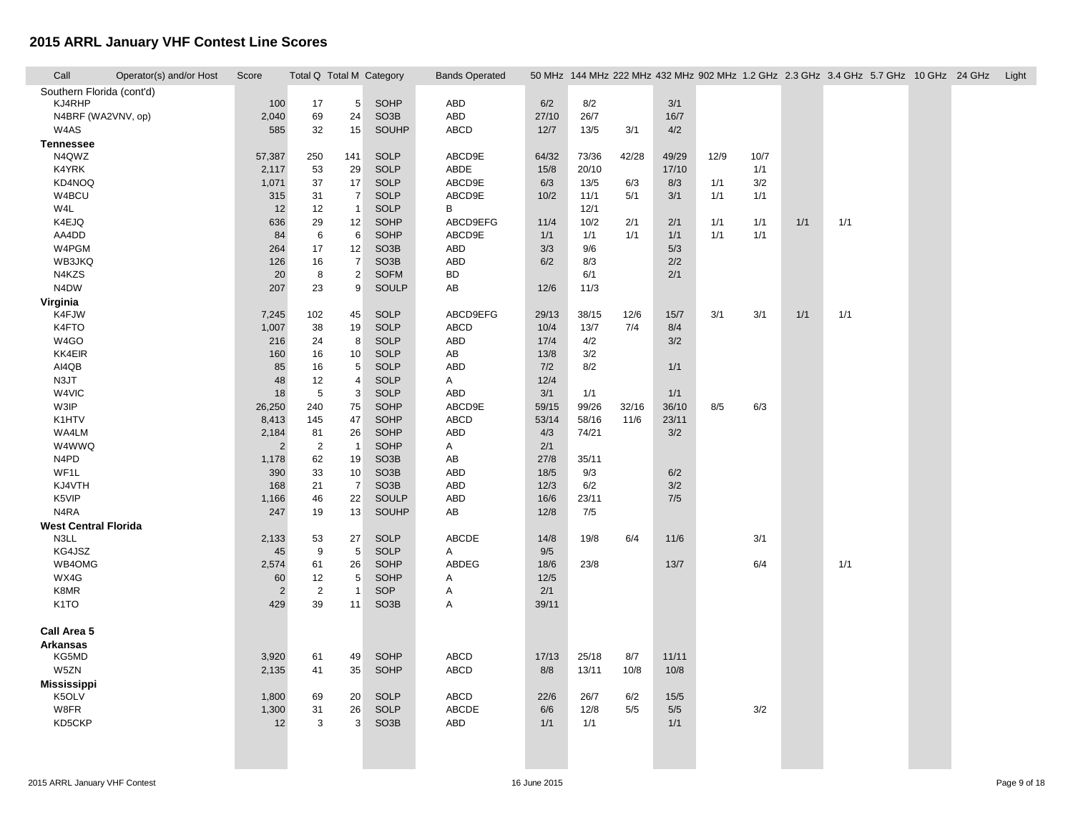| Call                        | Operator(s) and/or Host | Score          | Total Q Total M Category |                     |                            | <b>Bands Operated</b> |             |              |             |       |      |      |     | 50 MHz 144 MHz 222 MHz 432 MHz 902 MHz 1.2 GHz 2.3 GHz 3.4 GHz 5.7 GHz 10 GHz 24 GHz |  | Light |
|-----------------------------|-------------------------|----------------|--------------------------|---------------------|----------------------------|-----------------------|-------------|--------------|-------------|-------|------|------|-----|--------------------------------------------------------------------------------------|--|-------|
| Southern Florida (cont'd)   |                         |                |                          |                     |                            |                       |             |              |             |       |      |      |     |                                                                                      |  |       |
| KJ4RHP                      |                         | 100            | 17                       | 5                   | SOHP                       | ABD                   | 6/2         | 8/2          |             | 3/1   |      |      |     |                                                                                      |  |       |
|                             | N4BRF (WA2VNV, op)      | 2,040          | 69                       | 24                  | SO <sub>3</sub> B          | ABD                   | 27/10       | 26/7         |             | 16/7  |      |      |     |                                                                                      |  |       |
| W4AS                        |                         | 585            | 32                       | 15                  | <b>SOUHP</b>               | ABCD                  | 12/7        | 13/5         | 3/1         | 4/2   |      |      |     |                                                                                      |  |       |
| <b>Tennessee</b>            |                         |                |                          |                     |                            |                       |             |              |             |       |      |      |     |                                                                                      |  |       |
| N4QWZ                       |                         | 57,387         | 250                      | 141                 | <b>SOLP</b>                | ABCD9E                | 64/32       | 73/36        | 42/28       | 49/29 | 12/9 | 10/7 |     |                                                                                      |  |       |
| K4YRK                       |                         | 2,117          | 53                       | 29                  | <b>SOLP</b>                | ABDE                  | 15/8        | 20/10        |             | 17/10 |      | 1/1  |     |                                                                                      |  |       |
| KD4NOQ                      |                         | 1,071          | 37                       | 17                  | <b>SOLP</b>                | ABCD9E                | 6/3         | 13/5         | 6/3         | 8/3   | 1/1  | 3/2  |     |                                                                                      |  |       |
| W4BCU                       |                         | 315            | 31                       | $\overline{7}$      | <b>SOLP</b>                | ABCD9E                | 10/2        | 11/1         | 5/1         | 3/1   | 1/1  | 1/1  |     |                                                                                      |  |       |
| W4L                         |                         | 12             | 12                       | $\overline{1}$      | <b>SOLP</b>                | B                     |             | 12/1         |             |       |      |      |     |                                                                                      |  |       |
| K4EJQ                       |                         | 636            | 29                       | 12                  | SOHP                       | ABCD9EFG              | 11/4        | 10/2         | 2/1         | 2/1   | 1/1  | 1/1  | 1/1 | 1/1                                                                                  |  |       |
| AA4DD                       |                         | 84             | $\,6$                    | 6                   | <b>SOHP</b>                | ABCD9E                | 1/1         | 1/1          | 1/1         | 1/1   | 1/1  | 1/1  |     |                                                                                      |  |       |
| W4PGM                       |                         | 264            | 17                       | 12                  | SO <sub>3</sub> B          | ABD                   | 3/3         | 9/6          |             | 5/3   |      |      |     |                                                                                      |  |       |
| WB3JKQ                      |                         | 126            | 16                       | $\overline{7}$      | SO <sub>3</sub> B          | ABD                   | 6/2         | 8/3          |             | 2/2   |      |      |     |                                                                                      |  |       |
| N4KZS                       |                         | 20             | 8                        | $\overline{2}$      | <b>SOFM</b>                | <b>BD</b>             |             | 6/1          |             | 2/1   |      |      |     |                                                                                      |  |       |
| N4DW                        |                         | 207            | 23                       | 9                   | <b>SOULP</b>               | AB                    | 12/6        | 11/3         |             |       |      |      |     |                                                                                      |  |       |
| Virginia                    |                         |                |                          |                     |                            |                       |             |              |             |       | 3/1  |      |     | 1/1                                                                                  |  |       |
| K4FJW                       |                         | 7,245          | 102                      | 45                  | <b>SOLP</b>                | ABCD9EFG              | 29/13       | 38/15        | 12/6<br>7/4 | 15/7  |      | 3/1  | 1/1 |                                                                                      |  |       |
| K4FTO<br>W4GO               |                         | 1,007          | 38                       | 19<br>8             | <b>SOLP</b>                | ABCD                  | 10/4        | 13/7         |             | 8/4   |      |      |     |                                                                                      |  |       |
| KK4EIR                      |                         | 216            | 24                       |                     | <b>SOLP</b><br><b>SOLP</b> | ABD                   | 17/4        | 4/2          |             | 3/2   |      |      |     |                                                                                      |  |       |
| AI4QB                       |                         | 160            | 16                       | 10                  | <b>SOLP</b>                | AB<br><b>ABD</b>      | 13/8        | 3/2<br>8/2   |             |       |      |      |     |                                                                                      |  |       |
| N3JT                        |                         | 85<br>48       | 16<br>12                 | 5<br>$\overline{4}$ | <b>SOLP</b>                | A                     | 7/2<br>12/4 |              |             | 1/1   |      |      |     |                                                                                      |  |       |
| W4VIC                       |                         |                | $\sqrt{5}$               |                     | <b>SOLP</b>                | ABD                   | 3/1         |              |             | 1/1   |      |      |     |                                                                                      |  |       |
| W3IP                        |                         | 18<br>26,250   | 240                      | 3<br>75             | <b>SOHP</b>                | ABCD9E                | 59/15       | 1/1<br>99/26 | 32/16       | 36/10 | 8/5  | 6/3  |     |                                                                                      |  |       |
| K1HTV                       |                         |                | 145                      | 47                  | SOHP                       | <b>ABCD</b>           | 53/14       | 58/16        | 11/6        | 23/11 |      |      |     |                                                                                      |  |       |
| WA4LM                       |                         | 8,413<br>2,184 | 81                       | 26                  | <b>SOHP</b>                | <b>ABD</b>            | 4/3         | 74/21        |             | 3/2   |      |      |     |                                                                                      |  |       |
| W4WWQ                       |                         | 2              | $\sqrt{2}$               | $\overline{1}$      | <b>SOHP</b>                | A                     | 2/1         |              |             |       |      |      |     |                                                                                      |  |       |
| N4PD                        |                         | 1,178          | 62                       | 19                  | SO <sub>3</sub> B          | AB                    | 27/8        | 35/11        |             |       |      |      |     |                                                                                      |  |       |
| WF1L                        |                         | 390            | 33                       | 10                  | SO <sub>3</sub> B          | <b>ABD</b>            | 18/5        | 9/3          |             | 6/2   |      |      |     |                                                                                      |  |       |
| KJ4VTH                      |                         | 168            | 21                       | $\overline{7}$      | SO <sub>3</sub> B          | <b>ABD</b>            | 12/3        | 6/2          |             | 3/2   |      |      |     |                                                                                      |  |       |
| K5VIP                       |                         | 1,166          | 46                       | 22                  | <b>SOULP</b>               | <b>ABD</b>            | 16/6        | 23/11        |             | 7/5   |      |      |     |                                                                                      |  |       |
| N4RA                        |                         | 247            | 19                       | 13                  | <b>SOUHP</b>               | AB                    | 12/8        | 7/5          |             |       |      |      |     |                                                                                      |  |       |
| <b>West Central Florida</b> |                         |                |                          |                     |                            |                       |             |              |             |       |      |      |     |                                                                                      |  |       |
| N3LL                        |                         | 2,133          | 53                       | 27                  | <b>SOLP</b>                | ABCDE                 | 14/8        | 19/8         | 6/4         | 11/6  |      | 3/1  |     |                                                                                      |  |       |
| KG4JSZ                      |                         | 45             | 9                        | 5                   | <b>SOLP</b>                | A                     | 9/5         |              |             |       |      |      |     |                                                                                      |  |       |
| WB4OMG                      |                         | 2,574          | 61                       | 26                  | <b>SOHP</b>                | ABDEG                 | 18/6        | 23/8         |             | 13/7  |      | 6/4  |     | 1/1                                                                                  |  |       |
| WX4G                        |                         | 60             | 12                       | 5                   | SOHP                       | A                     | 12/5        |              |             |       |      |      |     |                                                                                      |  |       |
| K8MR                        |                         | $\overline{2}$ | $\sqrt{2}$               | $\overline{1}$      | SOP                        | Α                     | 2/1         |              |             |       |      |      |     |                                                                                      |  |       |
| K <sub>1</sub> TO           |                         | 429            | 39                       | 11                  | SO <sub>3</sub> B          | A                     | 39/11       |              |             |       |      |      |     |                                                                                      |  |       |
|                             |                         |                |                          |                     |                            |                       |             |              |             |       |      |      |     |                                                                                      |  |       |
| Call Area 5                 |                         |                |                          |                     |                            |                       |             |              |             |       |      |      |     |                                                                                      |  |       |
| <b>Arkansas</b>             |                         |                |                          |                     |                            |                       |             |              |             |       |      |      |     |                                                                                      |  |       |
| KG5MD                       |                         | 3,920          | 61                       | 49                  | SOHP                       | <b>ABCD</b>           | 17/13       | 25/18        | 8/7         | 11/11 |      |      |     |                                                                                      |  |       |
| W5ZN                        |                         | 2,135          | 41                       | 35                  | SOHP                       | ABCD                  | 8/8         | 13/11        | 10/8        | 10/8  |      |      |     |                                                                                      |  |       |
| <b>Mississippi</b>          |                         |                |                          |                     |                            |                       |             |              |             |       |      |      |     |                                                                                      |  |       |
| K5OLV                       |                         | 1,800          | 69                       | 20                  | <b>SOLP</b>                | ABCD                  | 22/6        | 26/7         | 6/2         | 15/5  |      |      |     |                                                                                      |  |       |
| W8FR                        |                         | 1,300          | 31                       | 26                  | <b>SOLP</b>                | ABCDE                 | 6/6         | 12/8         | 5/5         | 5/5   |      | 3/2  |     |                                                                                      |  |       |
| KD5CKP                      |                         | 12             | 3                        | 3                   | SO <sub>3</sub> B          | ABD                   | 1/1         | 1/1          |             | 1/1   |      |      |     |                                                                                      |  |       |
|                             |                         |                |                          |                     |                            |                       |             |              |             |       |      |      |     |                                                                                      |  |       |
|                             |                         |                |                          |                     |                            |                       |             |              |             |       |      |      |     |                                                                                      |  |       |
|                             |                         |                |                          |                     |                            |                       |             |              |             |       |      |      |     |                                                                                      |  |       |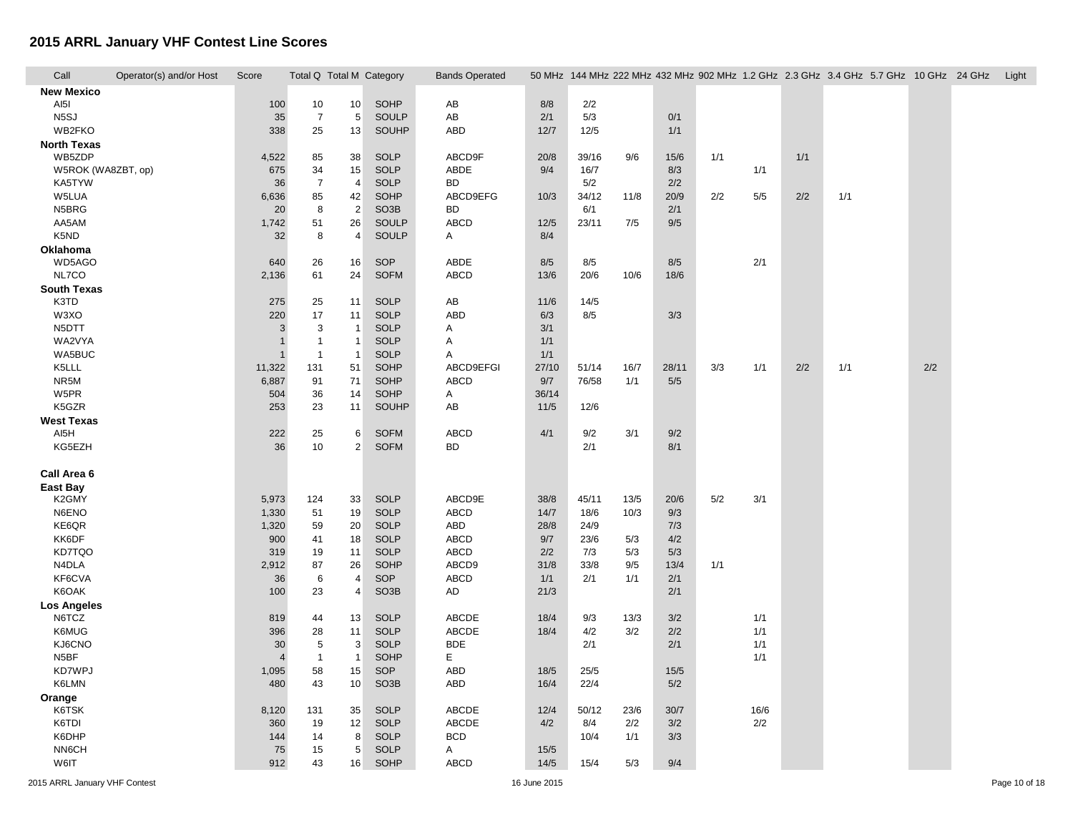| Call               | Operator(s) and/or Host | Score          | Total Q Total M Category |                     |                            | <b>Bands Operated</b> |       |            |      |       | 50 MHz 144 MHz 222 MHz 432 MHz 902 MHz 1.2 GHz 2.3 GHz 3.4 GHz 5.7 GHz 10 GHz 24 GHz |      |     |     |     | Light |
|--------------------|-------------------------|----------------|--------------------------|---------------------|----------------------------|-----------------------|-------|------------|------|-------|--------------------------------------------------------------------------------------|------|-----|-----|-----|-------|
| <b>New Mexico</b>  |                         |                |                          |                     |                            |                       |       |            |      |       |                                                                                      |      |     |     |     |       |
| AI5I               |                         | 100            | 10                       | 10 <sup>1</sup>     | SOHP                       | AB                    | 8/8   | 2/2        |      |       |                                                                                      |      |     |     |     |       |
| N <sub>5</sub> SJ  |                         | 35             | $\overline{7}$           | 5                   | SOULP                      | AB                    | 2/1   | 5/3        |      | 0/1   |                                                                                      |      |     |     |     |       |
| WB2FKO             |                         | 338            | 25                       | 13                  | SOUHP                      | <b>ABD</b>            | 12/7  | 12/5       |      | 1/1   |                                                                                      |      |     |     |     |       |
| <b>North Texas</b> |                         |                |                          |                     |                            |                       |       |            |      |       |                                                                                      |      |     |     |     |       |
| WB5ZDP             |                         | 4,522          | 85                       | 38                  | <b>SOLP</b>                | ABCD9F                | 20/8  | 39/16      | 9/6  | 15/6  | 1/1                                                                                  |      | 1/1 |     |     |       |
| W5ROK (WA8ZBT, op) |                         | 675            | 34                       | 15                  | <b>SOLP</b>                | ABDE                  | 9/4   | 16/7       |      | 8/3   |                                                                                      | 1/1  |     |     |     |       |
| KA5TYW             |                         | 36             | $\overline{7}$           | 4                   | <b>SOLP</b>                | <b>BD</b>             |       | 5/2        |      | 2/2   |                                                                                      |      |     |     |     |       |
| W5LUA              |                         | 6,636          | 85                       | 42                  | SOHP                       | ABCD9EFG              | 10/3  | 34/12      | 11/8 | 20/9  | 2/2                                                                                  | 5/5  | 2/2 | 1/1 |     |       |
| N5BRG              |                         | 20             | 8                        | $\overline{2}$      | SO <sub>3</sub> B          | <b>BD</b>             |       | 6/1        |      | 2/1   |                                                                                      |      |     |     |     |       |
| AA5AM              |                         | 1,742          | 51                       | 26                  | <b>SOULP</b>               | ABCD                  | 12/5  | 23/11      | 7/5  | 9/5   |                                                                                      |      |     |     |     |       |
| K5ND               |                         | 32             | 8                        | 4                   | SOULP                      | A                     | 8/4   |            |      |       |                                                                                      |      |     |     |     |       |
| Oklahoma           |                         |                |                          |                     |                            |                       |       |            |      |       |                                                                                      |      |     |     |     |       |
| WD5AGO             |                         | 640            | 26                       | 16                  | SOP                        | ABDE                  | 8/5   | 8/5        |      | 8/5   |                                                                                      | 2/1  |     |     |     |       |
| NL7CO              |                         | 2,136          | 61                       | 24                  | <b>SOFM</b>                | ABCD                  | 13/6  | 20/6       | 10/6 | 18/6  |                                                                                      |      |     |     |     |       |
| <b>South Texas</b> |                         |                |                          |                     |                            |                       |       |            |      |       |                                                                                      |      |     |     |     |       |
| K3TD               |                         | 275            | 25                       | 11                  | <b>SOLP</b>                | AB                    | 11/6  | 14/5       |      |       |                                                                                      |      |     |     |     |       |
| W3XO               |                         | 220            | 17                       | 11                  | <b>SOLP</b>                | <b>ABD</b>            | 6/3   | 8/5        |      | 3/3   |                                                                                      |      |     |     |     |       |
| N5DTT              |                         | $\mathbf{3}$   | 3                        | $\mathbf{1}$        | <b>SOLP</b>                | Α                     | 3/1   |            |      |       |                                                                                      |      |     |     |     |       |
| WA2VYA             |                         | $\mathbf 1$    | $\mathbf{1}$             | $\mathbf{1}$        | <b>SOLP</b>                | A                     | 1/1   |            |      |       |                                                                                      |      |     |     |     |       |
| WA5BUC             |                         | $\mathbf{1}$   | $\mathbf{1}$             | $\overline{1}$      | <b>SOLP</b>                | Α                     | 1/1   |            |      |       |                                                                                      |      |     |     |     |       |
| K5LLL              |                         | 11,322         | 131                      | 51                  | SOHP                       | ABCD9EFGI             | 27/10 | 51/14      | 16/7 | 28/11 | 3/3                                                                                  | 1/1  | 2/2 | 1/1 | 2/2 |       |
| NR5M               |                         | 6,887          | 91                       | 71                  | SOHP                       | ABCD                  | 9/7   | 76/58      | 1/1  | 5/5   |                                                                                      |      |     |     |     |       |
| W5PR               |                         | 504            | 36                       | 14                  | SOHP                       | A                     | 36/14 |            |      |       |                                                                                      |      |     |     |     |       |
| K5GZR              |                         | 253            | 23                       | 11                  | <b>SOUHP</b>               | AB                    | 11/5  | 12/6       |      |       |                                                                                      |      |     |     |     |       |
| <b>West Texas</b>  |                         |                |                          |                     |                            | <b>ABCD</b>           | 4/1   |            |      |       |                                                                                      |      |     |     |     |       |
| AI5H<br>KG5EZH     |                         | 222<br>36      | 25<br>10                 | 6<br>$\overline{2}$ | <b>SOFM</b><br><b>SOFM</b> | <b>BD</b>             |       | 9/2<br>2/1 | 3/1  | 9/2   |                                                                                      |      |     |     |     |       |
|                    |                         |                |                          |                     |                            |                       |       |            |      | 8/1   |                                                                                      |      |     |     |     |       |
| Call Area 6        |                         |                |                          |                     |                            |                       |       |            |      |       |                                                                                      |      |     |     |     |       |
| <b>East Bay</b>    |                         |                |                          |                     |                            |                       |       |            |      |       |                                                                                      |      |     |     |     |       |
| K2GMY              |                         | 5,973          | 124                      | 33                  | <b>SOLP</b>                | ABCD9E                | 38/8  | 45/11      | 13/5 | 20/6  | 5/2                                                                                  | 3/1  |     |     |     |       |
| N6ENO              |                         | 1,330          | 51                       | 19                  | <b>SOLP</b>                | <b>ABCD</b>           | 14/7  | 18/6       | 10/3 | 9/3   |                                                                                      |      |     |     |     |       |
| KE6QR              |                         | 1,320          | 59                       | 20                  | <b>SOLP</b>                | ABD                   | 28/8  | 24/9       |      | 7/3   |                                                                                      |      |     |     |     |       |
| KK6DF              |                         | 900            | 41                       | 18                  | <b>SOLP</b>                | ABCD                  | 9/7   | 23/6       | 5/3  | 4/2   |                                                                                      |      |     |     |     |       |
| KD7TQO             |                         | 319            | 19                       | 11                  | <b>SOLP</b>                | ABCD                  | 2/2   | 7/3        | 5/3  | 5/3   |                                                                                      |      |     |     |     |       |
| N4DLA              |                         | 2,912          | 87                       | 26                  | SOHP                       | ABCD9                 | 31/8  | 33/8       | 9/5  | 13/4  | 1/1                                                                                  |      |     |     |     |       |
| KF6CVA             |                         | 36             | 6                        | $\overline{4}$      | SOP                        | ABCD                  | 1/1   | 2/1        | 1/1  | 2/1   |                                                                                      |      |     |     |     |       |
| K6OAK              |                         | 100            | 23                       | $\overline{4}$      | SO <sub>3</sub> B          | AD                    | 21/3  |            |      | 2/1   |                                                                                      |      |     |     |     |       |
| <b>Los Angeles</b> |                         |                |                          |                     |                            |                       |       |            |      |       |                                                                                      |      |     |     |     |       |
| N6TCZ              |                         | 819            | 44                       | 13                  | <b>SOLP</b>                | ABCDE                 | 18/4  | 9/3        | 13/3 | 3/2   |                                                                                      | 1/1  |     |     |     |       |
| K6MUG              |                         | 396            | 28                       | 11                  | <b>SOLP</b>                | ABCDE                 | 18/4  | 4/2        | 3/2  | 2/2   |                                                                                      | 1/1  |     |     |     |       |
| KJ6CNO             |                         | 30             | 5                        | 3                   | <b>SOLP</b>                | <b>BDE</b>            |       | 2/1        |      | 2/1   |                                                                                      | 1/1  |     |     |     |       |
| N5BF               |                         | $\overline{4}$ | $\mathbf{1}$             | $\overline{1}$      | SOHP                       | E                     |       |            |      |       |                                                                                      | 1/1  |     |     |     |       |
| KD7WPJ             |                         | 1,095          | 58                       | 15                  | SOP                        | ABD                   | 18/5  | 25/5       |      | 15/5  |                                                                                      |      |     |     |     |       |
| K6LMN              |                         | 480            | 43                       | 10 <sup>1</sup>     | SO <sub>3</sub> B          | <b>ABD</b>            | 16/4  | 22/4       |      | 5/2   |                                                                                      |      |     |     |     |       |
| Orange             |                         |                |                          |                     |                            |                       |       |            |      |       |                                                                                      |      |     |     |     |       |
| K6TSK              |                         | 8,120          | 131                      | 35                  | <b>SOLP</b>                | ABCDE                 | 12/4  | 50/12      | 23/6 | 30/7  |                                                                                      | 16/6 |     |     |     |       |
| K6TDI              |                         | 360            | 19                       | 12                  | <b>SOLP</b>                | ABCDE                 | 4/2   | 8/4        | 2/2  | 3/2   |                                                                                      | 2/2  |     |     |     |       |
| K6DHP              |                         | 144            | 14                       | 8                   | <b>SOLP</b>                | <b>BCD</b>            |       | 10/4       | 1/1  | 3/3   |                                                                                      |      |     |     |     |       |
| NN6CH              |                         | 75             | 15                       | 5                   | <b>SOLP</b>                | A                     | 15/5  |            |      |       |                                                                                      |      |     |     |     |       |
| W6IT               |                         | 912            | 43                       | 16                  | SOHP                       | ABCD                  | 14/5  | 15/4       | 5/3  | 9/4   |                                                                                      |      |     |     |     |       |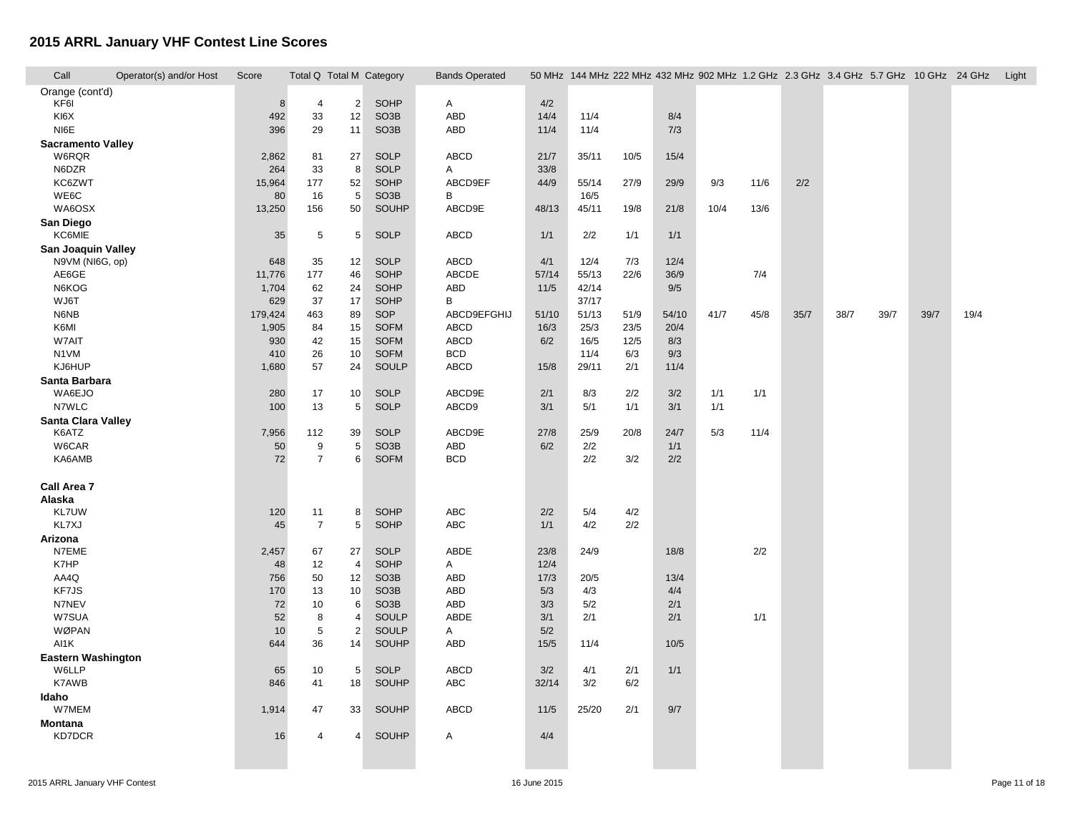| Call                      | Operator(s) and/or Host | Score        | Total Q Total M Category |                |                            | <b>Bands Operated</b> |             |                |              |               | 50 MHz 144 MHz 222 MHz 432 MHz 902 MHz 1.2 GHz 2.3 GHz 3.4 GHz 5.7 GHz 10 GHz 24 GHz |      |      |      |      |      |      | Light |
|---------------------------|-------------------------|--------------|--------------------------|----------------|----------------------------|-----------------------|-------------|----------------|--------------|---------------|--------------------------------------------------------------------------------------|------|------|------|------|------|------|-------|
| Orange (cont'd)           |                         |              |                          |                |                            |                       |             |                |              |               |                                                                                      |      |      |      |      |      |      |       |
| KF6I                      |                         | 8            | $\overline{4}$           | $\overline{2}$ | SOHP                       | A                     | 4/2         |                |              |               |                                                                                      |      |      |      |      |      |      |       |
| KI6X                      |                         | 492          | 33                       | 12             | SO <sub>3</sub> B          | <b>ABD</b>            | 14/4        | 11/4           |              | 8/4           |                                                                                      |      |      |      |      |      |      |       |
| NI6E                      |                         | 396          | 29                       | 11             | SO <sub>3</sub> B          | ABD                   | 11/4        | 11/4           |              | 7/3           |                                                                                      |      |      |      |      |      |      |       |
| <b>Sacramento Valley</b>  |                         |              |                          |                |                            |                       |             |                |              |               |                                                                                      |      |      |      |      |      |      |       |
| W6RQR                     |                         | 2,862        | 81                       | 27             | <b>SOLP</b>                | ABCD                  | 21/7        | 35/11          | 10/5         | 15/4          |                                                                                      |      |      |      |      |      |      |       |
| N6DZR                     |                         | 264          | 33                       | 8              | <b>SOLP</b>                | A                     | 33/8        |                |              |               |                                                                                      |      |      |      |      |      |      |       |
| KC6ZWT                    |                         | 15,964       | 177                      | 52             | SOHP                       | ABCD9EF               | 44/9        | 55/14          | 27/9         | 29/9          | 9/3                                                                                  | 11/6 | 2/2  |      |      |      |      |       |
| WE6C                      |                         | 80           | 16                       | 5              | SO <sub>3</sub> B          | B                     |             | 16/5           |              |               |                                                                                      |      |      |      |      |      |      |       |
| WA6OSX                    |                         | 13,250       | 156                      | 50             | SOUHP                      | ABCD9E                | 48/13       | 45/11          | 19/8         | 21/8          | 10/4                                                                                 | 13/6 |      |      |      |      |      |       |
| San Diego                 |                         |              |                          |                |                            |                       |             |                |              |               |                                                                                      |      |      |      |      |      |      |       |
| KC6MIE                    |                         | 35           | 5                        | 5              | <b>SOLP</b>                | <b>ABCD</b>           | 1/1         | 2/2            | 1/1          | 1/1           |                                                                                      |      |      |      |      |      |      |       |
| <b>San Joaquin Valley</b> |                         |              |                          |                |                            |                       |             |                |              |               |                                                                                      |      |      |      |      |      |      |       |
| N9VM (NI6G, op)           |                         | 648          | 35                       | 12             | <b>SOLP</b>                | ABCD                  | 4/1         | 12/4           | 7/3          | 12/4          |                                                                                      |      |      |      |      |      |      |       |
| AE6GE                     |                         | 11,776       | 177                      | 46             | SOHP                       | ABCDE                 | 57/14       | 55/13          | 22/6         | 36/9          |                                                                                      | 7/4  |      |      |      |      |      |       |
| N6KOG<br>WJ6T             |                         | 1,704        | 62<br>37                 | 24<br>17       | SOHP<br>SOHP               | ABD<br>B              | 11/5        | 42/14<br>37/17 |              | 9/5           |                                                                                      |      |      |      |      |      |      |       |
| N6NB                      |                         | 629          |                          |                | SOP                        | ABCD9EFGHIJ           |             |                |              |               |                                                                                      | 45/8 |      | 38/7 | 39/7 | 39/7 | 19/4 |       |
|                           |                         | 179,424      | 463                      | 89             |                            |                       | 51/10       | 51/13          | 51/9         | 54/10<br>20/4 | 41/7                                                                                 |      | 35/7 |      |      |      |      |       |
| K6MI<br>W7AIT             |                         | 1,905<br>930 | 84                       | 15<br>15       | <b>SOFM</b><br><b>SOFM</b> | ABCD<br>ABCD          | 16/3<br>6/2 | 25/3<br>16/5   | 23/5<br>12/5 | 8/3           |                                                                                      |      |      |      |      |      |      |       |
|                           |                         |              | 42                       |                |                            | <b>BCD</b>            |             |                |              |               |                                                                                      |      |      |      |      |      |      |       |
| N1VM<br>KJ6HUP            |                         | 410          | 26<br>57                 | 10             | <b>SOFM</b><br>SOULP       | <b>ABCD</b>           | 15/8        | 11/4<br>29/11  | 6/3<br>2/1   | 9/3<br>11/4   |                                                                                      |      |      |      |      |      |      |       |
|                           |                         | 1,680        |                          | 24             |                            |                       |             |                |              |               |                                                                                      |      |      |      |      |      |      |       |
| Santa Barbara<br>WA6EJO   |                         | 280          | 17                       | 10             | <b>SOLP</b>                | ABCD9E                | 2/1         | 8/3            | 2/2          | 3/2           | 1/1                                                                                  | 1/1  |      |      |      |      |      |       |
| N7WLC                     |                         | 100          | 13                       | 5              | <b>SOLP</b>                | ABCD9                 | 3/1         | 5/1            | 1/1          | 3/1           | 1/1                                                                                  |      |      |      |      |      |      |       |
| Santa Clara Valley        |                         |              |                          |                |                            |                       |             |                |              |               |                                                                                      |      |      |      |      |      |      |       |
| K6ATZ                     |                         | 7,956        | 112                      | 39             | <b>SOLP</b>                | ABCD9E                | 27/8        | 25/9           | 20/8         | 24/7          | 5/3                                                                                  | 11/4 |      |      |      |      |      |       |
| W6CAR                     |                         | 50           | 9                        | 5              | SO <sub>3</sub> B          | <b>ABD</b>            | 6/2         | 2/2            |              | 1/1           |                                                                                      |      |      |      |      |      |      |       |
| KA6AMB                    |                         | 72           | $\overline{7}$           | 6              | <b>SOFM</b>                | <b>BCD</b>            |             | 2/2            | 3/2          | 2/2           |                                                                                      |      |      |      |      |      |      |       |
|                           |                         |              |                          |                |                            |                       |             |                |              |               |                                                                                      |      |      |      |      |      |      |       |
| Call Area 7               |                         |              |                          |                |                            |                       |             |                |              |               |                                                                                      |      |      |      |      |      |      |       |
| Alaska                    |                         |              |                          |                |                            |                       |             |                |              |               |                                                                                      |      |      |      |      |      |      |       |
| KL7UW                     |                         | 120          | 11                       | 8              | SOHP                       | ABC                   | 2/2         | 5/4            | 4/2          |               |                                                                                      |      |      |      |      |      |      |       |
| KL7XJ                     |                         | 45           | $\overline{7}$           | 5              | SOHP                       | <b>ABC</b>            | 1/1         | 4/2            | 2/2          |               |                                                                                      |      |      |      |      |      |      |       |
| Arizona                   |                         |              |                          |                |                            |                       |             |                |              |               |                                                                                      |      |      |      |      |      |      |       |
| N7EME                     |                         | 2,457        | 67                       | 27             | <b>SOLP</b>                | ABDE                  | 23/8        | 24/9           |              | 18/8          |                                                                                      | 2/2  |      |      |      |      |      |       |
| K7HP                      |                         | 48           | 12                       | $\overline{4}$ | SOHP                       | A                     | 12/4        |                |              |               |                                                                                      |      |      |      |      |      |      |       |
| AA4Q                      |                         | 756          | 50                       | 12             | SO <sub>3</sub> B          | ABD                   | 17/3        | 20/5           |              | 13/4          |                                                                                      |      |      |      |      |      |      |       |
| KF7JS                     |                         | 170          | 13                       | 10             | SO <sub>3</sub> B          | ABD                   | 5/3         | 4/3            |              | 4/4           |                                                                                      |      |      |      |      |      |      |       |
| N7NEV                     |                         | 72           | 10                       | 6              | SO <sub>3</sub> B          | ABD                   | 3/3         | 5/2            |              | 2/1           |                                                                                      |      |      |      |      |      |      |       |
| W7SUA                     |                         | 52           | 8                        | 4              | SOULP                      | ABDE                  | 3/1         | 2/1            |              | 2/1           |                                                                                      | 1/1  |      |      |      |      |      |       |
| WØPAN                     |                         | 10           | $\,$ 5 $\,$              | $\overline{2}$ | SOULP                      | A                     | 5/2         |                |              |               |                                                                                      |      |      |      |      |      |      |       |
| AI1K                      |                         | 644          | 36                       | 14             | SOUHP                      | ABD                   | 15/5        | 11/4           |              | 10/5          |                                                                                      |      |      |      |      |      |      |       |
| <b>Eastern Washington</b> |                         |              |                          |                |                            |                       |             |                |              |               |                                                                                      |      |      |      |      |      |      |       |
| W6LLP                     |                         | 65           | 10                       | 5              | <b>SOLP</b>                | <b>ABCD</b>           | 3/2         | 4/1            | 2/1          | 1/1           |                                                                                      |      |      |      |      |      |      |       |
| K7AWB                     |                         | 846          | 41                       | 18             | SOUHP                      | ABC                   | 32/14       | 3/2            | 6/2          |               |                                                                                      |      |      |      |      |      |      |       |
| Idaho                     |                         |              |                          |                |                            |                       |             |                |              |               |                                                                                      |      |      |      |      |      |      |       |
| W7MEM                     |                         | 1,914        | 47                       | 33             | SOUHP                      | <b>ABCD</b>           | 11/5        | 25/20          | 2/1          | 9/7           |                                                                                      |      |      |      |      |      |      |       |
| <b>Montana</b><br>KD7DCR  |                         | 16           | 4                        | 4              | SOUHP                      | A                     | 4/4         |                |              |               |                                                                                      |      |      |      |      |      |      |       |
|                           |                         |              |                          |                |                            |                       |             |                |              |               |                                                                                      |      |      |      |      |      |      |       |
|                           |                         |              |                          |                |                            |                       |             |                |              |               |                                                                                      |      |      |      |      |      |      |       |
|                           |                         |              |                          |                |                            |                       |             |                |              |               |                                                                                      |      |      |      |      |      |      |       |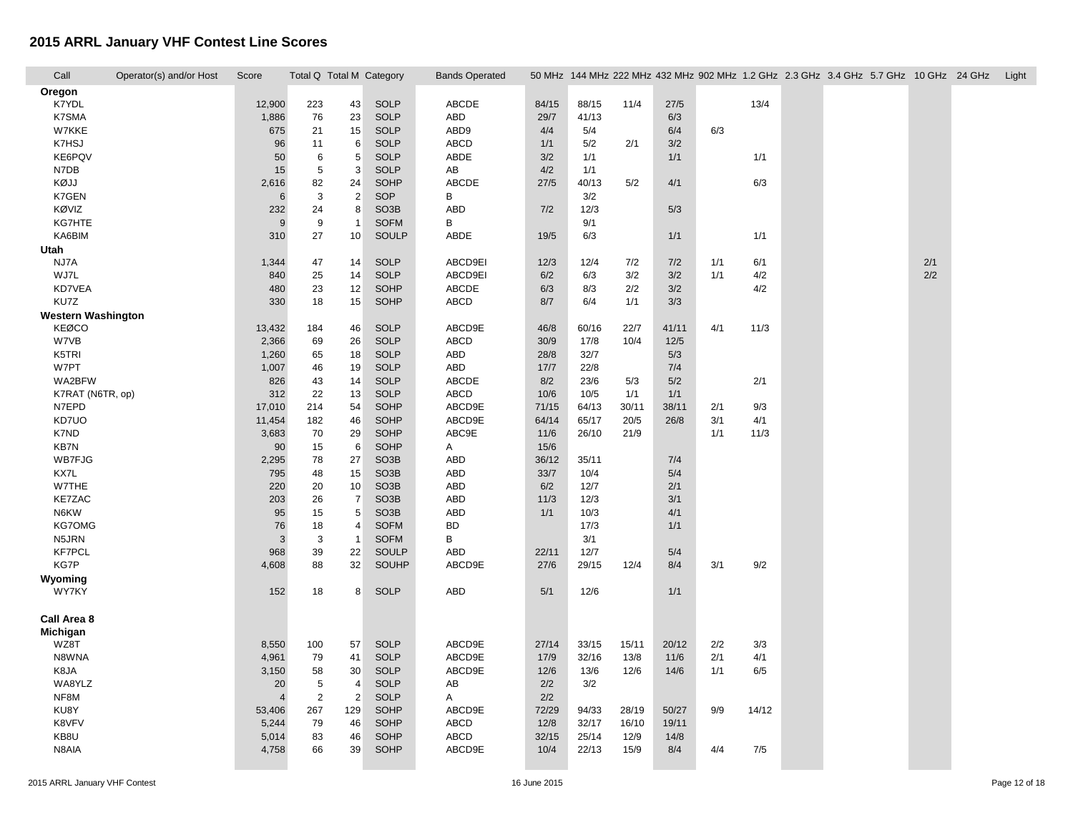| Call                      | Operator(s) and/or Host | Score          | Total Q Total M Category |                |                   | <b>Bands Operated</b> |       |       |       |       |     |       | 50 MHz 144 MHz 222 MHz 432 MHz 902 MHz 1.2 GHz 2.3 GHz 3.4 GHz 5.7 GHz 10 GHz 24 GHz |     | Light |
|---------------------------|-------------------------|----------------|--------------------------|----------------|-------------------|-----------------------|-------|-------|-------|-------|-----|-------|--------------------------------------------------------------------------------------|-----|-------|
| Oregon                    |                         |                |                          |                |                   |                       |       |       |       |       |     |       |                                                                                      |     |       |
| K7YDL                     |                         | 12,900         | 223                      | 43             | <b>SOLP</b>       | ABCDE                 | 84/15 | 88/15 | 11/4  | 27/5  |     | 13/4  |                                                                                      |     |       |
| K7SMA                     |                         | 1,886          | 76                       | 23             | <b>SOLP</b>       | ABD                   | 29/7  | 41/13 |       | 6/3   |     |       |                                                                                      |     |       |
| W7KKE                     |                         | 675            | 21                       | 15             | <b>SOLP</b>       | ABD9                  | 4/4   | 5/4   |       | 6/4   | 6/3 |       |                                                                                      |     |       |
| K7HSJ                     |                         | 96             | 11                       | 6              | <b>SOLP</b>       | <b>ABCD</b>           | 1/1   | 5/2   | 2/1   | 3/2   |     |       |                                                                                      |     |       |
| KE6PQV                    |                         | 50             | 6                        | $\overline{5}$ | <b>SOLP</b>       | ABDE                  | 3/2   | 1/1   |       | 1/1   |     | 1/1   |                                                                                      |     |       |
| N7DB                      |                         | 15             | 5                        | 3              | <b>SOLP</b>       | AB                    | 4/2   | 1/1   |       |       |     |       |                                                                                      |     |       |
| KØJJ                      |                         | 2,616          | 82                       | 24             | <b>SOHP</b>       | ABCDE                 | 27/5  | 40/13 | 5/2   | 4/1   |     | 6/3   |                                                                                      |     |       |
| K7GEN                     |                         | 6              | 3                        | $\overline{2}$ | SOP               | В                     |       | 3/2   |       |       |     |       |                                                                                      |     |       |
| KØVIZ                     |                         | 232            | 24                       | 8              | SO <sub>3</sub> B | <b>ABD</b>            | 7/2   | 12/3  |       | 5/3   |     |       |                                                                                      |     |       |
| KG7HTE                    |                         | 9              | 9                        | $\overline{1}$ | <b>SOFM</b>       | B                     |       | 9/1   |       |       |     |       |                                                                                      |     |       |
| KA6BIM                    |                         | 310            | 27                       | 10             | SOULP             | ABDE                  | 19/5  | 6/3   |       | 1/1   |     | 1/1   |                                                                                      |     |       |
| Utah                      |                         |                |                          |                |                   |                       |       |       |       |       |     |       |                                                                                      |     |       |
| NJ7A                      |                         | 1,344          | 47                       | 14             | <b>SOLP</b>       | ABCD9EI               | 12/3  | 12/4  | 7/2   | 7/2   | 1/1 | 6/1   |                                                                                      | 2/1 |       |
| WJ7L                      |                         | 840            | 25                       | 14             | <b>SOLP</b>       | ABCD9EI               | 6/2   | 6/3   | 3/2   | 3/2   | 1/1 | 4/2   |                                                                                      | 2/2 |       |
| KD7VEA                    |                         | 480            | 23                       | 12             | SOHP              | ABCDE                 | 6/3   | 8/3   | 2/2   | 3/2   |     | 4/2   |                                                                                      |     |       |
| KU7Z                      |                         | 330            | 18                       | 15             | SOHP              | ABCD                  | 8/7   | 6/4   | 1/1   | 3/3   |     |       |                                                                                      |     |       |
| <b>Western Washington</b> |                         |                |                          |                |                   |                       |       |       |       |       |     |       |                                                                                      |     |       |
| KEØCO                     |                         | 13,432         | 184                      | 46             | <b>SOLP</b>       | ABCD9E                | 46/8  | 60/16 | 22/7  | 41/11 | 4/1 | 11/3  |                                                                                      |     |       |
| W7VB                      |                         | 2,366          | 69                       | 26             | <b>SOLP</b>       | <b>ABCD</b>           | 30/9  | 17/8  | 10/4  | 12/5  |     |       |                                                                                      |     |       |
| K5TRI                     |                         | 1,260          | 65                       | 18             | <b>SOLP</b>       | <b>ABD</b>            | 28/8  | 32/7  |       | 5/3   |     |       |                                                                                      |     |       |
| W7PT                      |                         | 1,007          | 46                       | 19             | <b>SOLP</b>       | <b>ABD</b>            | 17/7  | 22/8  |       | 7/4   |     |       |                                                                                      |     |       |
| WA2BFW                    |                         | 826            | 43                       | 14             | <b>SOLP</b>       | ABCDE                 | 8/2   | 23/6  | 5/3   | 5/2   |     | 2/1   |                                                                                      |     |       |
| K7RAT (N6TR, op)          |                         | 312            | 22                       | 13             | <b>SOLP</b>       | <b>ABCD</b>           | 10/6  | 10/5  | 1/1   | 1/1   |     |       |                                                                                      |     |       |
| N7EPD                     |                         | 17,010         | 214                      | 54             | SOHP              | ABCD9E                | 71/15 | 64/13 | 30/11 | 38/11 | 2/1 | 9/3   |                                                                                      |     |       |
| KD7UO                     |                         | 11,454         | 182                      | 46             | <b>SOHP</b>       | ABCD9E                | 64/14 | 65/17 | 20/5  | 26/8  | 3/1 | 4/1   |                                                                                      |     |       |
| K7ND                      |                         | 3,683          | 70                       | 29             | SOHP              | ABC9E                 | 11/6  | 26/10 | 21/9  |       | 1/1 | 11/3  |                                                                                      |     |       |
| KB7N                      |                         | 90             | 15                       | 6              | SOHP              | A                     | 15/6  |       |       |       |     |       |                                                                                      |     |       |
| <b>WB7FJG</b>             |                         | 2,295          | 78                       | 27             | SO <sub>3</sub> B | ABD                   | 36/12 | 35/11 |       | 7/4   |     |       |                                                                                      |     |       |
| KX7L                      |                         | 795            | 48                       | 15             | SO <sub>3</sub> B | <b>ABD</b>            | 33/7  | 10/4  |       | 5/4   |     |       |                                                                                      |     |       |
| W7THE                     |                         | 220            | 20                       | 10             | SO <sub>3</sub> B | <b>ABD</b>            | 6/2   | 12/7  |       | 2/1   |     |       |                                                                                      |     |       |
| KE7ZAC                    |                         | 203            | 26                       | $\overline{7}$ | SO <sub>3</sub> B | ABD                   | 11/3  | 12/3  |       | 3/1   |     |       |                                                                                      |     |       |
| N6KW                      |                         | 95             | 15                       | 5              | SO <sub>3</sub> B | <b>ABD</b>            | 1/1   | 10/3  |       | 4/1   |     |       |                                                                                      |     |       |
| KG7OMG                    |                         | 76             | 18                       | 4              | <b>SOFM</b>       | <b>BD</b>             |       | 17/3  |       | 1/1   |     |       |                                                                                      |     |       |
| N5JRN                     |                         | 3              | 3                        | $\overline{1}$ | <b>SOFM</b>       | В                     |       | 3/1   |       |       |     |       |                                                                                      |     |       |
| <b>KF7PCL</b>             |                         | 968            | 39                       | 22             | <b>SOULP</b>      | ABD                   | 22/11 | 12/7  |       | 5/4   |     |       |                                                                                      |     |       |
| <b>KG7P</b>               |                         | 4,608          | 88                       | 32             | SOUHP             | ABCD9E                | 27/6  | 29/15 | 12/4  | 8/4   | 3/1 | 9/2   |                                                                                      |     |       |
| Wyoming                   |                         |                |                          |                |                   |                       |       |       |       |       |     |       |                                                                                      |     |       |
| <b>WY7KY</b>              |                         | 152            | 18                       | 8              | <b>SOLP</b>       | <b>ABD</b>            | 5/1   | 12/6  |       | 1/1   |     |       |                                                                                      |     |       |
|                           |                         |                |                          |                |                   |                       |       |       |       |       |     |       |                                                                                      |     |       |
| Call Area 8               |                         |                |                          |                |                   |                       |       |       |       |       |     |       |                                                                                      |     |       |
| Michigan                  |                         |                |                          |                |                   |                       |       |       |       |       |     |       |                                                                                      |     |       |
| WZ8T                      |                         | 8,550          | 100                      | 57             | SOLP              | ABCD9E                | 27/14 | 33/15 | 15/11 | 20/12 | 2/2 | 3/3   |                                                                                      |     |       |
| N8WNA                     |                         | 4,961          | 79                       | 41             | <b>SOLP</b>       | ABCD9E                | 17/9  | 32/16 | 13/8  | 11/6  | 2/1 | 4/1   |                                                                                      |     |       |
| K8JA                      |                         | 3,150          | 58                       | 30             | <b>SOLP</b>       | ABCD9E                | 12/6  | 13/6  | 12/6  | 14/6  | 1/1 | 6/5   |                                                                                      |     |       |
| WA8YLZ                    |                         | 20             | 5                        | $\overline{4}$ | <b>SOLP</b>       | AB                    | 2/2   | 3/2   |       |       |     |       |                                                                                      |     |       |
| NF8M                      |                         | $\overline{4}$ | 2                        | $\overline{2}$ | <b>SOLP</b>       | A                     | 2/2   |       |       |       |     |       |                                                                                      |     |       |
| KU8Y                      |                         | 53,406         | 267                      | 129            | SOHP              | ABCD9E                | 72/29 | 94/33 | 28/19 | 50/27 | 9/9 | 14/12 |                                                                                      |     |       |
| K8VFV                     |                         | 5,244          | 79                       | 46             | <b>SOHP</b>       | ABCD                  | 12/8  | 32/17 | 16/10 | 19/11 |     |       |                                                                                      |     |       |
| KB8U                      |                         | 5,014          | 83                       | 46             | <b>SOHP</b>       | ABCD                  | 32/15 | 25/14 | 12/9  | 14/8  |     |       |                                                                                      |     |       |
| N8AIA                     |                         | 4,758          | 66                       | 39             | <b>SOHP</b>       | ABCD9E                | 10/4  | 22/13 | 15/9  | 8/4   | 4/4 | 7/5   |                                                                                      |     |       |
|                           |                         |                |                          |                |                   |                       |       |       |       |       |     |       |                                                                                      |     |       |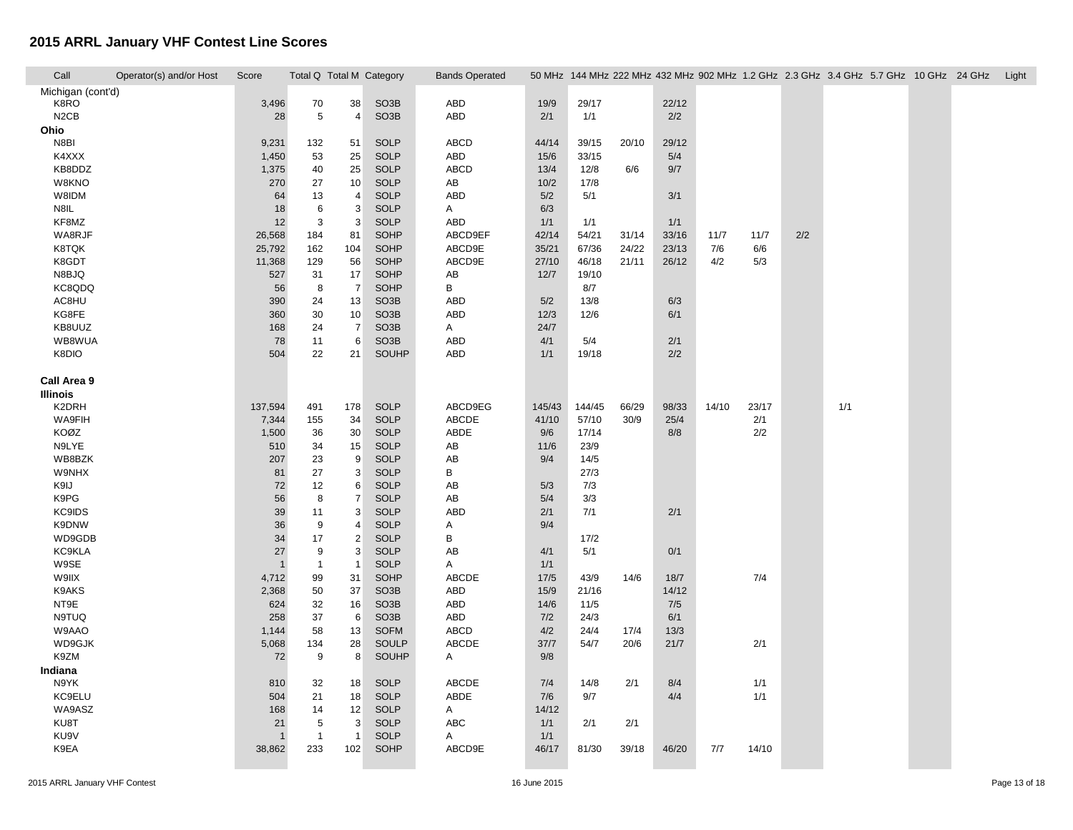| Call              | Operator(s) and/or Host | Score   | Total Q Total M Category |                |                   | <b>Bands Operated</b> |        |        |       |       |       |       |     | 50 MHz 144 MHz 222 MHz 432 MHz 902 MHz 1.2 GHz 2.3 GHz 3.4 GHz 5.7 GHz 10 GHz 24 GHz Light |  |  |
|-------------------|-------------------------|---------|--------------------------|----------------|-------------------|-----------------------|--------|--------|-------|-------|-------|-------|-----|--------------------------------------------------------------------------------------------|--|--|
| Michigan (cont'd) |                         |         |                          |                |                   |                       |        |        |       |       |       |       |     |                                                                                            |  |  |
| K8RO              |                         | 3,496   | 70                       | 38             | SO <sub>3</sub> B | ABD                   | 19/9   | 29/17  |       | 22/12 |       |       |     |                                                                                            |  |  |
| N <sub>2</sub> CB |                         | 28      | 5                        | 4              | SO <sub>3</sub> B | ABD                   | 2/1    | 1/1    |       | 2/2   |       |       |     |                                                                                            |  |  |
| Ohio              |                         |         |                          |                |                   |                       |        |        |       |       |       |       |     |                                                                                            |  |  |
| N8BI              |                         | 9,231   | 132                      | 51             | <b>SOLP</b>       | <b>ABCD</b>           | 44/14  | 39/15  | 20/10 | 29/12 |       |       |     |                                                                                            |  |  |
| K4XXX             |                         | 1,450   | 53                       | 25             | <b>SOLP</b>       | ABD                   | 15/6   | 33/15  |       | 5/4   |       |       |     |                                                                                            |  |  |
| KB8DDZ            |                         | 1,375   | 40                       | 25             | <b>SOLP</b>       | <b>ABCD</b>           | 13/4   | 12/8   | 6/6   | 9/7   |       |       |     |                                                                                            |  |  |
| W8KNO             |                         | 270     | 27                       | 10             | <b>SOLP</b>       | AB                    | 10/2   | 17/8   |       |       |       |       |     |                                                                                            |  |  |
| W8IDM             |                         | 64      | 13                       | 4              | <b>SOLP</b>       | <b>ABD</b>            | 5/2    | 5/1    |       | 3/1   |       |       |     |                                                                                            |  |  |
| N8IL              |                         | 18      | 6                        | 3              | <b>SOLP</b>       | Α                     | 6/3    |        |       |       |       |       |     |                                                                                            |  |  |
| KF8MZ             |                         | 12      | $\sqrt{3}$               | 3              | <b>SOLP</b>       | ABD                   | 1/1    | 1/1    |       | 1/1   |       |       |     |                                                                                            |  |  |
| WA8RJF            |                         | 26,568  | 184                      | 81             | <b>SOHP</b>       | ABCD9EF               | 42/14  | 54/21  | 31/14 | 33/16 | 11/7  | 11/7  | 2/2 |                                                                                            |  |  |
| K8TQK             |                         | 25,792  | 162                      | 104            | SOHP              | ABCD9E                | 35/21  | 67/36  | 24/22 | 23/13 | 7/6   | 6/6   |     |                                                                                            |  |  |
| K8GDT             |                         | 11,368  | 129                      | 56             | <b>SOHP</b>       | ABCD9E                | 27/10  | 46/18  | 21/11 | 26/12 | 4/2   | 5/3   |     |                                                                                            |  |  |
| N8BJQ             |                         | 527     | 31                       | 17             | <b>SOHP</b>       | AB                    | 12/7   | 19/10  |       |       |       |       |     |                                                                                            |  |  |
| KC8QDQ            |                         | 56      | 8                        | $\overline{7}$ | <b>SOHP</b>       | B                     |        | 8/7    |       |       |       |       |     |                                                                                            |  |  |
| AC8HU             |                         | 390     | 24                       | 13             | SO <sub>3</sub> B | ABD                   | 5/2    | 13/8   |       | 6/3   |       |       |     |                                                                                            |  |  |
| KG8FE             |                         | 360     | 30                       | 10             | SO <sub>3</sub> B | <b>ABD</b>            | 12/3   | 12/6   |       | 6/1   |       |       |     |                                                                                            |  |  |
| KB8UUZ            |                         | 168     | 24                       | $\overline{7}$ | SO <sub>3</sub> B | A                     | 24/7   |        |       |       |       |       |     |                                                                                            |  |  |
| WB8WUA            |                         | 78      | 11                       | 6              | SO <sub>3</sub> B | ABD                   | 4/1    | 5/4    |       | 2/1   |       |       |     |                                                                                            |  |  |
| K8DIO             |                         | 504     | 22                       | 21             | SOUHP             | <b>ABD</b>            | 1/1    | 19/18  |       | 2/2   |       |       |     |                                                                                            |  |  |
|                   |                         |         |                          |                |                   |                       |        |        |       |       |       |       |     |                                                                                            |  |  |
| Call Area 9       |                         |         |                          |                |                   |                       |        |        |       |       |       |       |     |                                                                                            |  |  |
| <b>Illinois</b>   |                         |         |                          |                |                   |                       |        |        |       |       |       |       |     |                                                                                            |  |  |
| K2DRH             |                         | 137,594 | 491                      | 178            | <b>SOLP</b>       | ABCD9EG               | 145/43 | 144/45 | 66/29 | 98/33 | 14/10 | 23/17 |     | 1/1                                                                                        |  |  |
| WA9FIH            |                         | 7,344   | 155                      | 34             | <b>SOLP</b>       | ABCDE                 | 41/10  | 57/10  | 30/9  | 25/4  |       | 2/1   |     |                                                                                            |  |  |
| KOØZ              |                         | 1,500   | 36                       | 30             | <b>SOLP</b>       | ABDE                  | 9/6    | 17/14  |       | 8/8   |       | 2/2   |     |                                                                                            |  |  |
| N9LYE             |                         | 510     | 34                       | 15             | <b>SOLP</b>       | AB                    | 11/6   | 23/9   |       |       |       |       |     |                                                                                            |  |  |
| WB8BZK            |                         | 207     | 23                       | 9              | <b>SOLP</b>       | AB                    | 9/4    | 14/5   |       |       |       |       |     |                                                                                            |  |  |
| <b>W9NHX</b>      |                         | 81      | 27                       | 3              | <b>SOLP</b>       | B                     |        | 27/3   |       |       |       |       |     |                                                                                            |  |  |
| K9IJ              |                         | 72      | 12                       | 6              | <b>SOLP</b>       | AB                    | 5/3    | 7/3    |       |       |       |       |     |                                                                                            |  |  |
| K9PG              |                         | 56      | 8                        | $\overline{7}$ | <b>SOLP</b>       | AB                    | 5/4    | 3/3    |       |       |       |       |     |                                                                                            |  |  |
| KC9IDS            |                         | 39      | 11                       | 3              | <b>SOLP</b>       | <b>ABD</b>            | 2/1    | 7/1    |       | 2/1   |       |       |     |                                                                                            |  |  |
| K9DNW             |                         | 36      | $\boldsymbol{9}$         | 4              | <b>SOLP</b>       | Α                     | 9/4    |        |       |       |       |       |     |                                                                                            |  |  |
| WD9GDB            |                         | 34      | 17                       | $\overline{2}$ | <b>SOLP</b>       | B                     |        | 17/2   |       |       |       |       |     |                                                                                            |  |  |
| KC9KLA            |                         | 27      | 9                        | 3              | <b>SOLP</b>       | AB                    | 4/1    | 5/1    |       | 0/1   |       |       |     |                                                                                            |  |  |
| W9SE              |                         |         | $\mathbf{1}$             | $\overline{1}$ | <b>SOLP</b>       | A                     | 1/1    |        |       |       |       |       |     |                                                                                            |  |  |
| W9IIX             |                         | 4,712   | 99                       | 31             | <b>SOHP</b>       | ABCDE                 | 17/5   | 43/9   | 14/6  | 18/7  |       | 7/4   |     |                                                                                            |  |  |
| K9AKS             |                         | 2,368   | 50                       | 37             | SO <sub>3</sub> B | ABD                   | 15/9   | 21/16  |       | 14/12 |       |       |     |                                                                                            |  |  |
| NT9E              |                         | 624     | 32                       | 16             | SO <sub>3</sub> B | <b>ABD</b>            | 14/6   | 11/5   |       | 7/5   |       |       |     |                                                                                            |  |  |
| N9TUQ             |                         | 258     | 37                       | 6              | SO <sub>3</sub> B | ABD                   | 7/2    | 24/3   |       | 6/1   |       |       |     |                                                                                            |  |  |
| W9AAO             |                         | 1,144   | 58                       | 13             | <b>SOFM</b>       | ABCD                  | 4/2    | 24/4   | 17/4  | 13/3  |       |       |     |                                                                                            |  |  |
| WD9GJK            |                         | 5,068   | 134                      | 28             | <b>SOULP</b>      | ABCDE                 | 37/7   | 54/7   | 20/6  | 21/7  |       | 2/1   |     |                                                                                            |  |  |
| K9ZM              |                         | 72      | 9                        | 8              | <b>SOUHP</b>      | Α                     | 9/8    |        |       |       |       |       |     |                                                                                            |  |  |
| Indiana           |                         |         |                          |                |                   |                       |        |        |       |       |       |       |     |                                                                                            |  |  |
| N9YK              |                         | 810     | 32                       | 18             | <b>SOLP</b>       | ABCDE                 | 7/4    | 14/8   | 2/1   | 8/4   |       | 1/1   |     |                                                                                            |  |  |
| KC9ELU            |                         | 504     | 21                       | 18             | <b>SOLP</b>       | ABDE                  | 7/6    | 9/7    |       | 4/4   |       | 1/1   |     |                                                                                            |  |  |
| WA9ASZ            |                         | 168     | 14                       | 12             | <b>SOLP</b>       | Α                     | 14/12  |        |       |       |       |       |     |                                                                                            |  |  |
| KU8T              |                         | 21      | 5                        | 3              | <b>SOLP</b>       | ABC                   | 1/1    | 2/1    | 2/1   |       |       |       |     |                                                                                            |  |  |
| KU9V              |                         |         | $\mathbf{1}$             | $\mathbf{1}$   | <b>SOLP</b>       | Α                     | 1/1    |        |       |       |       |       |     |                                                                                            |  |  |
| K9EA              |                         | 38,862  | 233                      | 102            | SOHP              | ABCD9E                | 46/17  | 81/30  | 39/18 | 46/20 | 7/7   | 14/10 |     |                                                                                            |  |  |
|                   |                         |         |                          |                |                   |                       |        |        |       |       |       |       |     |                                                                                            |  |  |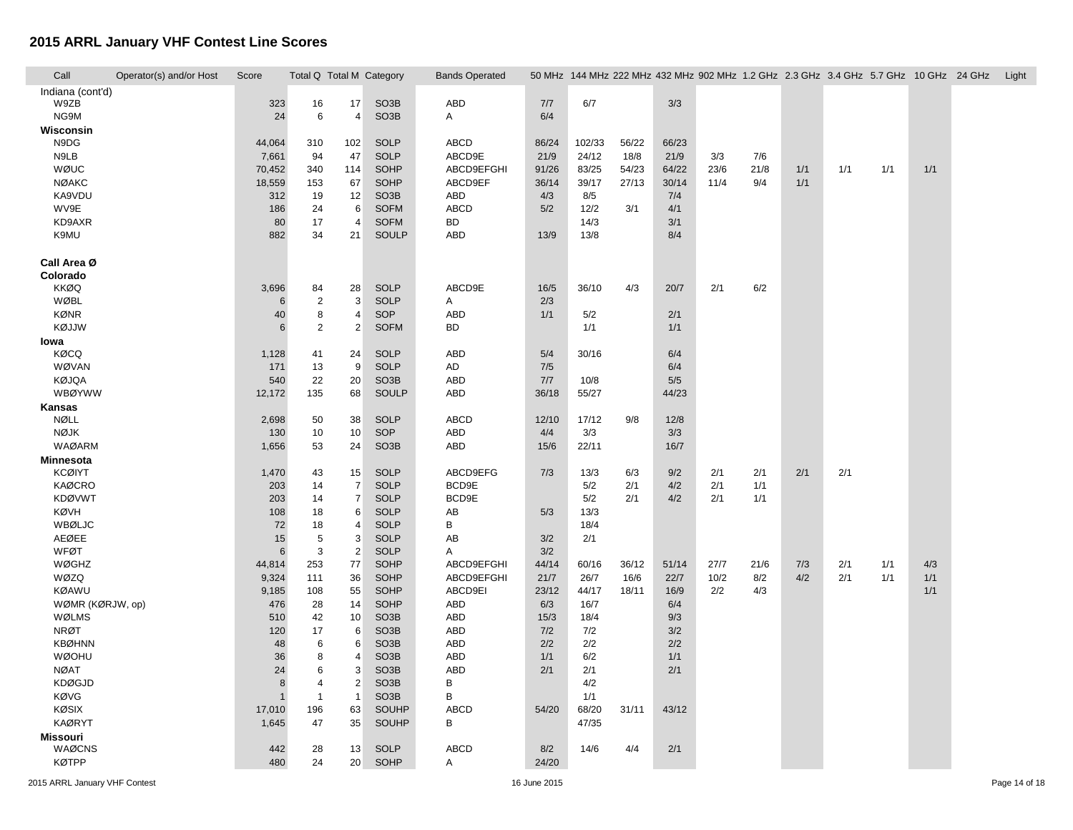| Call             | Operator(s) and/or Host | Score           | Total Q Total M Category |                      |                            | <b>Bands Operated</b> |               |                 |               |               | 50 MHz 144 MHz 222 MHz 432 MHz 902 MHz 1.2 GHz 2.3 GHz 3.4 GHz 5.7 GHz 10 GHz 24 GHz |      |     |     |     |     | Light |
|------------------|-------------------------|-----------------|--------------------------|----------------------|----------------------------|-----------------------|---------------|-----------------|---------------|---------------|--------------------------------------------------------------------------------------|------|-----|-----|-----|-----|-------|
| Indiana (cont'd) |                         |                 |                          |                      |                            |                       |               |                 |               |               |                                                                                      |      |     |     |     |     |       |
| W9ZB             |                         | 323             | 16                       | 17                   | SO <sub>3</sub> B          | ABD                   | 7/7           | 6/7             |               | 3/3           |                                                                                      |      |     |     |     |     |       |
| NG9M             |                         | 24              | 6                        | 4                    | SO <sub>3</sub> B          | A                     | 6/4           |                 |               |               |                                                                                      |      |     |     |     |     |       |
| Wisconsin        |                         |                 |                          |                      |                            |                       |               |                 |               |               |                                                                                      |      |     |     |     |     |       |
| N9DG<br>N9LB     |                         | 44,064          | 310<br>94                | 102<br>47            | <b>SOLP</b><br><b>SOLP</b> | ABCD<br>ABCD9E        | 86/24<br>21/9 | 102/33<br>24/12 | 56/22<br>18/8 | 66/23<br>21/9 | 3/3                                                                                  | 7/6  |     |     |     |     |       |
| WØUC             |                         | 7,661<br>70,452 | 340                      | 114                  | SOHP                       | ABCD9EFGHI            | 91/26         | 83/25           | 54/23         | 64/22         | 23/6                                                                                 | 21/8 | 1/1 | 1/1 | 1/1 | 1/1 |       |
| <b>NØAKC</b>     |                         |                 |                          |                      | SOHP                       | ABCD9EF               |               |                 |               | 30/14         | 11/4                                                                                 |      | 1/1 |     |     |     |       |
| KA9VDU           |                         | 18,559<br>312   | 153<br>19                | 67<br>12             | SO <sub>3</sub> B          | ABD                   | 36/14<br>4/3  | 39/17<br>8/5    | 27/13         | 7/4           |                                                                                      | 9/4  |     |     |     |     |       |
| WV9E             |                         | 186             | 24                       | 6                    | <b>SOFM</b>                | ABCD                  | 5/2           | 12/2            | 3/1           | 4/1           |                                                                                      |      |     |     |     |     |       |
| KD9AXR           |                         | 80              | 17                       | $\overline{4}$       | <b>SOFM</b>                | <b>BD</b>             |               | 14/3            |               | 3/1           |                                                                                      |      |     |     |     |     |       |
| K9MU             |                         | 882             | 34                       | 21                   | SOULP                      | ABD                   | 13/9          | 13/8            |               | 8/4           |                                                                                      |      |     |     |     |     |       |
|                  |                         |                 |                          |                      |                            |                       |               |                 |               |               |                                                                                      |      |     |     |     |     |       |
| Call Area Ø      |                         |                 |                          |                      |                            |                       |               |                 |               |               |                                                                                      |      |     |     |     |     |       |
| Colorado         |                         |                 |                          |                      |                            |                       |               |                 |               |               |                                                                                      |      |     |     |     |     |       |
| <b>KKØQ</b>      |                         | 3,696           | 84                       | 28                   | <b>SOLP</b>                | ABCD9E                | 16/5          | 36/10           | 4/3           | 20/7          | 2/1                                                                                  | 6/2  |     |     |     |     |       |
| <b>WØBL</b>      |                         | 6               | $\overline{2}$           | 3                    | <b>SOLP</b>                | A                     | 2/3           |                 |               |               |                                                                                      |      |     |     |     |     |       |
| <b>KØNR</b>      |                         | 40              | 8                        | $\overline{4}$       | SOP                        | <b>ABD</b>            | 1/1           | 5/2             |               | 2/1           |                                                                                      |      |     |     |     |     |       |
| KØJJW            |                         | 6               | 2                        | 2                    | <b>SOFM</b>                | BD                    |               | 1/1             |               | 1/1           |                                                                                      |      |     |     |     |     |       |
| lowa             |                         |                 |                          |                      |                            |                       |               |                 |               |               |                                                                                      |      |     |     |     |     |       |
| <b>KØCQ</b>      |                         | 1,128           | 41                       | 24                   | <b>SOLP</b>                | <b>ABD</b>            | 5/4           | 30/16           |               | 6/4           |                                                                                      |      |     |     |     |     |       |
| WØVAN            |                         | 171             | 13                       | 9                    | <b>SOLP</b>                | AD                    | 7/5           |                 |               | 6/4           |                                                                                      |      |     |     |     |     |       |
| <b>KØJQA</b>     |                         | 540             | 22                       | 20                   | SO <sub>3</sub> B          | <b>ABD</b>            | 7/7           | 10/8            |               | 5/5           |                                                                                      |      |     |     |     |     |       |
| <b>WBØYWW</b>    |                         | 12,172          | 135                      | 68                   | SOULP                      | ABD                   | 36/18         | 55/27           |               | 44/23         |                                                                                      |      |     |     |     |     |       |
| Kansas           |                         |                 |                          |                      |                            |                       |               |                 |               |               |                                                                                      |      |     |     |     |     |       |
| NØLL             |                         | 2,698           | 50                       | 38                   | <b>SOLP</b>                | <b>ABCD</b>           | 12/10         | 17/12           | 9/8           | 12/8          |                                                                                      |      |     |     |     |     |       |
| <b>NØJK</b>      |                         | 130             | 10                       | 10                   | SOP                        | ABD                   | 4/4           | 3/3             |               | 3/3           |                                                                                      |      |     |     |     |     |       |
| <b>WAØARM</b>    |                         | 1,656           | 53                       | 24                   | SO <sub>3</sub> B          | <b>ABD</b>            | 15/6          | 22/11           |               | 16/7          |                                                                                      |      |     |     |     |     |       |
| Minnesota        |                         |                 |                          |                      |                            |                       |               |                 |               |               |                                                                                      |      |     |     |     |     |       |
| <b>KCØIYT</b>    |                         | 1,470           | 43                       | 15                   | <b>SOLP</b>                | ABCD9EFG              | 7/3           | 13/3            | 6/3           | 9/2           | 2/1                                                                                  | 2/1  | 2/1 | 2/1 |     |     |       |
| <b>KAØCRO</b>    |                         | 203             | 14                       | $\overline{7}$       | <b>SOLP</b>                | BCD9E                 |               | 5/2             | 2/1           | 4/2           | 2/1                                                                                  | 1/1  |     |     |     |     |       |
| <b>KDØVWT</b>    |                         | 203             | 14                       | $\overline{7}$       | <b>SOLP</b>                | BCD9E                 |               | 5/2             | 2/1           | 4/2           | 2/1                                                                                  | 1/1  |     |     |     |     |       |
| KØVH             |                         | 108             | 18                       | 6                    | <b>SOLP</b>                | AB                    | 5/3           | 13/3            |               |               |                                                                                      |      |     |     |     |     |       |
| WBØLJC           |                         | 72              | 18                       | $\overline{4}$       | <b>SOLP</b>                | В                     |               | 18/4            |               |               |                                                                                      |      |     |     |     |     |       |
| AEØEE            |                         | 15              | 5                        | 3                    | <b>SOLP</b>                | AB                    | 3/2           | 2/1             |               |               |                                                                                      |      |     |     |     |     |       |
| WFØT<br>WØGHZ    |                         | 6               | 3<br>253                 | $\overline{2}$<br>77 | <b>SOLP</b><br>SOHP        | Α<br>ABCD9EFGHI       | 3/2<br>44/14  | 60/16           | 36/12         | 51/14         | 27/7                                                                                 | 21/6 | 7/3 | 2/1 | 1/1 | 4/3 |       |
| WØZQ             |                         | 44,814<br>9,324 | 111                      | 36                   | SOHP                       | ABCD9EFGHI            | 21/7          | 26/7            | 16/6          | 22/7          | 10/2                                                                                 | 8/2  | 4/2 | 2/1 | 1/1 | 1/1 |       |
| <b>KØAWU</b>     |                         | 9,185           | 108                      | 55                   | SOHP                       | ABCD9EI               | 23/12         | 44/17           | 18/11         | 16/9          | 2/2                                                                                  | 4/3  |     |     |     | 1/1 |       |
| WØMR (KØRJW, op) |                         | 476             | 28                       | 14                   | SOHP                       | ABD                   | 6/3           | 16/7            |               | 6/4           |                                                                                      |      |     |     |     |     |       |
| WØLMS            |                         | 510             | 42                       | 10                   | SO <sub>3</sub> B          | <b>ABD</b>            | 15/3          | 18/4            |               | 9/3           |                                                                                      |      |     |     |     |     |       |
| <b>NRØT</b>      |                         | 120             | 17                       | 6                    | SO <sub>3</sub> B          | <b>ABD</b>            | 7/2           | 7/2             |               | 3/2           |                                                                                      |      |     |     |     |     |       |
| <b>KBØHNN</b>    |                         | 48              | 6                        | 6                    | SO <sub>3</sub> B          | <b>ABD</b>            | 2/2           | 2/2             |               | 2/2           |                                                                                      |      |     |     |     |     |       |
| <b>WØOHU</b>     |                         | 36              | 8                        | $\overline{4}$       | SO <sub>3</sub> B          | <b>ABD</b>            | 1/1           | 6/2             |               | 1/1           |                                                                                      |      |     |     |     |     |       |
| <b>NØAT</b>      |                         | 24              | 6                        | 3                    | SO <sub>3</sub> B          | ABD                   | 2/1           | 2/1             |               | 2/1           |                                                                                      |      |     |     |     |     |       |
| <b>KDØGJD</b>    |                         | 8               | $\overline{4}$           | $\overline{2}$       | SO <sub>3</sub> B          | $\, {\sf B}$          |               | 4/2             |               |               |                                                                                      |      |     |     |     |     |       |
| <b>KØVG</b>      |                         | $\mathbf{1}$    | $\mathbf{1}$             | $\overline{1}$       | SO <sub>3</sub> B          | B                     |               | 1/1             |               |               |                                                                                      |      |     |     |     |     |       |
| KØSIX            |                         | 17,010          | 196                      | 63                   | <b>SOUHP</b>               | ABCD                  | 54/20         | 68/20           | 31/11         | 43/12         |                                                                                      |      |     |     |     |     |       |
| <b>KAØRYT</b>    |                         | 1,645           | 47                       | 35                   | SOUHP                      | B                     |               | 47/35           |               |               |                                                                                      |      |     |     |     |     |       |
| <b>Missouri</b>  |                         |                 |                          |                      |                            |                       |               |                 |               |               |                                                                                      |      |     |     |     |     |       |
| WAØCNS           |                         | 442             | 28                       | 13                   | <b>SOLP</b>                | <b>ABCD</b>           | 8/2           | 14/6            | 4/4           | 2/1           |                                                                                      |      |     |     |     |     |       |
| <b>KØTPP</b>     |                         | 480             | 24                       | 20                   | SOHP                       | $\overline{A}$        | 24/20         |                 |               |               |                                                                                      |      |     |     |     |     |       |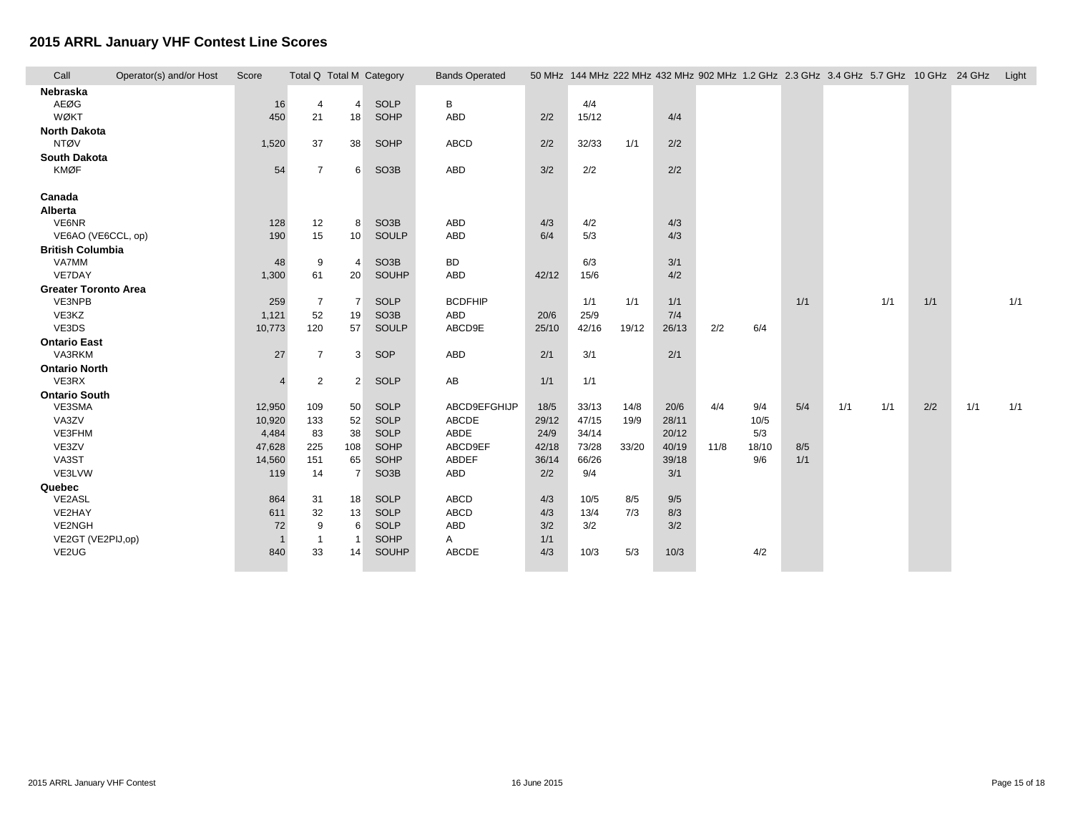| Call                               | Operator(s) and/or Host | Score    | Total Q Total M Category |                |                   | <b>Bands Operated</b> |       |       |       |       |      |       | 50 MHz 144 MHz 222 MHz 432 MHz 902 MHz 1.2 GHz 2.3 GHz 3.4 GHz 5.7 GHz 10 GHz 24 GHz |     |     |     |     | Light |
|------------------------------------|-------------------------|----------|--------------------------|----------------|-------------------|-----------------------|-------|-------|-------|-------|------|-------|--------------------------------------------------------------------------------------|-----|-----|-----|-----|-------|
| Nebraska                           |                         |          |                          |                |                   |                       |       |       |       |       |      |       |                                                                                      |     |     |     |     |       |
| AEØG                               |                         | 16       | 4                        | $\overline{4}$ | <b>SOLP</b>       | B                     |       | 4/4   |       |       |      |       |                                                                                      |     |     |     |     |       |
| <b>WØKT</b>                        |                         | 450      | 21                       | 18             | SOHP              | ABD                   | 2/2   | 15/12 |       | 4/4   |      |       |                                                                                      |     |     |     |     |       |
| <b>North Dakota</b>                |                         |          |                          |                |                   |                       |       |       |       |       |      |       |                                                                                      |     |     |     |     |       |
| <b>NTØV</b>                        |                         | 1,520    | 37                       | 38             | SOHP              | ABCD                  | 2/2   | 32/33 | 1/1   | 2/2   |      |       |                                                                                      |     |     |     |     |       |
| <b>South Dakota</b><br><b>KMØF</b> |                         | 54       | $\overline{7}$           | 6              | SO <sub>3</sub> B | <b>ABD</b>            | 3/2   | 2/2   |       | 2/2   |      |       |                                                                                      |     |     |     |     |       |
|                                    |                         |          |                          |                |                   |                       |       |       |       |       |      |       |                                                                                      |     |     |     |     |       |
| Canada                             |                         |          |                          |                |                   |                       |       |       |       |       |      |       |                                                                                      |     |     |     |     |       |
| Alberta                            |                         |          |                          |                |                   |                       |       |       |       |       |      |       |                                                                                      |     |     |     |     |       |
| VE6NR                              |                         | 128      | 12                       | 8              | SO <sub>3</sub> B | <b>ABD</b>            | 4/3   | 4/2   |       | 4/3   |      |       |                                                                                      |     |     |     |     |       |
| VE6AO (VE6CCL, op)                 |                         | 190      | 15                       | 10             | SOULP             | ABD                   | 6/4   | 5/3   |       | 4/3   |      |       |                                                                                      |     |     |     |     |       |
| <b>British Columbia</b>            |                         |          |                          |                |                   |                       |       |       |       |       |      |       |                                                                                      |     |     |     |     |       |
| <b>VA7MM</b>                       |                         | 48       | 9                        | $\overline{4}$ | SO <sub>3</sub> B | <b>BD</b>             |       | 6/3   |       | 3/1   |      |       |                                                                                      |     |     |     |     |       |
| VE7DAY                             |                         | 1,300    | 61                       | 20             | SOUHP             | <b>ABD</b>            | 42/12 | 15/6  |       | 4/2   |      |       |                                                                                      |     |     |     |     |       |
| <b>Greater Toronto Area</b>        |                         |          |                          |                |                   |                       |       |       |       |       |      |       |                                                                                      |     |     |     |     |       |
| VE3NPB                             |                         | 259      | $\overline{7}$           | $\overline{7}$ | <b>SOLP</b>       | <b>BCDFHIP</b>        |       | 1/1   | 1/1   | 1/1   |      |       | 1/1                                                                                  |     | 1/1 | 1/1 |     | 1/1   |
| VE3KZ                              |                         | 1,121    | 52                       | 19             | SO <sub>3</sub> B | ABD                   | 20/6  | 25/9  |       | 7/4   |      |       |                                                                                      |     |     |     |     |       |
| VE3DS                              |                         | 10,773   | 120                      | 57             | SOULP             | ABCD9E                | 25/10 | 42/16 | 19/12 | 26/13 | 2/2  | 6/4   |                                                                                      |     |     |     |     |       |
| <b>Ontario East</b><br>VA3RKM      |                         |          |                          |                |                   |                       |       |       |       |       |      |       |                                                                                      |     |     |     |     |       |
|                                    |                         | 27       | $\overline{7}$           | 3              | SOP               | ABD                   | 2/1   | 3/1   |       | 2/1   |      |       |                                                                                      |     |     |     |     |       |
| <b>Ontario North</b><br>VE3RX      |                         | $\Delta$ | $\overline{2}$           | 2              | <b>SOLP</b>       | AB                    | 1/1   | 1/1   |       |       |      |       |                                                                                      |     |     |     |     |       |
| <b>Ontario South</b>               |                         |          |                          |                |                   |                       |       |       |       |       |      |       |                                                                                      |     |     |     |     |       |
| VE3SMA                             |                         | 12,950   | 109                      | 50             | <b>SOLP</b>       | ABCD9EFGHIJP          | 18/5  | 33/13 | 14/8  | 20/6  | 4/4  | 9/4   | 5/4                                                                                  | 1/1 | 1/1 | 2/2 | 1/1 | 1/1   |
| VA3ZV                              |                         | 10,920   | 133                      | 52             | SOLP              | ABCDE                 | 29/12 | 47/15 | 19/9  | 28/11 |      | 10/5  |                                                                                      |     |     |     |     |       |
| VE3FHM                             |                         | 4,484    | 83                       | 38             | SOLP              | ABDE                  | 24/9  | 34/14 |       | 20/12 |      | 5/3   |                                                                                      |     |     |     |     |       |
| VE3ZV                              |                         | 47,628   | 225                      | 108            | SOHP              | ABCD9EF               | 42/18 | 73/28 | 33/20 | 40/19 | 11/8 | 18/10 | 8/5                                                                                  |     |     |     |     |       |
| VA3ST                              |                         | 14,560   | 151                      | 65             | SOHP              | ABDEF                 | 36/14 | 66/26 |       | 39/18 |      | 9/6   | 1/1                                                                                  |     |     |     |     |       |
| VE3LVW                             |                         | 119      | 14                       | $\overline{7}$ | SO <sub>3</sub> B | ABD                   | 2/2   | 9/4   |       | 3/1   |      |       |                                                                                      |     |     |     |     |       |
| Quebec                             |                         |          |                          |                |                   |                       |       |       |       |       |      |       |                                                                                      |     |     |     |     |       |
| VE2ASL                             |                         | 864      | 31                       | 18             | SOLP              | ABCD                  | 4/3   | 10/5  | 8/5   | 9/5   |      |       |                                                                                      |     |     |     |     |       |
| VE2HAY                             |                         | 611      | 32                       | 13             | <b>SOLP</b>       | ABCD                  | 4/3   | 13/4  | 7/3   | 8/3   |      |       |                                                                                      |     |     |     |     |       |
| VE2NGH                             |                         | 72       | 9                        | 6              | <b>SOLP</b>       | ABD                   | 3/2   | 3/2   |       | 3/2   |      |       |                                                                                      |     |     |     |     |       |
| VE2GT (VE2PIJ,op)                  |                         |          | $\overline{1}$           | - 1            | SOHP              | Α                     | 1/1   |       |       |       |      |       |                                                                                      |     |     |     |     |       |
| VE2UG                              |                         | 840      | 33                       | 14             | SOUHP             | ABCDE                 | 4/3   | 10/3  | 5/3   | 10/3  |      | 4/2   |                                                                                      |     |     |     |     |       |
|                                    |                         |          |                          |                |                   |                       |       |       |       |       |      |       |                                                                                      |     |     |     |     |       |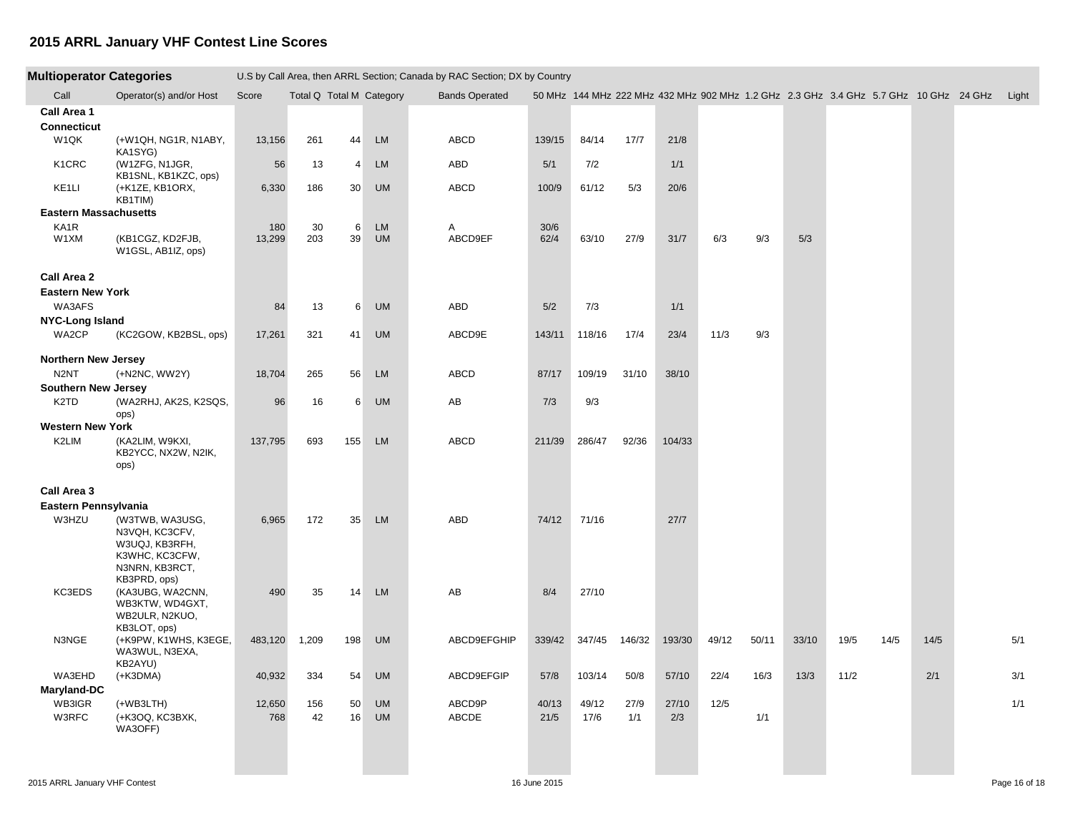| <b>Multioperator Categories</b>   |                                                                                                         |               |                          |                  | U.S by Call Area, then ARRL Section; Canada by RAC Section; DX by Country |                       |               |               |             |              |       |       |       |                                                                                            |      |      |     |
|-----------------------------------|---------------------------------------------------------------------------------------------------------|---------------|--------------------------|------------------|---------------------------------------------------------------------------|-----------------------|---------------|---------------|-------------|--------------|-------|-------|-------|--------------------------------------------------------------------------------------------|------|------|-----|
| Call                              | Operator(s) and/or Host                                                                                 | Score         | Total Q Total M Category |                  |                                                                           | <b>Bands Operated</b> |               |               |             |              |       |       |       | 50 MHz 144 MHz 222 MHz 432 MHz 902 MHz 1.2 GHz 2.3 GHz 3.4 GHz 5.7 GHz 10 GHz 24 GHz Light |      |      |     |
| Call Area 1<br><b>Connecticut</b> |                                                                                                         |               |                          |                  |                                                                           |                       |               |               |             |              |       |       |       |                                                                                            |      |      |     |
| W1QK                              | (+W1QH, NG1R, N1ABY,<br>KA1SYG)                                                                         | 13,156        | 261                      | 44               | <b>LM</b>                                                                 | ABCD                  | 139/15        | 84/14         | 17/7        | 21/8         |       |       |       |                                                                                            |      |      |     |
| K <sub>1</sub> CRC                | (W1ZFG, N1JGR,<br>KB1SNL, KB1KZC, ops)                                                                  | 56            | 13                       | 4                | <b>LM</b>                                                                 | ABD                   | 5/1           | 7/2           |             | 1/1          |       |       |       |                                                                                            |      |      |     |
| KE1LI                             | (+K1ZE, KB1ORX,<br>KB1TIM)                                                                              | 6,330         | 186                      | 30 <sup>°</sup>  | <b>UM</b>                                                                 | ABCD                  | 100/9         | 61/12         | 5/3         | 20/6         |       |       |       |                                                                                            |      |      |     |
| <b>Eastern Massachusetts</b>      |                                                                                                         |               |                          |                  |                                                                           |                       |               |               |             |              |       |       |       |                                                                                            |      |      |     |
| KA1R<br>W1XM                      | (KB1CGZ, KD2FJB,<br>W1GSL, AB1IZ, ops)                                                                  | 180<br>13,299 | 30<br>203                | 6<br>39          | <b>LM</b><br><b>UM</b>                                                    | Α<br>ABCD9EF          | 30/6<br>62/4  | 63/10         | 27/9        | 31/7         | 6/3   | 9/3   | 5/3   |                                                                                            |      |      |     |
| Call Area 2                       |                                                                                                         |               |                          |                  |                                                                           |                       |               |               |             |              |       |       |       |                                                                                            |      |      |     |
| <b>Eastern New York</b>           |                                                                                                         |               |                          |                  |                                                                           |                       |               |               |             |              |       |       |       |                                                                                            |      |      |     |
| WA3AFS                            |                                                                                                         | 84            | 13                       | $6 \overline{6}$ | <b>UM</b>                                                                 | ABD                   | 5/2           | 7/3           |             | 1/1          |       |       |       |                                                                                            |      |      |     |
| <b>NYC-Long Island</b>            |                                                                                                         |               |                          |                  |                                                                           |                       |               |               |             |              |       |       |       |                                                                                            |      |      |     |
| WA2CP                             | (KC2GOW, KB2BSL, ops)                                                                                   | 17,261        | 321                      | 41               | <b>UM</b>                                                                 | ABCD9E                | 143/11        | 118/16        | 17/4        | 23/4         | 11/3  | 9/3   |       |                                                                                            |      |      |     |
| <b>Northern New Jersey</b>        |                                                                                                         |               |                          |                  |                                                                           |                       |               |               |             |              |       |       |       |                                                                                            |      |      |     |
| N <sub>2</sub> NT                 | (+N2NC, WW2Y)                                                                                           | 18,704        | 265                      | 56               | <b>LM</b>                                                                 | ABCD                  | 87/17         | 109/19        | 31/10       | 38/10        |       |       |       |                                                                                            |      |      |     |
| <b>Southern New Jersey</b>        |                                                                                                         |               |                          |                  |                                                                           |                       |               |               |             |              |       |       |       |                                                                                            |      |      |     |
| K <sub>2</sub> TD                 | (WA2RHJ, AK2S, K2SQS,<br>ops)                                                                           | 96            | 16                       | $6 \overline{6}$ | <b>UM</b>                                                                 | AB                    | 7/3           | 9/3           |             |              |       |       |       |                                                                                            |      |      |     |
| <b>Western New York</b>           |                                                                                                         |               |                          |                  |                                                                           |                       |               |               |             |              |       |       |       |                                                                                            |      |      |     |
| K2LIM                             | (KA2LIM, W9KXI,<br>KB2YCC, NX2W, N2IK,<br>ops)                                                          | 137,795       | 693                      | 155              | <b>LM</b>                                                                 | ABCD                  | 211/39        | 286/47        | 92/36       | 104/33       |       |       |       |                                                                                            |      |      |     |
| Call Area 3                       |                                                                                                         |               |                          |                  |                                                                           |                       |               |               |             |              |       |       |       |                                                                                            |      |      |     |
| Eastern Pennsylvania              |                                                                                                         |               |                          |                  |                                                                           |                       |               |               |             |              |       |       |       |                                                                                            |      |      |     |
| W3HZU                             | (W3TWB, WA3USG,<br>N3VQH, KC3CFV,<br>W3UQJ, KB3RFH,<br>K3WHC, KC3CFW,<br>N3NRN, KB3RCT,<br>KB3PRD, ops) | 6,965         | 172                      | 35               | <b>LM</b>                                                                 | ABD                   | 74/12         | 71/16         |             | 27/7         |       |       |       |                                                                                            |      |      |     |
| KC3EDS                            | (KA3UBG, WA2CNN,<br>WB3KTW, WD4GXT,<br>WB2ULR, N2KUO,<br>KB3LOT, ops)                                   | 490           | 35                       | 14               | <b>LM</b>                                                                 | AB                    | 8/4           | 27/10         |             |              |       |       |       |                                                                                            |      |      |     |
| N3NGE                             | (+K9PW, K1WHS, K3EGE,<br>WA3WUL, N3EXA,<br>KB2AYU)                                                      | 483,120       | 1,209                    | 198              | <b>UM</b>                                                                 | ABCD9EFGHIP           | 339/42        | 347/45        | 146/32      | 193/30       | 49/12 | 50/11 | 33/10 | 19/5                                                                                       | 14/5 | 14/5 | 5/1 |
| WA3EHD                            | $(+K3DMA)$                                                                                              | 40,932        | 334                      | 54               | <b>UM</b>                                                                 | ABCD9EFGIP            | 57/8          | 103/14        | 50/8        | 57/10        | 22/4  | 16/3  | 13/3  | 11/2                                                                                       |      | 2/1  | 3/1 |
| Maryland-DC                       |                                                                                                         |               |                          |                  |                                                                           |                       |               |               |             |              |       |       |       |                                                                                            |      |      |     |
| WB3IGR<br>W3RFC                   | $(+WB3LTH)$<br>(+K3OQ, KC3BXK,<br>WA3OFF)                                                               | 12,650<br>768 | 156<br>42                | 50<br>16         | <b>UM</b><br><b>UM</b>                                                    | ABCD9P<br>ABCDE       | 40/13<br>21/5 | 49/12<br>17/6 | 27/9<br>1/1 | 27/10<br>2/3 | 12/5  | 1/1   |       |                                                                                            |      |      | 1/1 |
|                                   |                                                                                                         |               |                          |                  |                                                                           |                       |               |               |             |              |       |       |       |                                                                                            |      |      |     |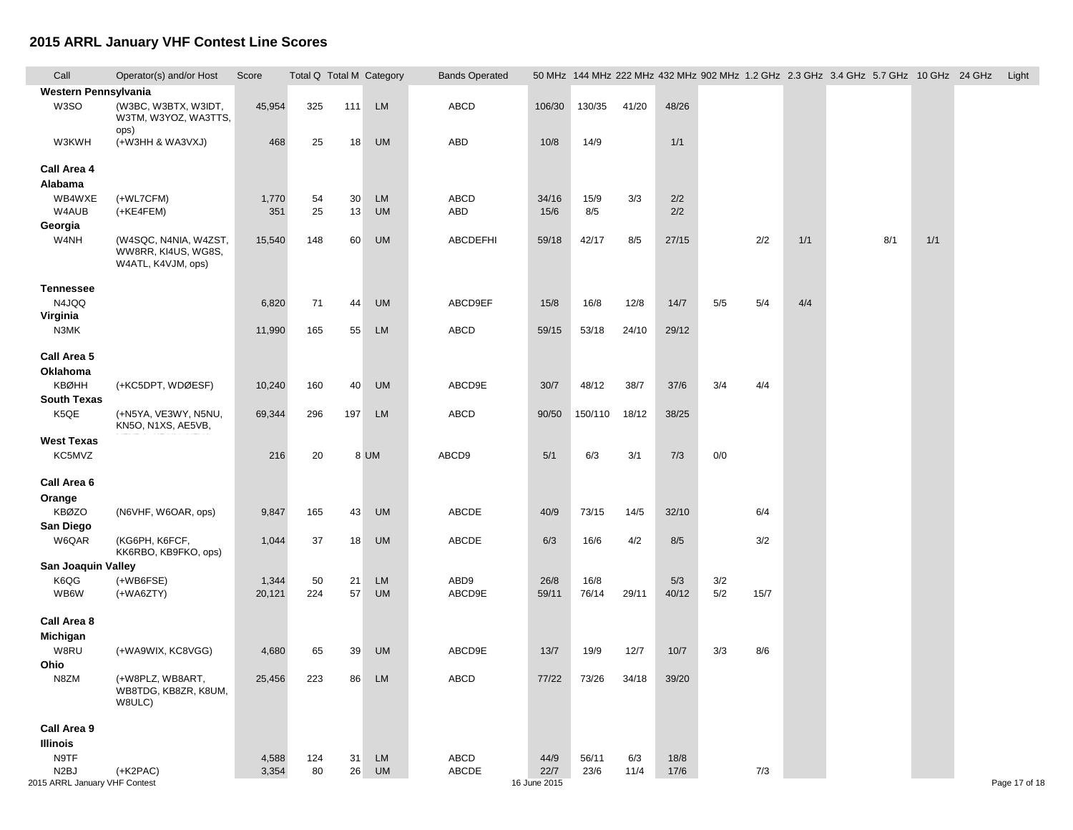| Call                          | Operator(s) and/or Host                                            | Score  |     |     | Total Q Total M Category | <b>Bands Operated</b> |              |         |       |       |     |      |     | 50 MHz 144 MHz 222 MHz 432 MHz 902 MHz 1.2 GHz 2.3 GHz 3.4 GHz 5.7 GHz 10 GHz 24 GHz |     |     | Light         |
|-------------------------------|--------------------------------------------------------------------|--------|-----|-----|--------------------------|-----------------------|--------------|---------|-------|-------|-----|------|-----|--------------------------------------------------------------------------------------|-----|-----|---------------|
| Western Pennsylvania          |                                                                    |        |     |     |                          |                       |              |         |       |       |     |      |     |                                                                                      |     |     |               |
| W3SO                          | (W3BC, W3BTX, W3IDT,<br>W3TM, W3YOZ, WA3TTS,                       | 45,954 | 325 | 111 | <b>LM</b>                | ABCD                  | 106/30       | 130/35  | 41/20 | 48/26 |     |      |     |                                                                                      |     |     |               |
| W3KWH                         | ops)<br>(+W3HH & WA3VXJ)                                           | 468    | 25  | 18  | <b>UM</b>                | ABD                   | 10/8         | 14/9    |       | 1/1   |     |      |     |                                                                                      |     |     |               |
| Call Area 4                   |                                                                    |        |     |     |                          |                       |              |         |       |       |     |      |     |                                                                                      |     |     |               |
| Alabama                       |                                                                    |        |     |     |                          |                       |              |         |       |       |     |      |     |                                                                                      |     |     |               |
| WB4WXE                        | (+WL7CFM)                                                          | 1,770  | 54  | 30  | <b>LM</b>                | ABCD                  | 34/16        | 15/9    | 3/3   | 2/2   |     |      |     |                                                                                      |     |     |               |
| W4AUB                         | (+KE4FEM)                                                          | 351    | 25  | 13  | <b>UM</b>                | ABD                   | 15/6         | 8/5     |       | 2/2   |     |      |     |                                                                                      |     |     |               |
| Georgia                       |                                                                    |        |     |     |                          |                       |              |         |       |       |     |      |     |                                                                                      |     |     |               |
| W4NH                          | (W4SQC, N4NIA, W4ZST,<br>WW8RR, KI4US, WG8S,<br>W4ATL, K4VJM, ops) | 15,540 | 148 | 60  | <b>UM</b>                | ABCDEFHI              | 59/18        | 42/17   | 8/5   | 27/15 |     | 2/2  | 1/1 |                                                                                      | 8/1 | 1/1 |               |
| <b>Tennessee</b>              |                                                                    |        |     |     |                          |                       |              |         |       |       |     |      |     |                                                                                      |     |     |               |
| N4JQQ                         |                                                                    | 6,820  | 71  | 44  | <b>UM</b>                | ABCD9EF               | 15/8         | 16/8    | 12/8  | 14/7  | 5/5 | 5/4  | 4/4 |                                                                                      |     |     |               |
| Virginia                      |                                                                    |        |     |     |                          |                       |              |         |       |       |     |      |     |                                                                                      |     |     |               |
| N3MK                          |                                                                    | 11,990 | 165 | 55  | <b>LM</b>                | ABCD                  | 59/15        | 53/18   | 24/10 | 29/12 |     |      |     |                                                                                      |     |     |               |
| Call Area 5                   |                                                                    |        |     |     |                          |                       |              |         |       |       |     |      |     |                                                                                      |     |     |               |
| Oklahoma                      |                                                                    |        |     |     |                          |                       |              |         |       |       |     |      |     |                                                                                      |     |     |               |
| KBØHH                         | (+KC5DPT, WDØESF)                                                  | 10,240 | 160 | 40  | <b>UM</b>                | ABCD9E                | 30/7         | 48/12   | 38/7  | 37/6  | 3/4 | 4/4  |     |                                                                                      |     |     |               |
| <b>South Texas</b>            |                                                                    |        |     |     |                          |                       |              |         |       |       |     |      |     |                                                                                      |     |     |               |
| K5QE                          | (+N5YA, VE3WY, N5NU,<br>KN5O, N1XS, AE5VB,                         | 69,344 | 296 | 197 | <b>LM</b>                | ABCD                  | 90/50        | 150/110 | 18/12 | 38/25 |     |      |     |                                                                                      |     |     |               |
| <b>West Texas</b>             |                                                                    |        |     |     |                          |                       |              |         |       |       |     |      |     |                                                                                      |     |     |               |
| KC5MVZ                        |                                                                    | 216    | 20  |     | 8 UM                     | ABCD9                 | 5/1          | 6/3     | 3/1   | 7/3   | 0/0 |      |     |                                                                                      |     |     |               |
| Call Area 6                   |                                                                    |        |     |     |                          |                       |              |         |       |       |     |      |     |                                                                                      |     |     |               |
| Orange                        |                                                                    |        |     |     |                          |                       |              |         |       |       |     |      |     |                                                                                      |     |     |               |
| <b>KBØZO</b>                  | (N6VHF, W6OAR, ops)                                                | 9,847  | 165 | 43  | <b>UM</b>                | ABCDE                 | 40/9         | 73/15   | 14/5  | 32/10 |     | 6/4  |     |                                                                                      |     |     |               |
| San Diego                     |                                                                    |        |     |     |                          |                       |              |         |       |       |     |      |     |                                                                                      |     |     |               |
| W6QAR                         | (КG6PH, К6FCF,                                                     | 1,044  | 37  | 18  | <b>UM</b>                | ABCDE                 | 6/3          | 16/6    | 4/2   | 8/5   |     | 3/2  |     |                                                                                      |     |     |               |
|                               | KK6RBO, KB9FKO, ops)                                               |        |     |     |                          |                       |              |         |       |       |     |      |     |                                                                                      |     |     |               |
| San Joaquin Valley            |                                                                    |        |     |     |                          |                       |              |         |       |       |     |      |     |                                                                                      |     |     |               |
| K6QG                          | $(+WB6FSE)$                                                        | 1,344  | 50  | 21  | LM                       | ABD9                  | 26/8         | 16/8    |       | 5/3   | 3/2 |      |     |                                                                                      |     |     |               |
| WB6W                          | $(+WAGZTY)$                                                        | 20,121 | 224 | 57  | <b>UM</b>                | ABCD9E                | 59/11        | 76/14   | 29/11 | 40/12 | 5/2 | 15/7 |     |                                                                                      |     |     |               |
| Call Area 8                   |                                                                    |        |     |     |                          |                       |              |         |       |       |     |      |     |                                                                                      |     |     |               |
| Michigan                      |                                                                    |        |     |     |                          |                       |              |         |       |       |     |      |     |                                                                                      |     |     |               |
| W8RU                          | (+WA9WIX, KC8VGG)                                                  | 4,680  | 65  | 39  | <b>UM</b>                | ABCD9E                | 13/7         | 19/9    | 12/7  | 10/7  | 3/3 | 8/6  |     |                                                                                      |     |     |               |
| Ohio                          |                                                                    |        |     |     |                          |                       |              |         |       |       |     |      |     |                                                                                      |     |     |               |
| N8ZM                          | (+W8PLZ, WB8ART,                                                   | 25,456 | 223 | 86  | <b>LM</b>                | ABCD                  | 77/22        | 73/26   | 34/18 | 39/20 |     |      |     |                                                                                      |     |     |               |
|                               | WB8TDG, KB8ZR, K8UM,<br>W8ULC)                                     |        |     |     |                          |                       |              |         |       |       |     |      |     |                                                                                      |     |     |               |
| Call Area 9                   |                                                                    |        |     |     |                          |                       |              |         |       |       |     |      |     |                                                                                      |     |     |               |
| <b>Illinois</b>               |                                                                    |        |     |     |                          |                       |              |         |       |       |     |      |     |                                                                                      |     |     |               |
| N9TF                          |                                                                    | 4,588  | 124 | 31  | <b>LM</b>                | ABCD                  | 44/9         | 56/11   | 6/3   | 18/8  |     |      |     |                                                                                      |     |     |               |
| N <sub>2</sub> BJ             | $(+K2PAC)$                                                         | 3,354  | 80  | 26  | <b>UM</b>                | ABCDE                 | 22/7         | 23/6    | 11/4  | 17/6  |     | 7/3  |     |                                                                                      |     |     |               |
| 2015 ARRL January VHF Contest |                                                                    |        |     |     |                          |                       | 16 June 2015 |         |       |       |     |      |     |                                                                                      |     |     | Page 17 of 18 |